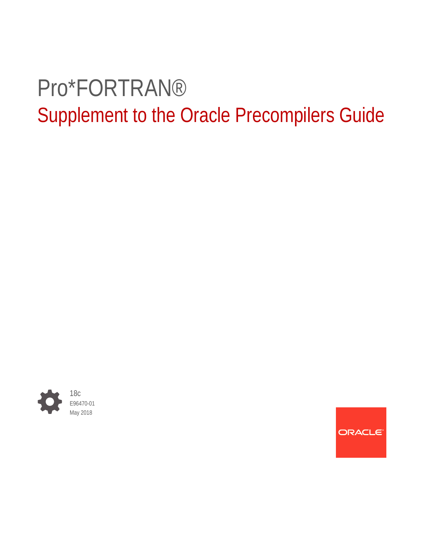# Pro\*FORTRAN®

# Supplement to the Oracle Precompilers Guide



ORACLE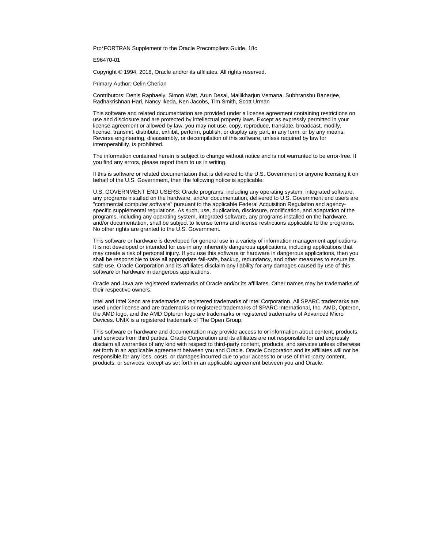Pro\*FORTRAN Supplement to the Oracle Precompilers Guide, 18c

E96470-01

Copyright © 1994, 2018, Oracle and/or its affiliates. All rights reserved.

Primary Author: Celin Cherian

Contributors: Denis Raphaely, Simon Watt, Arun Desai, Mallikharjun Vemana, Subhranshu Banerjee, Radhakrishnan Hari, Nancy Ikeda, Ken Jacobs, Tim Smith, Scott Urman

This software and related documentation are provided under a license agreement containing restrictions on use and disclosure and are protected by intellectual property laws. Except as expressly permitted in your license agreement or allowed by law, you may not use, copy, reproduce, translate, broadcast, modify, license, transmit, distribute, exhibit, perform, publish, or display any part, in any form, or by any means. Reverse engineering, disassembly, or decompilation of this software, unless required by law for interoperability, is prohibited.

The information contained herein is subject to change without notice and is not warranted to be error-free. If you find any errors, please report them to us in writing.

If this is software or related documentation that is delivered to the U.S. Government or anyone licensing it on behalf of the U.S. Government, then the following notice is applicable:

U.S. GOVERNMENT END USERS: Oracle programs, including any operating system, integrated software, any programs installed on the hardware, and/or documentation, delivered to U.S. Government end users are "commercial computer software" pursuant to the applicable Federal Acquisition Regulation and agencyspecific supplemental regulations. As such, use, duplication, disclosure, modification, and adaptation of the programs, including any operating system, integrated software, any programs installed on the hardware, and/or documentation, shall be subject to license terms and license restrictions applicable to the programs. No other rights are granted to the U.S. Government.

This software or hardware is developed for general use in a variety of information management applications. It is not developed or intended for use in any inherently dangerous applications, including applications that may create a risk of personal injury. If you use this software or hardware in dangerous applications, then you shall be responsible to take all appropriate fail-safe, backup, redundancy, and other measures to ensure its safe use. Oracle Corporation and its affiliates disclaim any liability for any damages caused by use of this software or hardware in dangerous applications.

Oracle and Java are registered trademarks of Oracle and/or its affiliates. Other names may be trademarks of their respective owners.

Intel and Intel Xeon are trademarks or registered trademarks of Intel Corporation. All SPARC trademarks are used under license and are trademarks or registered trademarks of SPARC International, Inc. AMD, Opteron, the AMD logo, and the AMD Opteron logo are trademarks or registered trademarks of Advanced Micro Devices. UNIX is a registered trademark of The Open Group.

This software or hardware and documentation may provide access to or information about content, products, and services from third parties. Oracle Corporation and its affiliates are not responsible for and expressly disclaim all warranties of any kind with respect to third-party content, products, and services unless otherwise set forth in an applicable agreement between you and Oracle. Oracle Corporation and its affiliates will not be responsible for any loss, costs, or damages incurred due to your access to or use of third-party content, products, or services, except as set forth in an applicable agreement between you and Oracle.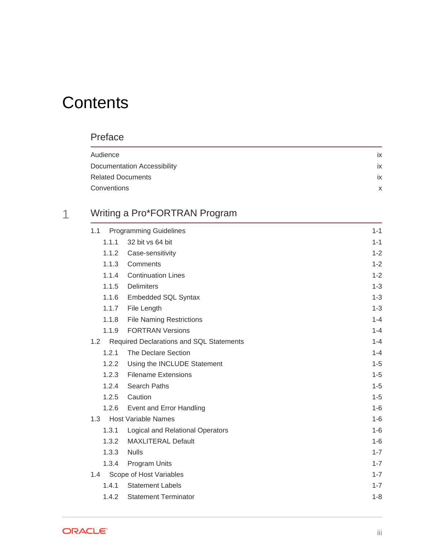# **Contents**

#### [Preface](#page-8-0)

| Audience                    | ix |
|-----------------------------|----|
| Documentation Accessibility | ix |
| <b>Related Documents</b>    | ix |
| Conventions                 | X  |

## 1 [Writing a Pro\\*FORTRAN Program](#page-10-0)

| 1.1 |       | <b>Programming Guidelines</b>            | $1 - 1$ |
|-----|-------|------------------------------------------|---------|
|     | 1.1.1 | 32 bit vs 64 bit                         | $1 - 1$ |
|     | 1.1.2 | Case-sensitivity                         | $1 - 2$ |
|     | 1.1.3 | Comments                                 | $1 - 2$ |
|     | 1.1.4 | <b>Continuation Lines</b>                | $1 - 2$ |
|     | 1.1.5 | <b>Delimiters</b>                        | $1 - 3$ |
|     | 1.1.6 | Embedded SQL Syntax                      | $1 - 3$ |
|     | 1.1.7 | File Length                              | $1 - 3$ |
|     | 1.1.8 | <b>File Naming Restrictions</b>          | $1 - 4$ |
|     | 1.1.9 | <b>FORTRAN Versions</b>                  | $1 - 4$ |
| 1.2 |       | Required Declarations and SQL Statements | $1 - 4$ |
|     | 1.2.1 | The Declare Section                      | $1 - 4$ |
|     | 1.2.2 | Using the INCLUDE Statement              | $1-5$   |
|     | 1.2.3 | <b>Filename Extensions</b>               | $1 - 5$ |
|     | 1.2.4 | <b>Search Paths</b>                      | $1-5$   |
|     | 1.2.5 | Caution                                  | $1 - 5$ |
|     | 1.2.6 | Event and Error Handling                 | $1-6$   |
| 1.3 |       | <b>Host Variable Names</b>               | $1-6$   |
|     | 1.3.1 | Logical and Relational Operators         | $1-6$   |
|     | 1.3.2 | <b>MAXLITERAL Default</b>                | $1-6$   |
|     | 1.3.3 | <b>Nulls</b>                             | $1 - 7$ |
|     | 1.3.4 | <b>Program Units</b>                     | $1 - 7$ |
| 1.4 |       | Scope of Host Variables                  | $1 - 7$ |
|     | 1.4.1 | <b>Statement Labels</b>                  | $1 - 7$ |
|     | 1.4.2 | <b>Statement Terminator</b>              | $1 - 8$ |

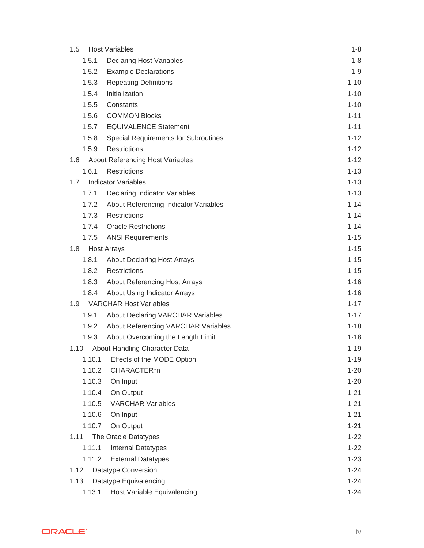| 1.5  |        | <b>Host Variables</b>                       | $1-8$    |
|------|--------|---------------------------------------------|----------|
|      | 1.5.1  | <b>Declaring Host Variables</b>             | $1-8$    |
|      | 1.5.2  | <b>Example Declarations</b>                 | $1 - 9$  |
|      | 1.5.3  | <b>Repeating Definitions</b>                | $1 - 10$ |
|      | 1.5.4  | Initialization                              | $1 - 10$ |
|      | 1.5.5  | Constants                                   | $1 - 10$ |
|      | 1.5.6  | <b>COMMON Blocks</b>                        | $1 - 11$ |
|      | 1.5.7  | <b>EQUIVALENCE Statement</b>                | $1 - 11$ |
|      | 1.5.8  | <b>Special Requirements for Subroutines</b> | $1 - 12$ |
|      | 1.5.9  | <b>Restrictions</b>                         | $1 - 12$ |
| 1.6  |        | About Referencing Host Variables            | $1 - 12$ |
|      | 1.6.1  | <b>Restrictions</b>                         | $1 - 13$ |
| 1.7  |        | <b>Indicator Variables</b>                  | $1 - 13$ |
|      | 1.7.1  | Declaring Indicator Variables               | $1 - 13$ |
|      | 1.7.2  | About Referencing Indicator Variables       | $1 - 14$ |
|      | 1.7.3  | <b>Restrictions</b>                         | $1 - 14$ |
|      | 1.7.4  | <b>Oracle Restrictions</b>                  | $1 - 14$ |
|      | 1.7.5  | <b>ANSI Requirements</b>                    | $1 - 15$ |
| 1.8  |        | <b>Host Arrays</b>                          | $1 - 15$ |
|      | 1.8.1  | <b>About Declaring Host Arrays</b>          | $1 - 15$ |
|      | 1.8.2  | <b>Restrictions</b>                         | $1 - 15$ |
|      | 1.8.3  | <b>About Referencing Host Arrays</b>        | $1 - 16$ |
|      | 1.8.4  | <b>About Using Indicator Arrays</b>         | $1 - 16$ |
|      |        | 1.9 VARCHAR Host Variables                  | $1 - 17$ |
|      | 1.9.1  | About Declaring VARCHAR Variables           | $1 - 17$ |
|      | 1.9.2  | About Referencing VARCHAR Variables         | $1 - 18$ |
|      | 1.9.3  | About Overcoming the Length Limit           | $1 - 18$ |
| 1.10 |        | About Handling Character Data               | $1 - 19$ |
|      | 1.10.1 | Effects of the MODE Option                  | $1 - 19$ |
|      | 1.10.2 | CHARACTER*n                                 | $1 - 20$ |
|      | 1.10.3 | On Input                                    | $1 - 20$ |
|      | 1.10.4 | On Output                                   | $1 - 21$ |
|      | 1.10.5 | <b>VARCHAR Variables</b>                    | $1 - 21$ |
|      | 1.10.6 | On Input                                    | $1 - 21$ |
|      | 1.10.7 | On Output                                   | $1 - 21$ |
| 1.11 |        | The Oracle Datatypes                        | $1 - 22$ |
|      | 1.11.1 | <b>Internal Datatypes</b>                   | $1 - 22$ |
|      | 1.11.2 | <b>External Datatypes</b>                   | $1 - 23$ |
| 1.12 |        | <b>Datatype Conversion</b>                  | $1 - 24$ |
| 1.13 |        | Datatype Equivalencing                      | $1 - 24$ |
|      | 1.13.1 | Host Variable Equivalencing                 | $1 - 24$ |

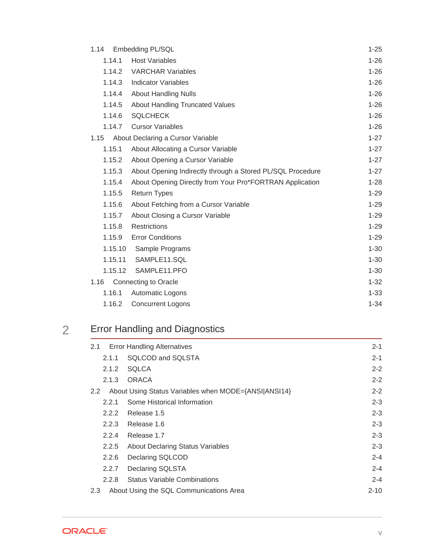| 1.14 |         | Embedding PL/SQL                                           | $1 - 25$ |
|------|---------|------------------------------------------------------------|----------|
|      | 1.14.1  | <b>Host Variables</b>                                      | $1 - 26$ |
|      | 1.14.2  | <b>VARCHAR Variables</b>                                   | $1 - 26$ |
|      | 1.14.3  | <b>Indicator Variables</b>                                 | $1 - 26$ |
|      | 1.14.4  | <b>About Handling Nulls</b>                                | $1 - 26$ |
|      | 1.14.5  | <b>About Handling Truncated Values</b>                     | $1 - 26$ |
|      | 1.14.6  | <b>SQLCHECK</b>                                            | $1 - 26$ |
|      | 1.14.7  | <b>Cursor Variables</b>                                    | $1 - 26$ |
| 1.15 |         | About Declaring a Cursor Variable                          | $1 - 27$ |
|      | 1.15.1  | About Allocating a Cursor Variable                         | $1 - 27$ |
|      | 1.15.2  | About Opening a Cursor Variable                            | $1 - 27$ |
|      | 1.15.3  | About Opening Indirectly through a Stored PL/SQL Procedure | $1 - 27$ |
|      | 1.15.4  | About Opening Directly from Your Pro*FORTRAN Application   | $1 - 28$ |
|      | 1.15.5  | <b>Return Types</b>                                        | $1 - 29$ |
|      | 1.15.6  | About Fetching from a Cursor Variable                      | $1 - 29$ |
|      | 1.15.7  | About Closing a Cursor Variable                            | $1 - 29$ |
|      | 1.15.8  | <b>Restrictions</b>                                        | $1 - 29$ |
|      | 1.15.9  | <b>Error Conditions</b>                                    | $1 - 29$ |
|      | 1.15.10 | Sample Programs                                            | $1 - 30$ |
|      | 1.15.11 | SAMPLE11.SQL                                               | $1 - 30$ |
|      | 1.15.12 | SAMPLE11.PFO                                               | $1 - 30$ |
|      |         | 1.16 Connecting to Oracle                                  | $1 - 32$ |
|      | 1.16.1  | Automatic Logons                                           | $1 - 33$ |
|      | 1.16.2  | <b>Concurrent Logons</b>                                   | $1 - 34$ |

# 2 [Error Handling and Diagnostics](#page-44-0)

| 2.1 | <b>Error Handling Alternatives</b>                   | $2 - 1$  |
|-----|------------------------------------------------------|----------|
|     | SQLCOD and SQLSTA<br>2.1.1                           | $2 - 1$  |
|     | <b>SQLCA</b><br>2.1.2                                | $2 - 2$  |
|     | 2.1.3<br><b>ORACA</b>                                | $2 - 2$  |
| 2.2 | About Using Status Variables when MODE={ANSI ANSI14} | $2 - 2$  |
|     | Some Historical Information<br>2.2.1                 | $2 - 3$  |
|     | 2.2.2<br>Release 1.5                                 | $2 - 3$  |
|     | 2.2.3<br>Release 1.6                                 | $2 - 3$  |
|     | 2.2.4<br>Release 1.7                                 | $2 - 3$  |
|     | <b>About Declaring Status Variables</b><br>2.2.5     | $2 - 3$  |
|     | Declaring SQLCOD<br>2.2.6                            | $2 - 4$  |
|     | Declaring SQLSTA<br>2.2.7                            | $2 - 4$  |
|     | Status Variable Combinations<br>2.2.8                | $2 - 4$  |
| 2.3 | About Using the SQL Communications Area              | $2 - 10$ |

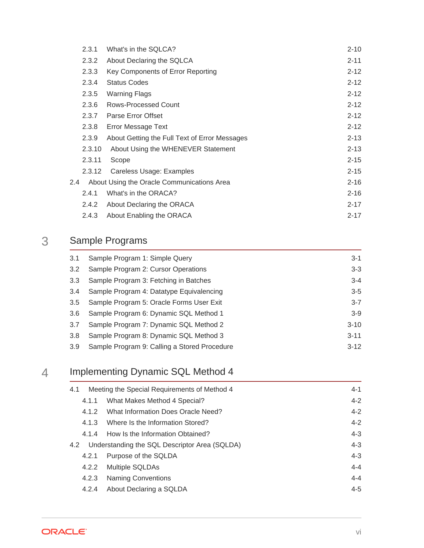|     | 2.3.1  | What's in the SQLCA?                          | $2 - 10$ |
|-----|--------|-----------------------------------------------|----------|
|     | 2.3.2  | About Declaring the SQLCA                     | $2 - 11$ |
|     | 2.3.3  | Key Components of Error Reporting             | $2 - 12$ |
|     | 2.3.4  | <b>Status Codes</b>                           | $2 - 12$ |
|     | 2.3.5  | <b>Warning Flags</b>                          | $2 - 12$ |
|     | 2.3.6  | Rows-Processed Count                          | $2 - 12$ |
|     | 2.3.7  | Parse Error Offset                            | $2 - 12$ |
|     | 2.3.8  | Error Message Text                            | $2 - 12$ |
|     | 2.3.9  | About Getting the Full Text of Error Messages | $2 - 13$ |
|     | 2.3.10 | About Using the WHENEVER Statement            | $2 - 13$ |
|     | 2.3.11 | Scope                                         | $2 - 15$ |
|     | 2.3.12 | Careless Usage: Examples                      | $2 - 15$ |
| 2.4 |        | About Using the Oracle Communications Area    | $2 - 16$ |
|     | 2.4.1  | What's in the ORACA?                          | $2 - 16$ |
|     | 2.4.2  | About Declaring the ORACA                     | $2 - 17$ |
|     | 2.4.3  | About Enabling the ORACA                      | $2 - 17$ |

# 3 [Sample Programs](#page-61-0)

| 3.1 | Sample Program 1: Simple Query               | $3-1$    |
|-----|----------------------------------------------|----------|
| 3.2 | Sample Program 2: Cursor Operations          | $3 - 3$  |
| 3.3 | Sample Program 3: Fetching in Batches        | $3 - 4$  |
| 3.4 | Sample Program 4: Datatype Equivalencing     | $3 - 5$  |
| 3.5 | Sample Program 5: Oracle Forms User Exit     | $3 - 7$  |
| 3.6 | Sample Program 6: Dynamic SQL Method 1       | $3-9$    |
| 3.7 | Sample Program 7: Dynamic SQL Method 2       | $3-10$   |
| 3.8 | Sample Program 8: Dynamic SQL Method 3       | $3 - 11$ |
| 3.9 | Sample Program 9: Calling a Stored Procedure | $3-12$   |

# 4 [Implementing Dynamic SQL Method 4](#page-76-0)

| 4.1 |       | Meeting the Special Requirements of Method 4  | $4 - 1$ |
|-----|-------|-----------------------------------------------|---------|
|     | 4.1.1 | What Makes Method 4 Special?                  | $4 - 2$ |
|     | 4.1.2 | What Information Does Oracle Need?            | $4 - 2$ |
|     | 4.1.3 | Where Is the Information Stored?              | $4 - 2$ |
|     | 4.1.4 | How Is the Information Obtained?              | $4 - 3$ |
| 4.2 |       | Understanding the SQL Descriptor Area (SQLDA) | $4 - 3$ |
|     | 4.2.1 | Purpose of the SQLDA                          | $4 - 3$ |
|     | 4.2.2 | Multiple SQLDAs                               | $4 - 4$ |
|     | 4.2.3 | <b>Naming Conventions</b>                     | $4 - 4$ |
|     | 4.2.4 | About Declaring a SQLDA                       | $4 - 5$ |
|     |       |                                               |         |

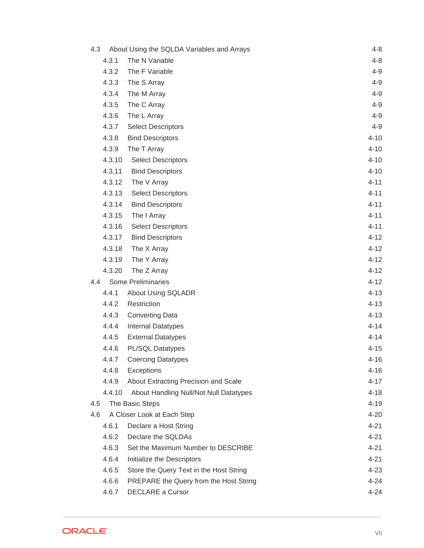| 4.3 |        | About Using the SQLDA Variables and Arrays | $4 - 8$  |
|-----|--------|--------------------------------------------|----------|
|     | 4.3.1  | The N Variable                             | $4 - 8$  |
|     | 4.3.2  | The F Variable                             | $4 - 9$  |
|     | 4.3.3  | The S Array                                | $4 - 9$  |
|     | 4.3.4  | The M Array                                | $4 - 9$  |
|     | 4.3.5  | The C Array                                | $4 - 9$  |
|     | 4.3.6  | The L Array                                | $4 - 9$  |
|     | 4.3.7  | <b>Select Descriptors</b>                  | $4 - 9$  |
|     | 4.3.8  | <b>Bind Descriptors</b>                    | $4 - 10$ |
|     | 4.3.9  | The T Array                                | $4 - 10$ |
|     | 4.3.10 | <b>Select Descriptors</b>                  | $4 - 10$ |
|     | 4.3.11 | <b>Bind Descriptors</b>                    | $4 - 10$ |
|     | 4.3.12 | The V Array                                | $4 - 11$ |
|     | 4.3.13 | <b>Select Descriptors</b>                  | $4 - 11$ |
|     | 4.3.14 | <b>Bind Descriptors</b>                    | $4 - 11$ |
|     | 4.3.15 | The I Array                                | $4 - 11$ |
|     | 4.3.16 | <b>Select Descriptors</b>                  | $4 - 11$ |
|     | 4.3.17 | <b>Bind Descriptors</b>                    | $4 - 12$ |
|     | 4.3.18 | The X Array                                | $4 - 12$ |
|     | 4.3.19 | The Y Array                                | $4 - 12$ |
|     | 4.3.20 | The Z Array                                | $4 - 12$ |
| 4.4 |        | <b>Some Preliminaries</b>                  | $4 - 12$ |
|     | 4.4.1  | About Using SQLADR                         | $4 - 13$ |
|     | 4.4.2  | Restriction                                | $4 - 13$ |
|     | 4.4.3  | <b>Converting Data</b>                     | $4 - 13$ |
|     | 4.4.4  | <b>Internal Datatypes</b>                  | $4 - 14$ |
|     | 4.4.5  | <b>External Datatypes</b>                  | $4 - 14$ |
|     | 4.4.6  | PL/SQL Datatypes                           | $4 - 15$ |
|     | 4.4.7  | <b>Coercing Datatypes</b>                  | $4 - 16$ |
|     | 4.4.8  | Exceptions                                 | $4 - 16$ |
|     | 4.4.9  | About Extracting Precision and Scale       | $4 - 17$ |
|     | 4.4.10 | About Handling Null/Not Null Datatypes     | $4 - 18$ |
| 4.5 |        | The Basic Steps                            | $4 - 19$ |
| 4.6 |        | A Closer Look at Each Step                 | $4 - 20$ |
|     | 4.6.1  | Declare a Host String                      | $4 - 21$ |
|     | 4.6.2  | Declare the SQLDAs                         | $4 - 21$ |
|     | 4.6.3  | Set the Maximum Number to DESCRIBE         | $4 - 21$ |
|     | 4.6.4  | Initialize the Descriptors                 | $4 - 21$ |
|     | 4.6.5  | Store the Query Text in the Host String    | $4 - 23$ |
|     | 4.6.6  | PREPARE the Query from the Host String     | $4 - 24$ |
|     | 4.6.7  | <b>DECLARE a Cursor</b>                    | $4 - 24$ |

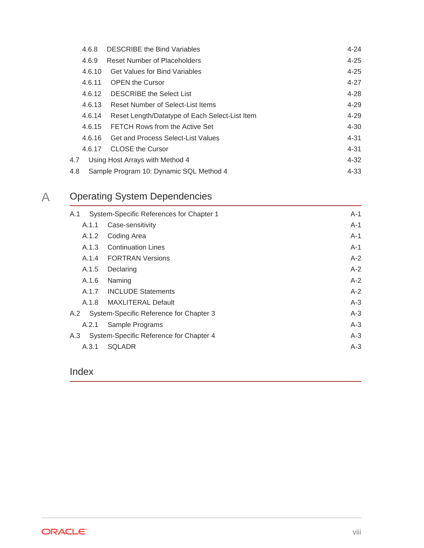|     | 4.6.8                                               | <b>DESCRIBE the Bind Variables</b>             | $4 - 24$ |
|-----|-----------------------------------------------------|------------------------------------------------|----------|
|     | 4.6.9                                               | Reset Number of Placeholders                   | $4 - 25$ |
|     | 4.6.10                                              | <b>Get Values for Bind Variables</b>           | $4 - 25$ |
|     | 4.6.11                                              | <b>OPEN the Cursor</b>                         | $4 - 27$ |
|     | 4.6.12                                              | <b>DESCRIBE the Select List</b>                | $4 - 28$ |
|     | 4.6.13                                              | Reset Number of Select-List Items              | $4 - 29$ |
|     | 4.6.14                                              | Reset Length/Datatype of Each Select-List Item | $4 - 29$ |
|     | 4.6.15                                              | FETCH Rows from the Active Set                 | $4 - 30$ |
|     | 4.6.16                                              | <b>Get and Process Select-List Values</b>      | $4 - 31$ |
|     | 4.6.17                                              | CLOSE the Cursor                               | $4 - 31$ |
| 4.7 |                                                     | Using Host Arrays with Method 4                | $4 - 32$ |
| 4.8 | $4 - 33$<br>Sample Program 10: Dynamic SQL Method 4 |                                                |          |

# A [Operating System Dependencies](#page-116-0)

| A.1   | System-Specific References for Chapter 1 | A-1   |
|-------|------------------------------------------|-------|
| A.1.1 | Case-sensitivity                         | $A-1$ |
| A.1.2 | Coding Area                              | $A-1$ |
| A.1.3 | <b>Continuation Lines</b>                | $A-1$ |
| A.1.4 | <b>FORTRAN Versions</b>                  | $A-2$ |
| A.1.5 | Declaring                                | $A-2$ |
| A.1.6 | Naming                                   | $A-2$ |
| A.1.7 | <b>INCLUDE Statements</b>                | $A-2$ |
| A.1.8 | <b>MAXLITERAL Default</b>                | $A-3$ |
| A.2   | System-Specific Reference for Chapter 3  | $A-3$ |
| A.2.1 | Sample Programs                          | $A-3$ |
| A.3   | System-Specific Reference for Chapter 4  | $A-3$ |
| A.3.1 | <b>SQLADR</b>                            | $A-3$ |

## [Index](#page-119-0)

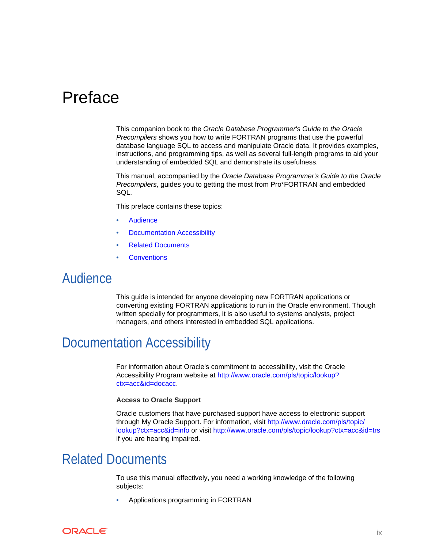# <span id="page-8-0"></span>Preface

This companion book to the *Oracle Database Programmer's Guide to the Oracle Precompilers* shows you how to write FORTRAN programs that use the powerful database language SQL to access and manipulate Oracle data. It provides examples, instructions, and programming tips, as well as several full-length programs to aid your understanding of embedded SQL and demonstrate its usefulness.

This manual, accompanied by the *Oracle Database Programmer's Guide to the Oracle Precompilers*, guides you to getting the most from Pro\*FORTRAN and embedded SQL.

This preface contains these topics:

- **Audience**
- Documentation Accessibility
- Related Documents
- **[Conventions](#page-9-0)**

# Audience

This guide is intended for anyone developing new FORTRAN applications or converting existing FORTRAN applications to run in the Oracle environment. Though written specially for programmers, it is also useful to systems analysts, project managers, and others interested in embedded SQL applications.

# Documentation Accessibility

For information about Oracle's commitment to accessibility, visit the Oracle Accessibility Program website at [http://www.oracle.com/pls/topic/lookup?](http://www.oracle.com/pls/topic/lookup?ctx=acc&id=docacc) [ctx=acc&id=docacc](http://www.oracle.com/pls/topic/lookup?ctx=acc&id=docacc).

#### **Access to Oracle Support**

Oracle customers that have purchased support have access to electronic support through My Oracle Support. For information, visit [http://www.oracle.com/pls/topic/](http://www.oracle.com/pls/topic/lookup?ctx=acc&id=info) [lookup?ctx=acc&id=info](http://www.oracle.com/pls/topic/lookup?ctx=acc&id=info) or visit<http://www.oracle.com/pls/topic/lookup?ctx=acc&id=trs> if you are hearing impaired.

# Related Documents

To use this manual effectively, you need a working knowledge of the following subjects:

• Applications programming in FORTRAN

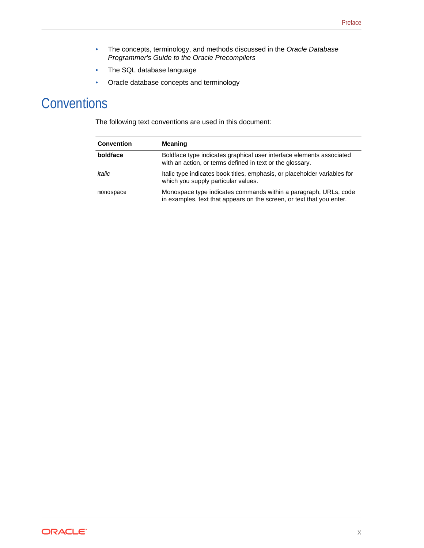- The concepts, terminology, and methods discussed in the *Oracle Database Programmer's Guide to the Oracle Precompilers*
- The SQL database language
- Oracle database concepts and terminology

# <span id="page-9-0"></span>**Conventions**

The following text conventions are used in this document:

| <b>Convention</b> | <b>Meaning</b>                                                                                                                            |
|-------------------|-------------------------------------------------------------------------------------------------------------------------------------------|
| boldface          | Boldface type indicates graphical user interface elements associated<br>with an action, or terms defined in text or the glossary.         |
| italic            | Italic type indicates book titles, emphasis, or placeholder variables for<br>which you supply particular values.                          |
| monospace         | Monospace type indicates commands within a paragraph, URLs, code<br>in examples, text that appears on the screen, or text that you enter. |
|                   |                                                                                                                                           |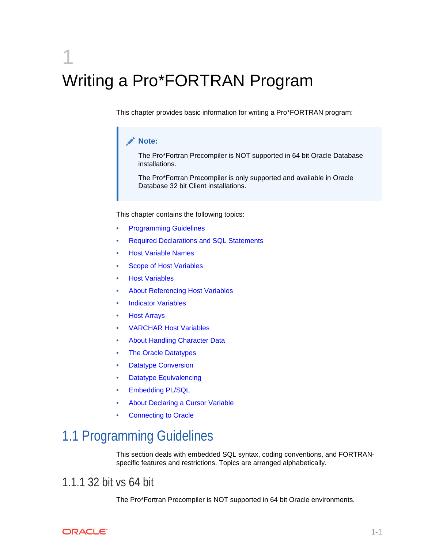# <span id="page-10-0"></span>1 Writing a Pro\*FORTRAN Program

This chapter provides basic information for writing a Pro\*FORTRAN program:

#### **Note:**

The Pro\*Fortran Precompiler is NOT supported in 64 bit Oracle Database installations.

The Pro\*Fortran Precompiler is only supported and available in Oracle Database 32 bit Client installations.

This chapter contains the following topics:

- Programming Guidelines
- [Required Declarations and SQL Statements](#page-13-0)
- [Host Variable Names](#page-15-0)
- [Scope of Host Variables](#page-16-0)
- [Host Variables](#page-17-0)
- [About Referencing Host Variables](#page-21-0)
- [Indicator Variables](#page-22-0)
- [Host Arrays](#page-24-0)
- [VARCHAR Host Variables](#page-26-0)
- [About Handling Character Data](#page-28-0)
- [The Oracle Datatypes](#page-31-0)
- [Datatype Conversion](#page-33-0)
- [Datatype Equivalencing](#page-33-0)
- [Embedding PL/SQL](#page-34-0)
- [About Declaring a Cursor Variable](#page-36-0)
- [Connecting to Oracle](#page-41-0)

# 1.1 Programming Guidelines

This section deals with embedded SQL syntax, coding conventions, and FORTRANspecific features and restrictions. Topics are arranged alphabetically.

#### 1.1.1 32 bit vs 64 bit

The Pro\*Fortran Precompiler is NOT supported in 64 bit Oracle environments.

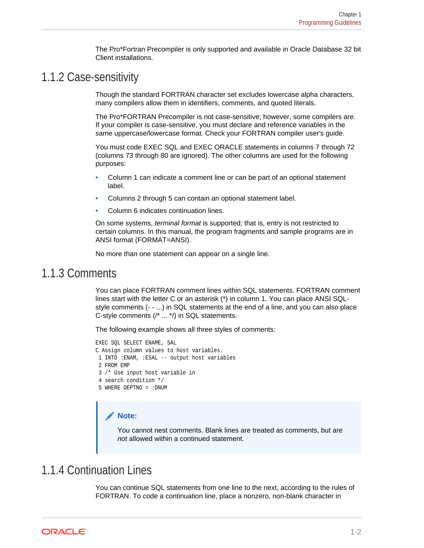The Pro\*Fortran Precompiler is only supported and available in Oracle Database 32 bit Client installations.

#### <span id="page-11-0"></span>1.1.2 Case-sensitivity

Though the standard FORTRAN character set excludes lowercase alpha characters, many compilers allow them in identifiers, comments, and quoted literals.

The Pro\*FORTRAN Precompiler is not case-sensitive; however, some compilers are. If your compiler is case-sensitive, you must declare and reference variables in the same uppercase/lowercase format. Check your FORTRAN compiler user's guide.

You must code EXEC SQL and EXEC ORACLE statements in columns 7 through 72 (columns 73 through 80 are ignored). The other columns are used for the following purposes:

- Column 1 can indicate a comment line or can be part of an optional statement label.
- Columns 2 through 5 can contain an optional statement label.
- Column 6 indicates continuation lines.

On some systems, *terminal format* is supported; that is, entry is not restricted to certain columns. In this manual, the program fragments and sample programs are in ANSI format (FORMAT=ANSI).

No more than one statement can appear on a single line.

#### 1.1.3 Comments

You can place FORTRAN comment lines within SQL statements. FORTRAN comment lines start with the letter C or an asterisk (\*) in column 1. You can place ANSI SQLstyle comments (- - ...) in SQL statements at the end of a line, and you can also place C-style comments (/\* ... \*/) in SQL statements.

The following example shows all three styles of comments:

```
EXEC SQL SELECT ENAME, SAL
C Assign column values to host variables.
  1 INTO :ENAM, :ESAL -- output host variables
  2 FROM EMP
  3 /* Use input host variable in
  4 search condition */
  5 WHERE DEPTNO = :DNUM
```
#### **Note:**

You cannot nest comments. Blank lines are treated as comments, but are *not* allowed within a continued statement.

# 1.1.4 Continuation Lines

You can continue SQL statements from one line to the next, according to the rules of FORTRAN. To code a continuation line, place a nonzero, non-blank character in

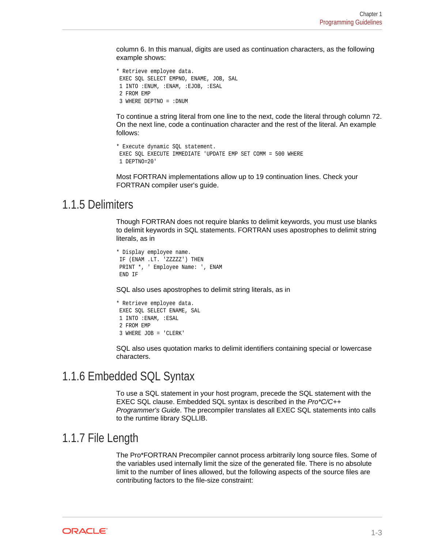<span id="page-12-0"></span>column 6. In this manual, digits are used as continuation characters, as the following example shows:

```
* Retrieve employee data.
 EXEC SQL SELECT EMPNO, ENAME, JOB, SAL
 1 INTO :ENUM, :ENAM, :EJOB, :ESAL
 2 FROM EMP
 3 WHERE DEPTNO = :DNUM
```
To continue a string literal from one line to the next, code the literal through column 72. On the next line, code a continuation character and the rest of the literal. An example follows:

```
* Execute dynamic SQL statement.
 EXEC SQL EXECUTE IMMEDIATE 'UPDATE EMP SET COMM = 500 WHERE
 1 DEPTNO=20'
```
Most FORTRAN implementations allow up to 19 continuation lines. Check your FORTRAN compiler user's guide.

#### 1.1.5 Delimiters

Though FORTRAN does not require blanks to delimit keywords, you must use blanks to delimit keywords in SQL statements. FORTRAN uses apostrophes to delimit string literals, as in

```
* Display employee name.
 IF (ENAM .LT. 'ZZZZZ') THEN
 PRINT *, ' Employee Name: ', ENAM
 END IF
```
SQL also uses apostrophes to delimit string literals, as in

```
* Retrieve employee data.
 EXEC SQL SELECT ENAME, SAL
 1 INTO :ENAM, :ESAL
 2 FROM EMP
 3 WHERE JOB = 'CLERK'
```
SQL also uses quotation marks to delimit identifiers containing special or lowercase characters.

## 1.1.6 Embedded SQL Syntax

To use a SQL statement in your host program, precede the SQL statement with the EXEC SQL clause. Embedded SQL syntax is described in the *Pro\*C/C++ Programmer's Guide*. The precompiler translates all EXEC SQL statements into calls to the runtime library SQLLIB.

#### 1.1.7 File Length

The Pro\*FORTRAN Precompiler cannot process arbitrarily long source files. Some of the variables used internally limit the size of the generated file. There is no absolute limit to the number of lines allowed, but the following aspects of the source files are contributing factors to the file-size constraint:

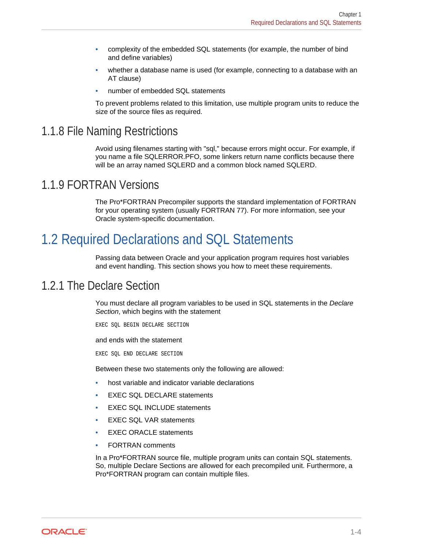- <span id="page-13-0"></span>• complexity of the embedded SQL statements (for example, the number of bind and define variables)
- whether a database name is used (for example, connecting to a database with an AT clause)
- number of embedded SQL statements

To prevent problems related to this limitation, use multiple program units to reduce the size of the source files as required.

#### 1.1.8 File Naming Restrictions

Avoid using filenames starting with "sql," because errors might occur. For example, if you name a file SQLERROR.PFO, some linkers return name conflicts because there will be an array named SQLERD and a common block named SQLERD.

#### 1.1.9 FORTRAN Versions

The Pro\*FORTRAN Precompiler supports the standard implementation of FORTRAN for your operating system (usually FORTRAN 77). For more information, see your Oracle system-specific documentation.

# 1.2 Required Declarations and SQL Statements

Passing data between Oracle and your application program requires host variables and event handling. This section shows you how to meet these requirements.

#### 1.2.1 The Declare Section

You must declare all program variables to be used in SQL statements in the *Declare Section*, which begins with the statement

EXEC SQL BEGIN DECLARE SECTION

and ends with the statement

EXEC SQL END DECLARE SECTION

Between these two statements only the following are allowed:

- host variable and indicator variable declarations
- **EXEC SQL DECLARE statements**
- **EXEC SQL INCLUDE statements**
- **EXEC SOL VAR statements**
- **EXEC ORACLE statements**
- FORTRAN comments

In a Pro\*FORTRAN source file, multiple program units can contain SQL statements. So, multiple Declare Sections are allowed for each precompiled unit. Furthermore, a Pro\*FORTRAN program can contain multiple files.

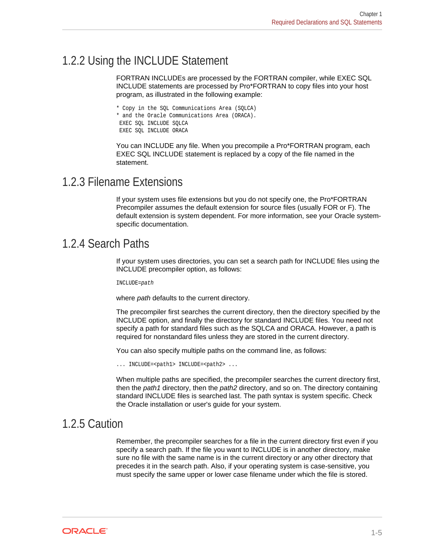## <span id="page-14-0"></span>1.2.2 Using the INCLUDE Statement

FORTRAN INCLUDEs are processed by the FORTRAN compiler, while EXEC SQL INCLUDE statements are processed by Pro\*FORTRAN to copy files into your host program, as illustrated in the following example:

- \* Copy in the SQL Communications Area (SQLCA)
- \* and the Oracle Communications Area (ORACA).
- EXEC SOL INCLUDE SOLCA
- EXEC SQL INCLUDE ORACA

You can INCLUDE any file. When you precompile a Pro\*FORTRAN program, each EXEC SQL INCLUDE statement is replaced by a copy of the file named in the statement.

### 1.2.3 Filename Extensions

If your system uses file extensions but you do not specify one, the Pro\*FORTRAN Precompiler assumes the default extension for source files (usually FOR or F). The default extension is system dependent. For more information, see your Oracle systemspecific documentation.

## 1.2.4 Search Paths

If your system uses directories, you can set a search path for INCLUDE files using the INCLUDE precompiler option, as follows:

INCLUDE=path

where *path* defaults to the current directory.

The precompiler first searches the current directory, then the directory specified by the INCLUDE option, and finally the directory for standard INCLUDE files. You need not specify a path for standard files such as the SQLCA and ORACA. However, a path is required for nonstandard files unless they are stored in the current directory.

You can also specify multiple paths on the command line, as follows:

... INCLUDE=<path1> INCLUDE=<path2> ...

When multiple paths are specified, the precompiler searches the current directory first, then the *path1* directory, then the *path2* directory, and so on. The directory containing standard INCLUDE files is searched last. The path syntax is system specific. Check the Oracle installation or user's guide for your system.

#### 1.2.5 Caution

Remember, the precompiler searches for a file in the current directory first even if you specify a search path. If the file you want to INCLUDE is in another directory, make sure no file with the same name is in the current directory or any other directory that precedes it in the search path. Also, if your operating system is case-sensitive, you must specify the same upper or lower case filename under which the file is stored.

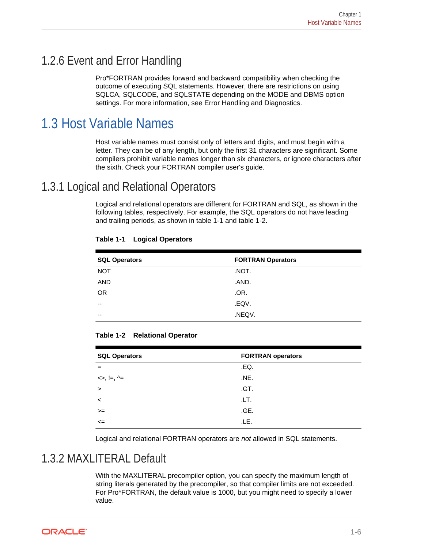## <span id="page-15-0"></span>1.2.6 Event and Error Handling

Pro\*FORTRAN provides forward and backward compatibility when checking the outcome of executing SQL statements. However, there are restrictions on using SQLCA, SQLCODE, and SQLSTATE depending on the MODE and DBMS option settings. For more information, see Error Handling and Diagnostics.

# 1.3 Host Variable Names

Host variable names must consist only of letters and digits, and must begin with a letter. They can be of any length, but only the first 31 characters are significant. Some compilers prohibit variable names longer than six characters, or ignore characters after the sixth. Check your FORTRAN compiler user's guide.

#### 1.3.1 Logical and Relational Operators

Logical and relational operators are different for FORTRAN and SQL, as shown in the following tables, respectively. For example, the SQL operators do not have leading and trailing periods, as shown in table 1-1 and table 1-2.

| <b>SQL Operators</b> | <b>FORTRAN Operators</b> |
|----------------------|--------------------------|
| <b>NOT</b>           | .NOT.                    |
| <b>AND</b>           | .AND.                    |
| <b>OR</b>            | .OR.                     |
| $- -$                | .EQV.                    |
| $- -$                | .NEQV.                   |

**Table 1-1 Logical Operators**

| <b>SQL Operators</b>               | <b>FORTRAN operators</b> |
|------------------------------------|--------------------------|
|                                    | .EQ.                     |
| $\Leftrightarrow$ , !=, $\wedge$ = | .NE.                     |
| $\geq$                             | .GT.                     |
| $\,<$                              | .LT.                     |
| $>=$                               | .GE.                     |
| $\leq$                             | .LE.                     |
|                                    |                          |

#### **Table 1-2 Relational Operator**

Logical and relational FORTRAN operators are *not* allowed in SQL statements.

### 1.3.2 MAXLITERAL Default

With the MAXLITERAL precompiler option, you can specify the maximum length of string literals generated by the precompiler, so that compiler limits are not exceeded. For Pro\*FORTRAN, the default value is 1000, but you might need to specify a lower value.

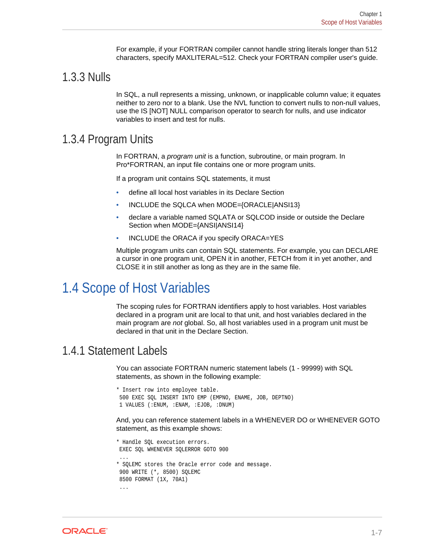For example, if your FORTRAN compiler cannot handle string literals longer than 512 characters, specify MAXLITERAL=512. Check your FORTRAN compiler user's guide.

#### <span id="page-16-0"></span>1.3.3 Nulls

In SQL, a null represents a missing, unknown, or inapplicable column value; it equates neither to zero nor to a blank. Use the NVL function to convert nulls to non-null values, use the IS [NOT] NULL comparison operator to search for nulls, and use indicator variables to insert and test for nulls.

#### 1.3.4 Program Units

In FORTRAN, a *program unit* is a function, subroutine, or main program. In Pro\*FORTRAN, an input file contains one or more program units.

If a program unit contains SQL statements, it must

- define all local host variables in its Declare Section
- INCLUDE the SQLCA when MODE={ORACLE|ANSI13}
- declare a variable named SQLATA or SQLCOD inside or outside the Declare Section when MODE={ANSI|ANSI14}
- INCLUDE the ORACA if you specify ORACA=YES

Multiple program units can contain SQL statements. For example, you can DECLARE a cursor in one program unit, OPEN it in another, FETCH from it in yet another, and CLOSE it in still another as long as they are in the same file.

# 1.4 Scope of Host Variables

The scoping rules for FORTRAN identifiers apply to host variables. Host variables declared in a program unit are local to that unit, and host variables declared in the main program are *not* global. So, all host variables used in a program unit must be declared in that unit in the Declare Section.

#### 1.4.1 Statement Labels

You can associate FORTRAN numeric statement labels (1 - 99999) with SQL statements, as shown in the following example:

```
* Insert row into employee table.
 500 EXEC SQL INSERT INTO EMP (EMPNO, ENAME, JOB, DEPTNO)
 1 VALUES (:ENUM, :ENAM, :EJOB, :DNUM)
```
And, you can reference statement labels in a WHENEVER DO or WHENEVER GOTO statement, as this example shows:

```
* Handle SQL execution errors.
 EXEC SQL WHENEVER SQLERROR GOTO 900
 ...
* SQLEMC stores the Oracle error code and message.
 900 WRITE (*, 8500) SQLEMC
 8500 FORMAT (1X, 70A1)
  ...
```
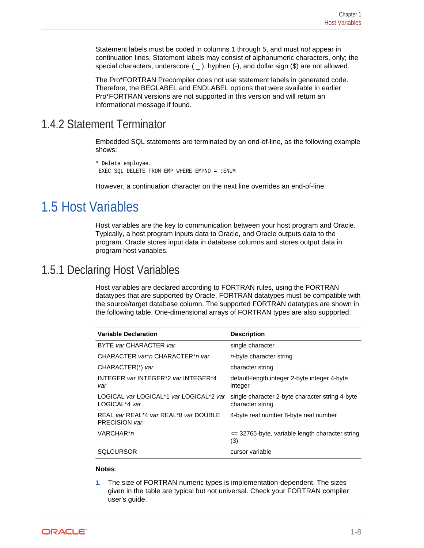<span id="page-17-0"></span>Statement labels must be coded in columns 1 through 5, and must *not* appear in continuation lines. Statement labels may consist of alphanumeric characters, only; the special characters, underscore  $($ ], hyphen  $(-)$ , and dollar sign  $(\$)$  are not allowed.

The Pro\*FORTRAN Precompiler does not use statement labels in generated code. Therefore, the BEGLABEL and ENDLABEL options that were available in earlier Pro\*FORTRAN versions are not supported in this version and will return an informational message if found.

#### 1.4.2 Statement Terminator

Embedded SQL statements are terminated by an end-of-line, as the following example shows:

```
* Delete employee.
 EXEC SQL DELETE FROM EMP WHERE EMPNO = :ENUM
```
However, a continuation character on the next line overrides an end-of-line.

# 1.5 Host Variables

Host variables are the key to communication between your host program and Oracle. Typically, a host program inputs data to Oracle, and Oracle outputs data to the program. Oracle stores input data in database columns and stores output data in program host variables.

#### 1.5.1 Declaring Host Variables

Host variables are declared according to FORTRAN rules, using the FORTRAN datatypes that are supported by Oracle. FORTRAN datatypes must be compatible with the source/target database column. The supported FORTRAN datatypes are shown in the following table. One-dimensional arrays of FORTRAN types are also supported.

| <b>Variable Declaration</b>                              | <b>Description</b>                                                  |
|----------------------------------------------------------|---------------------------------------------------------------------|
| <b>BYTE var CHARACTER var</b>                            | single character                                                    |
| CHARACTER var*n CHARACTER*n var                          | <i>n</i> -byte character string                                     |
| CHARACTER <sup>(*)</sup> var                             | character string                                                    |
| INTEGER var INTEGER*2 var INTEGER*4<br>var               | default-length integer 2-byte integer 4-byte<br>integer             |
| LOGICAL var LOGICAL*1 var LOGICAL*2 var<br>LOGICAL*4 var | single character 2-byte character string 4-byte<br>character string |
| REAL var REAL*4 var REAL*8 var DOUBLE<br>PRECISION var   | 4-byte real number 8-byte real number                               |
| VARCHAR*n                                                | $\leq$ 32765-byte, variable length character string<br>(3)          |
| <b>SOLCURSOR</b>                                         | cursor variable                                                     |

#### **Notes**:

**1.** The size of FORTRAN numeric types is implementation-dependent. The sizes given in the table are typical but not universal. Check your FORTRAN compiler user's guide.

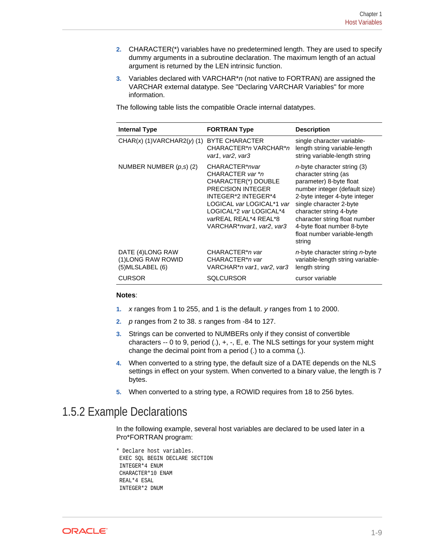- <span id="page-18-0"></span>**2.** CHARACTER(\*) variables have no predetermined length. They are used to specify dummy arguments in a subroutine declaration. The maximum length of an actual argument is returned by the LEN intrinsic function.
- **3.** Variables declared with VARCHAR\**n* (not native to FORTRAN) are assigned the VARCHAR external datatype. See "Declaring VARCHAR Variables" for more information.

The following table lists the compatible Oracle internal datatypes.

| <b>Internal Type</b>                                            | <b>FORTRAN Type</b>                                                                                                                                                                                                        | <b>Description</b>                                                                                                                                                                                                                                                                                                        |
|-----------------------------------------------------------------|----------------------------------------------------------------------------------------------------------------------------------------------------------------------------------------------------------------------------|---------------------------------------------------------------------------------------------------------------------------------------------------------------------------------------------------------------------------------------------------------------------------------------------------------------------------|
| $CHAR(x)$ (1) VARCHAR2(y) (1)                                   | BYTE CHARACTER<br>CHARACTER*n VARCHAR*n<br>var1, var2, var3                                                                                                                                                                | single character variable-<br>length string variable-length<br>string variable-length string                                                                                                                                                                                                                              |
| NUMBER NUMBER $(p,s)$ (2)                                       | CHARACTER*nvar<br>CHARACTER var *n<br>CHARACTER(*) DOUBLE<br><b>PRECISION INTEGER</b><br>INTEGER*2 INTEGER*4<br>LOGICAL var LOGICAL*1 var<br>LOGICAL*2 var LOGICAL*4<br>varREAL REAL*4 REAL*8<br>VARCHAR*nvar1, var2, var3 | <i>n</i> -byte character string $(3)$<br>character string (as<br>parameter) 8-byte float<br>number integer (default size)<br>2-byte integer 4-byte integer<br>single character 2-byte<br>character string 4-byte<br>character string float number<br>4-byte float number 8-byte<br>float number variable-length<br>string |
| DATE (4) LONG RAW<br>(1) LONG RAW ROWID<br>$(5)$ MLSLABEL $(6)$ | CHARACTER*n var<br>CHARACTER*n var<br>VARCHAR*n var1, var2, var3                                                                                                                                                           | $n$ -byte character string $n$ -byte<br>variable-length string variable-<br>length string                                                                                                                                                                                                                                 |
| <b>CURSOR</b>                                                   | <b>SOLCURSOR</b>                                                                                                                                                                                                           | cursor variable                                                                                                                                                                                                                                                                                                           |

#### **Notes**:

- **1.** *x* ranges from 1 to 255, and 1 is the default. *y* ranges from 1 to 2000.
- **2.** *p* ranges from 2 to 38. *s* ranges from -84 to 127.
- **3.** Strings can be converted to NUMBERs only if they consist of convertible characters -- 0 to 9, period  $(.)$ , +, -, E, e. The NLS settings for your system might change the decimal point from a period (.) to a comma (,).
- **4.** When converted to a string type, the default size of a DATE depends on the NLS settings in effect on your system. When converted to a binary value, the length is 7 bytes.
- **5.** When converted to a string type, a ROWID requires from 18 to 256 bytes.

#### 1.5.2 Example Declarations

In the following example, several host variables are declared to be used later in a Pro\*FORTRAN program:

```
* Declare host variables.
 EXEC SQL BEGIN DECLARE SECTION
 INTEGER*4 ENUM
 CHARACTER*10 ENAM
 REAL*4 ESAL
 INTEGER*2 DNUM
```
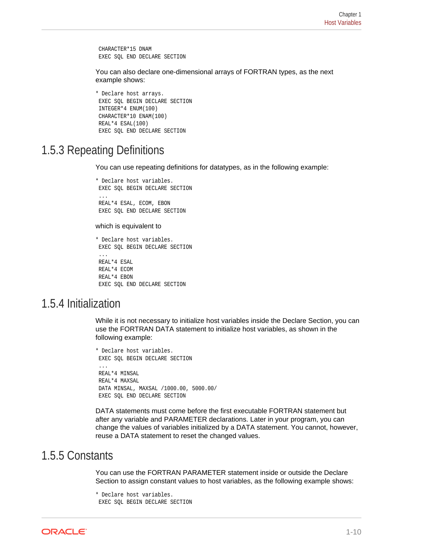```
 CHARACTER*15 DNAM
 EXEC SQL END DECLARE SECTION
```
You can also declare one-dimensional arrays of FORTRAN types, as the next example shows:

```
* Declare host arrays.
 EXEC SQL BEGIN DECLARE SECTION
 INTEGER*4 ENUM(100)
 CHARACTER*10 ENAM(100)
 REAL*4 ESAL(100)
 EXEC SQL END DECLARE SECTION
```
## 1.5.3 Repeating Definitions

You can use repeating definitions for datatypes, as in the following example:

```
* Declare host variables.
 EXEC SQL BEGIN DECLARE SECTION
  ...
 REAL*4 ESAL, ECOM, EBON
 EXEC SQL END DECLARE SECTION
```
which is equivalent to

```
* Declare host variables.
 EXEC SQL BEGIN DECLARE SECTION
 ...
 REAL*4 ESAL
 REAL*4 ECOM
 REAL*4 EBON
 EXEC SQL END DECLARE SECTION
```
## 1.5.4 Initialization

While it is not necessary to initialize host variables inside the Declare Section, you can use the FORTRAN DATA statement to initialize host variables, as shown in the following example:

```
* Declare host variables.
 EXEC SQL BEGIN DECLARE SECTION
 ...
 REAL*4 MINSAL
 REAL*4 MAXSAL
 DATA MINSAL, MAXSAL /1000.00, 5000.00/
 EXEC SQL END DECLARE SECTION
```
DATA statements must come before the first executable FORTRAN statement but after any variable and PARAMETER declarations. Later in your program, you can change the values of variables initialized by a DATA statement. You cannot, however, reuse a DATA statement to reset the changed values.

## 1.5.5 Constants

You can use the FORTRAN PARAMETER statement inside or outside the Declare Section to assign constant values to host variables, as the following example shows:

```
* Declare host variables.
 EXEC SQL BEGIN DECLARE SECTION
```
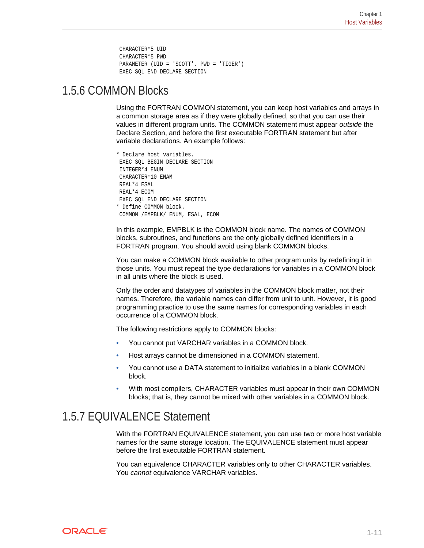```
 CHARACTER*5 UID
 CHARACTER*5 PWD
 PARAMETER (UID = 'SCOTT', PWD = 'TIGER')
 EXEC SQL END DECLARE SECTION
```
## <span id="page-20-0"></span>1.5.6 COMMON Blocks

Using the FORTRAN COMMON statement, you can keep host variables and arrays in a common storage area as if they were globally defined, so that you can use their values in different program units. The COMMON statement must appear *outside* the Declare Section, and before the first executable FORTRAN statement but after variable declarations. An example follows:

\* Declare host variables. EXEC SQL BEGIN DECLARE SECTION INTEGER\*4 ENUM CHARACTER\*10 ENAM REAL\*4 ESAL REAL\*4 ECOM EXEC SQL END DECLARE SECTION \* Define COMMON block. COMMON /EMPBLK/ ENUM, ESAL, ECOM

In this example, EMPBLK is the COMMON block name. The names of COMMON blocks, subroutines, and functions are the only globally defined identifiers in a FORTRAN program. You should avoid using blank COMMON blocks.

You can make a COMMON block available to other program units by redefining it in those units. You must repeat the type declarations for variables in a COMMON block in all units where the block is used.

Only the order and datatypes of variables in the COMMON block matter, not their names. Therefore, the variable names can differ from unit to unit. However, it is good programming practice to use the same names for corresponding variables in each occurrence of a COMMON block.

The following restrictions apply to COMMON blocks:

- You cannot put VARCHAR variables in a COMMON block.
- Host arrays cannot be dimensioned in a COMMON statement.
- You cannot use a DATA statement to initialize variables in a blank COMMON block.
- With most compilers, CHARACTER variables must appear in their own COMMON blocks; that is, they cannot be mixed with other variables in a COMMON block.

## 1.5.7 EQUIVALENCE Statement

With the FORTRAN EQUIVALENCE statement, you can use two or more host variable names for the same storage location. The EQUIVALENCE statement must appear before the first executable FORTRAN statement.

You can equivalence CHARACTER variables only to other CHARACTER variables. You *cannot* equivalence VARCHAR variables.

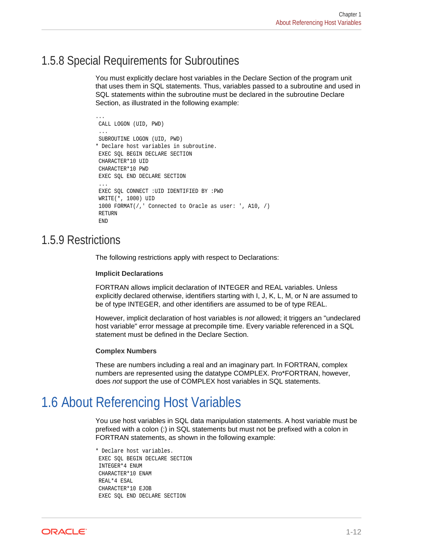## <span id="page-21-0"></span>1.5.8 Special Requirements for Subroutines

You must explicitly declare host variables in the Declare Section of the program unit that uses them in SQL statements. Thus, variables passed to a subroutine and used in SQL statements within the subroutine must be declared in the subroutine Declare Section, as illustrated in the following example:

```
...
 CALL LOGON (UID, PWD)
 ...
 SUBROUTINE LOGON (UID, PWD) 
* Declare host variables in subroutine.
 EXEC SQL BEGIN DECLARE SECTION
 CHARACTER*10 UID
 CHARACTER*10 PWD
 EXEC SQL END DECLARE SECTION
 ...
 EXEC SQL CONNECT :UID IDENTIFIED BY :PWD 
 WRITE(*, 1000) UID
 1000 FORMAT(/,' Connected to Oracle as user: ', A10, /)
 RETURN
 END
```
#### 1.5.9 Restrictions

The following restrictions apply with respect to Declarations:

#### **Implicit Declarations**

FORTRAN allows implicit declaration of INTEGER and REAL variables. Unless explicitly declared otherwise, identifiers starting with I, J, K, L, M, or N are assumed to be of type INTEGER, and other identifiers are assumed to be of type REAL.

However, implicit declaration of host variables is *not* allowed; it triggers an "undeclared host variable" error message at precompile time. Every variable referenced in a SQL statement must be defined in the Declare Section.

#### **Complex Numbers**

These are numbers including a real and an imaginary part. In FORTRAN, complex numbers are represented using the datatype COMPLEX. Pro\*FORTRAN, however, does *not* support the use of COMPLEX host variables in SQL statements.

# 1.6 About Referencing Host Variables

You use host variables in SQL data manipulation statements. A host variable must be prefixed with a colon (:) in SQL statements but must not be prefixed with a colon in FORTRAN statements, as shown in the following example:

\* Declare host variables. EXEC SQL BEGIN DECLARE SECTION INTEGER\*4 ENUM CHARACTER\*10 ENAM REAL\*4 ESAL CHARACTER\*10 EJOB EXEC SQL END DECLARE SECTION

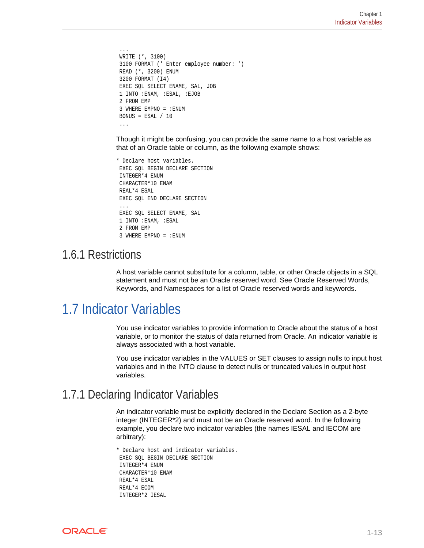```
 ...
 WRITE (*, 3100)
 3100 FORMAT (' Enter employee number: ')
 READ (*, 3200) ENUM
 3200 FORMAT (I4) 
 EXEC SQL SELECT ENAME, SAL, JOB
 1 INTO :ENAM, :ESAL, :EJOB
 2 FROM EMP
 3 WHERE EMPNO = :ENUM 
BONUS = ESAL / 10 ...
```
Though it might be confusing, you can provide the same name to a host variable as that of an Oracle table or column, as the following example shows:

```
* Declare host variables.
 EXEC SQL BEGIN DECLARE SECTION
 INTEGER*4 ENUM
 CHARACTER*10 ENAM
 REAL*4 ESAL
 EXEC SQL END DECLARE SECTION
  ...
 EXEC SQL SELECT ENAME, SAL
 1 INTO :ENAM, :ESAL
 2 FROM EMP
 3 WHERE EMPNO = :ENUM
```
#### 1.6.1 Restrictions

A host variable cannot substitute for a column, table, or other Oracle objects in a SQL statement and must not be an Oracle reserved word. See Oracle Reserved Words, Keywords, and Namespaces for a list of Oracle reserved words and keywords.

# 1.7 Indicator Variables

You use indicator variables to provide information to Oracle about the status of a host variable, or to monitor the status of data returned from Oracle. An indicator variable is always associated with a host variable.

You use indicator variables in the VALUES or SET clauses to assign nulls to input host variables and in the INTO clause to detect nulls or truncated values in output host variables.

#### 1.7.1 Declaring Indicator Variables

An indicator variable must be explicitly declared in the Declare Section as a 2-byte integer (INTEGER\*2) and must not be an Oracle reserved word. In the following example, you declare two indicator variables (the names IESAL and IECOM are arbitrary):

```
* Declare host and indicator variables.
 EXEC SQL BEGIN DECLARE SECTION
 INTEGER*4 ENUM
 CHARACTER*10 ENAM
 REAL*4 ESAL
 REAL*4 ECOM
 INTEGER*2 IESAL
```
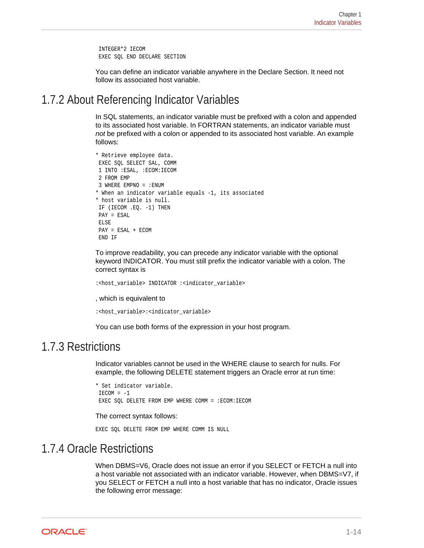```
 INTEGER*2 IECOM
 EXEC SQL END DECLARE SECTION
```
You can define an indicator variable anywhere in the Declare Section. It need not follow its associated host variable.

## <span id="page-23-0"></span>1.7.2 About Referencing Indicator Variables

In SQL statements, an indicator variable must be prefixed with a colon and appended to its associated host variable. In FORTRAN statements, an indicator variable must *not* be prefixed with a colon or appended to its associated host variable. An example follows:

```
* Retrieve employee data.
 EXEC SQL SELECT SAL, COMM
 1 INTO :ESAL, :ECOM:IECOM
 2 FROM EMP
 3 WHERE EMPNO = :ENUM 
* When an indicator variable equals -1, its associated
* host variable is null.
 IF (IECOM .EQ. -1) THEN
 PAY = ESAL
 ELSE
 PAY = ESAL + ECOM
 END IF
```
To improve readability, you can precede any indicator variable with the optional keyword INDICATOR. You must still prefix the indicator variable with a colon. The correct syntax is

```
:<host_variable> INDICATOR :<indicator_variable>
```
, which is equivalent to

```
:<host_variable>:<indicator_variable>
```
You can use both forms of the expression in your host program.

## 1.7.3 Restrictions

Indicator variables cannot be used in the WHERE clause to search for nulls. For example, the following DELETE statement triggers an Oracle error at run time:

```
* Set indicator variable.
IECOM = -1 EXEC SQL DELETE FROM EMP WHERE COMM = :ECOM:IECOM
```
#### The correct syntax follows:

EXEC SQL DELETE FROM EMP WHERE COMM IS NULL

## 1.7.4 Oracle Restrictions

When DBMS=V6, Oracle does not issue an error if you SELECT or FETCH a null into a host variable not associated with an indicator variable. However, when DBMS=V7, if you SELECT or FETCH a null into a host variable that has no indicator, Oracle issues the following error message:

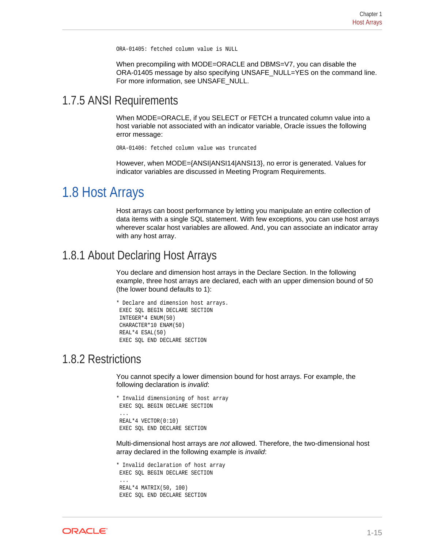ORA-01405: fetched column value is NULL

When precompiling with MODE=ORACLE and DBMS=V7, you can disable the ORA-01405 message by also specifying UNSAFE\_NULL=YES on the command line. For more information, see UNSAFE\_NULL.

#### <span id="page-24-0"></span>1.7.5 ANSI Requirements

When MODE=ORACLE, if you SELECT or FETCH a truncated column value into a host variable not associated with an indicator variable, Oracle issues the following error message:

ORA-01406: fetched column value was truncated

However, when MODE={ANSI|ANSI14|ANSI13}, no error is generated. Values for indicator variables are discussed in Meeting Program Requirements.

# 1.8 Host Arrays

Host arrays can boost performance by letting you manipulate an entire collection of data items with a single SQL statement. With few exceptions, you can use host arrays wherever scalar host variables are allowed. And, you can associate an indicator array with any host array.

## 1.8.1 About Declaring Host Arrays

You declare and dimension host arrays in the Declare Section. In the following example, three host arrays are declared, each with an upper dimension bound of 50 (the lower bound defaults to 1):

```
* Declare and dimension host arrays.
 EXEC SQL BEGIN DECLARE SECTION
 INTEGER*4 ENUM(50)
 CHARACTER*10 ENAM(50)
 REAL*4 ESAL(50)
 EXEC SQL END DECLARE SECTION
```
#### 1.8.2 Restrictions

You cannot specify a lower dimension bound for host arrays. For example, the following declaration is *invalid*:

```
* Invalid dimensioning of host array
 EXEC SQL BEGIN DECLARE SECTION
 ...
 REAL*4 VECTOR(0:10)
 EXEC SQL END DECLARE SECTION
```
Multi-dimensional host arrays are *not* allowed. Therefore, the two-dimensional host array declared in the following example is *invalid*:

```
* Invalid declaration of host array
 EXEC SQL BEGIN DECLARE SECTION
 ...
 REAL*4 MATRIX(50, 100)
 EXEC SQL END DECLARE SECTION
```
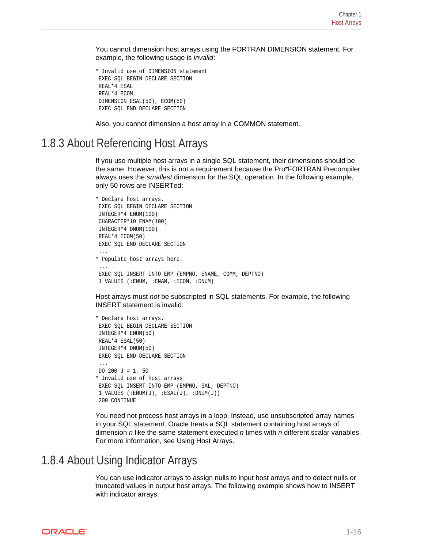<span id="page-25-0"></span>You cannot dimension host arrays using the FORTRAN DIMENSION statement. For example, the following usage is *invalid*:

```
* Invalid use of DIMENSION statement
 EXEC SQL BEGIN DECLARE SECTION
 REAL*4 ESAL
 REAL*4 ECOM
 DIMENSION ESAL(50), ECOM(50)
 EXEC SQL END DECLARE SECTION
```
Also, you cannot dimension a host array in a COMMON statement.

#### 1.8.3 About Referencing Host Arrays

If you use multiple host arrays in a single SQL statement, their dimensions should be the same. However, this is not a requirement because the Pro\*FORTRAN Precompiler always uses the *smallest* dimension for the SQL operation. In the following example, only 50 rows are INSERTed:

```
* Declare host arrays.
 EXEC SQL BEGIN DECLARE SECTION
 INTEGER*4 ENUM(100)
 CHARACTER*10 ENAM(100)
 INTEGER*4 DNUM(100)
 REAL*4 ECOM(50)
 EXEC SQL END DECLARE SECTION
 ...
* Populate host arrays here.
 ...
 EXEC SQL INSERT INTO EMP (EMPNO, ENAME, COMM, DEPTNO)
 1 VALUES (:ENUM, :ENAM, :ECOM, :DNUM)
```
Host arrays must *not* be subscripted in SQL statements. For example, the following INSERT statement is invalid:

```
* Declare host arrays.
 EXEC SQL BEGIN DECLARE SECTION
 INTEGER*4 ENUM(50)
 REAL*4 ESAL(50)
 INTEGER*4 DNUM(50)
 EXEC SQL END DECLARE SECTION
 ...
DO 200 J = 1, 50* Invalid use of host arrays
 EXEC SQL INSERT INTO EMP (EMPNO, SAL, DEPTNO)
1 VALUES (: ENUM(J), : ESAL(J), : DNUM(J))
```
 200 CONTINUE You need not process host arrays in a loop. Instead, use unsubscripted array names in your SQL statement. Oracle treats a SQL statement containing host arrays of dimension *n* like the same statement executed *n* times with *n* different scalar variables. For more information, see Using Host Arrays.

#### 1.8.4 About Using Indicator Arrays

You can use indicator arrays to assign nulls to input host arrays and to detect nulls or truncated values in output host arrays. The following example shows how to INSERT with indicator arrays:

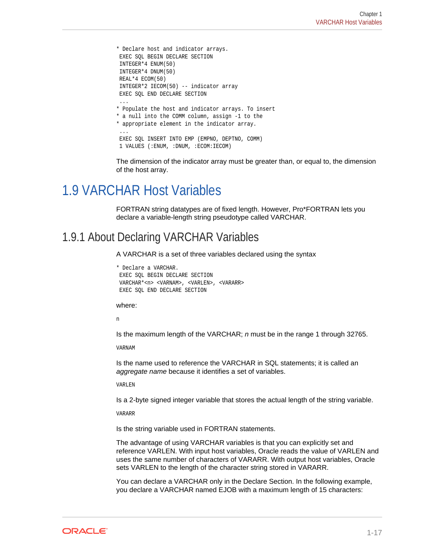```
* Declare host and indicator arrays.
 EXEC SQL BEGIN DECLARE SECTION
 INTEGER*4 ENUM(50)
 INTEGER*4 DNUM(50)
 REAL*4 ECOM(50)
 INTEGER*2 IECOM(50) -- indicator array
 EXEC SQL END DECLARE SECTION
 ...
* Populate the host and indicator arrays. To insert
* a null into the COMM column, assign -1 to the
* appropriate element in the indicator array.
  ...
 EXEC SQL INSERT INTO EMP (EMPNO, DEPTNO, COMM)
 1 VALUES (:ENUM, :DNUM, :ECOM:IECOM)
```
The dimension of the indicator array must be greater than, or equal to, the dimension of the host array.

# 1.9 VARCHAR Host Variables

FORTRAN string datatypes are of fixed length. However, Pro\*FORTRAN lets you declare a variable-length string pseudotype called VARCHAR.

#### 1.9.1 About Declaring VARCHAR Variables

A VARCHAR is a set of three variables declared using the syntax

```
* Declare a VARCHAR.
 EXEC SQL BEGIN DECLARE SECTION
 VARCHAR*<n> <VARNAM>, <VARLEN>, <VARARR>
 EXEC SQL END DECLARE SECTION
```
where:

n

Is the maximum length of the VARCHAR; *n* must be in the range 1 through 32765.

VARNAM

Is the name used to reference the VARCHAR in SQL statements; it is called an *aggregate name* because it identifies a set of variables.

VARLEN

Is a 2-byte signed integer variable that stores the actual length of the string variable.

VARARR

Is the string variable used in FORTRAN statements.

The advantage of using VARCHAR variables is that you can explicitly set and reference VARLEN. With input host variables, Oracle reads the value of VARLEN and uses the same number of characters of VARARR. With output host variables, Oracle sets VARLEN to the length of the character string stored in VARARR.

You can declare a VARCHAR only in the Declare Section. In the following example, you declare a VARCHAR named EJOB with a maximum length of 15 characters:

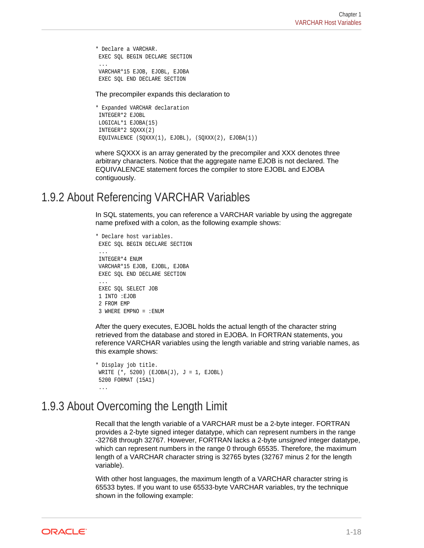<span id="page-27-0"></span>\* Declare a VARCHAR. EXEC SQL BEGIN DECLARE SECTION VARCHAR\*15 EJOB, EJOBL, EJOBA EXEC SQL END DECLARE SECTION

The precompiler expands this declaration to

```
* Expanded VARCHAR declaration
 INTEGER*2 EJOBL
 LOGICAL*1 EJOBA(15)
 INTEGER*2 SQXXX(2)
 EQUIVALENCE (SQXXX(1), EJOBL), (SQXXX(2), EJOBA(1))
```
where SQXXX is an array generated by the precompiler and XXX denotes three arbitrary characters. Notice that the aggregate name EJOB is not declared. The EQUIVALENCE statement forces the compiler to store EJOBL and EJOBA contiguously.

#### 1.9.2 About Referencing VARCHAR Variables

In SQL statements, you can reference a VARCHAR variable by using the aggregate name prefixed with a colon, as the following example shows:

```
* Declare host variables.
 EXEC SQL BEGIN DECLARE SECTION
 ...
 INTEGER*4 ENUM
 VARCHAR*15 EJOB, EJOBL, EJOBA
 EXEC SQL END DECLARE SECTION
 ...
 EXEC SQL SELECT JOB
 1 INTO :EJOB
 2 FROM EMP
 3 WHERE EMPNO = :ENUM
```
After the query executes, EJOBL holds the actual length of the character string retrieved from the database and stored in EJOBA. In FORTRAN statements, you reference VARCHAR variables using the length variable and string variable names, as this example shows:

```
* Display job title.
WRITE (*, 5200) (EJOBA(J), J = 1, EJOBL)
 5200 FORMAT (15A1)
 ...
```
#### 1.9.3 About Overcoming the Length Limit

Recall that the length variable of a VARCHAR must be a 2-byte integer. FORTRAN provides a 2-byte signed integer datatype, which can represent numbers in the range -32768 through 32767. However, FORTRAN lacks a 2-byte *unsigned* integer datatype, which can represent numbers in the range 0 through 65535. Therefore, the maximum length of a VARCHAR character string is 32765 bytes (32767 minus 2 for the length variable).

With other host languages, the maximum length of a VARCHAR character string is 65533 bytes. If you want to use 65533-byte VARCHAR variables, try the technique shown in the following example:

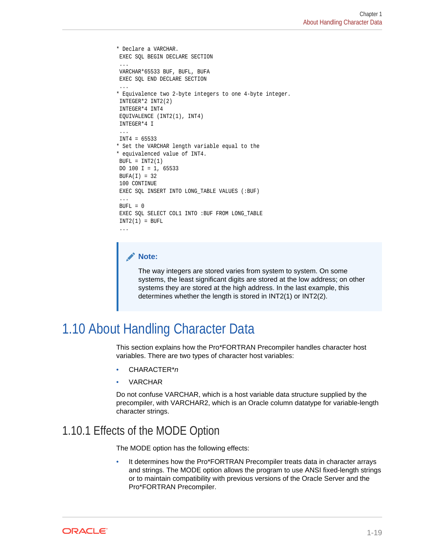```
* Declare a VARCHAR.
 EXEC SQL BEGIN DECLARE SECTION
  ...
 VARCHAR*65533 BUF, BUFL, BUFA
 EXEC SQL END DECLARE SECTION
 ...
* Equivalence two 2-byte integers to one 4-byte integer.
 INTEGER*2 INT2(2)
 INTEGER*4 INT4
 EQUIVALENCE (INT2(1), INT4)
 INTEGER*4 I
  ...
 INT4 = 65533
* Set the VARCHAR length variable equal to the
* equivalenced value of INT4.
BUFL = INT2(1) DO 100 I = 1, 65533
BUFA(I) = 32 100 CONTINUE
 EXEC SQL INSERT INTO LONG_TABLE VALUES (:BUF)
 ...
BUFL = 0 EXEC SQL SELECT COL1 INTO :BUF FROM LONG_TABLE
INT2(1) = BUFL ...
```
#### **Note:**

The way integers are stored varies from system to system. On some systems, the least significant digits are stored at the low address; on other systems they are stored at the high address. In the last example, this determines whether the length is stored in INT2(1) or INT2(2).

# 1.10 About Handling Character Data

This section explains how the Pro\*FORTRAN Precompiler handles character host variables. There are two types of character host variables:

- CHARACTER\**n*
- VARCHAR

Do not confuse VARCHAR, which is a host variable data structure supplied by the precompiler, with VARCHAR2, which is an Oracle column datatype for variable-length character strings.

## 1.10.1 Effects of the MODE Option

The MODE option has the following effects:

• It determines how the Pro\*FORTRAN Precompiler treats data in character arrays and strings. The MODE option allows the program to use ANSI fixed-length strings or to maintain compatibility with previous versions of the Oracle Server and the Pro\*FORTRAN Precompiler.

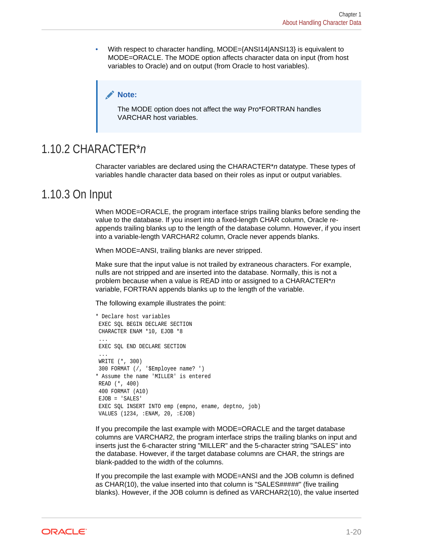<span id="page-29-0"></span>• With respect to character handling, MODE={ANSI14|ANSI13} is equivalent to MODE=ORACLE. The MODE option affects character data on input (from host variables to Oracle) and on output (from Oracle to host variables).

#### **Note:**

The MODE option does not affect the way Pro\*FORTRAN handles VARCHAR host variables.

#### 1.10.2 CHARACTER\**n*

Character variables are declared using the CHARACTER\**n* datatype. These types of variables handle character data based on their roles as input or output variables.

#### 1.10.3 On Input

When MODE=ORACLE, the program interface strips trailing blanks before sending the value to the database. If you insert into a fixed-length CHAR column, Oracle reappends trailing blanks up to the length of the database column. However, if you insert into a variable-length VARCHAR2 column, Oracle never appends blanks.

When MODE=ANSI, trailing blanks are never stripped.

Make sure that the input value is not trailed by extraneous characters. For example, nulls are not stripped and are inserted into the database. Normally, this is not a problem because when a value is READ into or assigned to a CHARACTER\**n* variable, FORTRAN appends blanks up to the length of the variable.

The following example illustrates the point:

```
* Declare host variables
 EXEC SQL BEGIN DECLARE SECTION
 CHARACTER ENAM *10, EJOB *8
 ...
 EXEC SQL END DECLARE SECTION
 ...
 WRITE (*, 300)
 300 FORMAT (/, '$Employee name? ')
* Assume the name 'MILLER' is entered
 READ (*, 400)
 400 FORMAT (A10)
 EJOB = 'SALES'
 EXEC SQL INSERT INTO emp (empno, ename, deptno, job)
 VALUES (1234, :ENAM, 20, :EJOB)
```
If you precompile the last example with MODE=ORACLE and the target database columns are VARCHAR2, the program interface strips the trailing blanks on input and inserts just the 6-character string "MILLER" and the 5-character string "SALES" into the database. However, if the target database columns are CHAR, the strings are blank-padded to the width of the columns.

If you precompile the last example with MODE=ANSI and the JOB column is defined as CHAR(10), the value inserted into that column is "SALES#####" (five trailing blanks). However, if the JOB column is defined as VARCHAR2(10), the value inserted

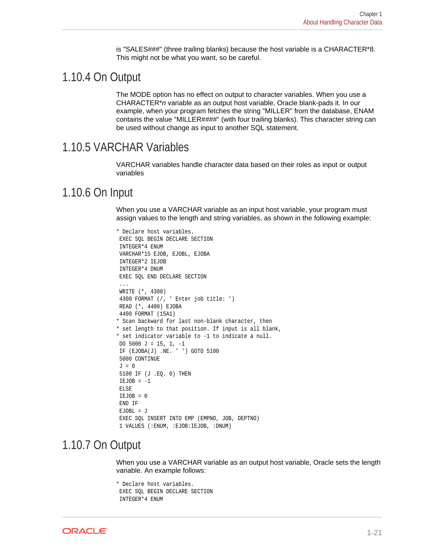is "SALES###" (three trailing blanks) because the host variable is a CHARACTER\*8. This might not be what you want, so be careful.

## <span id="page-30-0"></span>1.10.4 On Output

The MODE option has no effect on output to character variables. When you use a CHARACTER\**n* variable as an output host variable, Oracle blank-pads it. In our example, when your program fetches the string "MILLER" from the database, ENAM contains the value "MILLER####" (with four trailing blanks). This character string can be used without change as input to another SQL statement.

#### 1.10.5 VARCHAR Variables

VARCHAR variables handle character data based on their roles as input or output variables

#### 1.10.6 On Input

When you use a VARCHAR variable as an input host variable, your program must assign values to the length and string variables, as shown in the following example:

```
* Declare host variables.
 EXEC SQL BEGIN DECLARE SECTION
 INTEGER*4 ENUM
 VARCHAR*15 EJOB, EJOBL, EJOBA
 INTEGER*2 IEJOB
 INTEGER*4 DNUM
 EXEC SQL END DECLARE SECTION
 ...
 WRITE (*, 4300)
 4300 FORMAT (/, ' Enter job title: ')
 READ (*, 4400) EJOBA
 4400 FORMAT (15A1) 
* Scan backward for last non-blank character, then
* set length to that position. If input is all blank,
* set indicator variable to -1 to indicate a null.
DO 5000 J = 15, 1, -1 IF (EJOBA(J) .NE. ' ') GOTO 5100
 5000 CONTINUE
J = 0 5100 IF (J .EQ. 0) THEN
IEJOB = -1 ELSE
 IEJOB = 0
 END IF 
 EJOBL = J 
 EXEC SQL INSERT INTO EMP (EMPNO, JOB, DEPTNO)
 1 VALUES (:ENUM, :EJOB:IEJOB, :DNUM)
```
#### 1.10.7 On Output

When you use a VARCHAR variable as an output host variable, Oracle sets the length variable. An example follows:

\* Declare host variables. EXEC SQL BEGIN DECLARE SECTION INTEGER\*4 ENUM

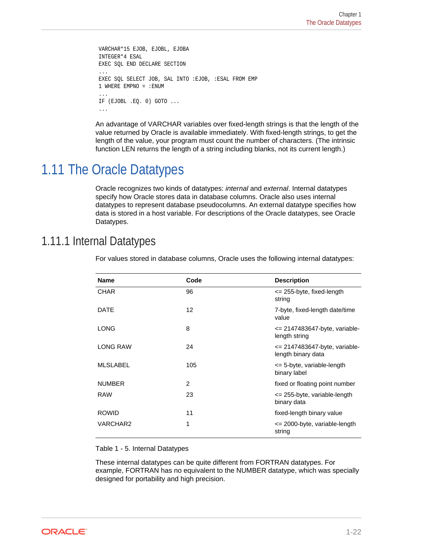```
 VARCHAR*15 EJOB, EJOBL, EJOBA
 INTEGER*4 ESAL
 EXEC SQL END DECLARE SECTION
 ...
 EXEC SQL SELECT JOB, SAL INTO :EJOB, :ESAL FROM EMP
 1 WHERE EMPNO = :ENUM
 ...
 IF (EJOBL .EQ. 0) GOTO ...
 ...
```
An advantage of VARCHAR variables over fixed-length strings is that the length of the value returned by Oracle is available immediately. With fixed-length strings, to get the length of the value, your program must count the number of characters. (The intrinsic function LEN returns the length of a string including blanks, not its current length.)

# 1.11 The Oracle Datatypes

Oracle recognizes two kinds of datatypes: *internal* and *external*. Internal datatypes specify how Oracle stores data in database columns. Oracle also uses internal datatypes to represent database pseudocolumns. An external datatype specifies how data is stored in a host variable. For descriptions of the Oracle datatypes, see Oracle Datatypes.

## 1.11.1 Internal Datatypes

| Name          | Code          | <b>Description</b>                                     |
|---------------|---------------|--------------------------------------------------------|
| CHAR          | 96            | $\leq$ 255-byte, fixed-length<br>string                |
| DATE          | 12            | 7-byte, fixed-length date/time<br>value                |
| LONG          | 8             | $\le$ 2147483647-byte, variable-<br>length string      |
| LONG RAW      | 24            | $\le$ 2147483647-byte, variable-<br>length binary data |
| MLSLABEL      | 105           | $\leq$ 5-byte, variable-length<br>binary label         |
| <b>NUMBER</b> | $\mathcal{P}$ | fixed or floating point number                         |
| <b>RAW</b>    | 23            | $\leq$ 255-byte, variable-length<br>binary data        |
| ROWID         | 11            | fixed-length binary value                              |
| VARCHAR2      | $\mathbf{1}$  | $\leq$ 2000-byte, variable-length<br>string            |

For values stored in database columns, Oracle uses the following internal datatypes:

Table 1 - 5. Internal Datatypes

These internal datatypes can be quite different from FORTRAN datatypes. For example, FORTRAN has no equivalent to the NUMBER datatype, which was specially designed for portability and high precision.

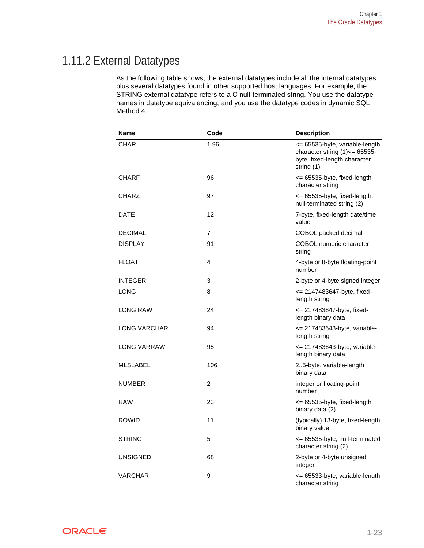# <span id="page-32-0"></span>1.11.2 External Datatypes

As the following table shows, the external datatypes include all the internal datatypes plus several datatypes found in other supported host languages. For example, the STRING external datatype refers to a C null-terminated string. You use the datatype names in datatype equivalencing, and you use the datatype codes in dynamic SQL Method 4.

| Name                | Code           | <b>Description</b>                                                                                                 |
|---------------------|----------------|--------------------------------------------------------------------------------------------------------------------|
| <b>CHAR</b>         | 196            | <= 65535-byte, variable-length<br>character string $(1)$ <= 65535-<br>byte, fixed-length character<br>string $(1)$ |
| <b>CHARF</b>        | 96             | <= 65535-byte, fixed-length<br>character string                                                                    |
| <b>CHARZ</b>        | 97             | <= 65535-byte, fixed-length,<br>null-terminated string (2)                                                         |
| DATE                | 12             | 7-byte, fixed-length date/time<br>value                                                                            |
| <b>DECIMAL</b>      | $\overline{7}$ | COBOL packed decimal                                                                                               |
| <b>DISPLAY</b>      | 91             | COBOL numeric character<br>string                                                                                  |
| <b>FLOAT</b>        | 4              | 4-byte or 8-byte floating-point<br>number                                                                          |
| <b>INTEGER</b>      | 3              | 2-byte or 4-byte signed integer                                                                                    |
| LONG                | 8              | <= 2147483647-byte, fixed-<br>length string                                                                        |
| <b>LONG RAW</b>     | 24             | <= 217483647-byte, fixed-<br>length binary data                                                                    |
| <b>LONG VARCHAR</b> | 94             | <= 217483643-byte, variable-<br>length string                                                                      |
| <b>LONG VARRAW</b>  | 95             | <= 217483643-byte, variable-<br>length binary data                                                                 |
| <b>MLSLABEL</b>     | 106            | 25-byte, variable-length<br>binary data                                                                            |
| <b>NUMBER</b>       | 2              | integer or floating-point<br>number                                                                                |
| <b>RAW</b>          | 23             | <= 65535-byte, fixed-length<br>binary data (2)                                                                     |
| <b>ROWID</b>        | 11             | (typically) 13-byte, fixed-length<br>binary value                                                                  |
| <b>STRING</b>       | 5              | <= 65535-byte, null-terminated<br>character string (2)                                                             |
| <b>UNSIGNED</b>     | 68             | 2-byte or 4-byte unsigned<br>integer                                                                               |
| <b>VARCHAR</b>      | 9              | <= 65533-byte, variable-length<br>character string                                                                 |

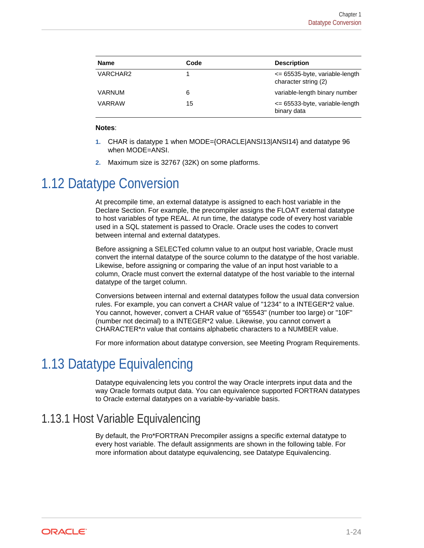<span id="page-33-0"></span>

| <b>Name</b>   | Code | <b>Description</b>                                        |
|---------------|------|-----------------------------------------------------------|
| VARCHAR2      |      | $\le$ 65535-byte, variable-length<br>character string (2) |
| <b>VARNUM</b> | 6    | variable-length binary number                             |
| <b>VARRAW</b> | 15   | $\le$ 65533-byte, variable-length<br>binary data          |

#### **Notes**:

- **1.** CHAR is datatype 1 when MODE={ORACLE|ANSI13|ANSI14} and datatype 96 when MODE=ANSI.
- **2.** Maximum size is 32767 (32K) on some platforms.

# 1.12 Datatype Conversion

At precompile time, an external datatype is assigned to each host variable in the Declare Section. For example, the precompiler assigns the FLOAT external datatype to host variables of type REAL. At run time, the datatype code of every host variable used in a SQL statement is passed to Oracle. Oracle uses the codes to convert between internal and external datatypes.

Before assigning a SELECTed column value to an output host variable, Oracle must convert the internal datatype of the source column to the datatype of the host variable. Likewise, before assigning or comparing the value of an input host variable to a column, Oracle must convert the external datatype of the host variable to the internal datatype of the target column.

Conversions between internal and external datatypes follow the usual data conversion rules. For example, you can convert a CHAR value of "1234" to a INTEGER\*2 value. You cannot, however, convert a CHAR value of "65543" (number too large) or "10F" (number not decimal) to a INTEGER\*2 value. Likewise, you cannot convert a CHARACTER\**n* value that contains alphabetic characters to a NUMBER value.

For more information about datatype conversion, see Meeting Program Requirements.

# 1.13 Datatype Equivalencing

Datatype equivalencing lets you control the way Oracle interprets input data and the way Oracle formats output data. You can equivalence supported FORTRAN datatypes to Oracle external datatypes on a variable-by-variable basis.

## 1.13.1 Host Variable Equivalencing

By default, the Pro\*FORTRAN Precompiler assigns a specific external datatype to every host variable. The default assignments are shown in the following table. For more information about datatype equivalencing, see Datatype Equivalencing.

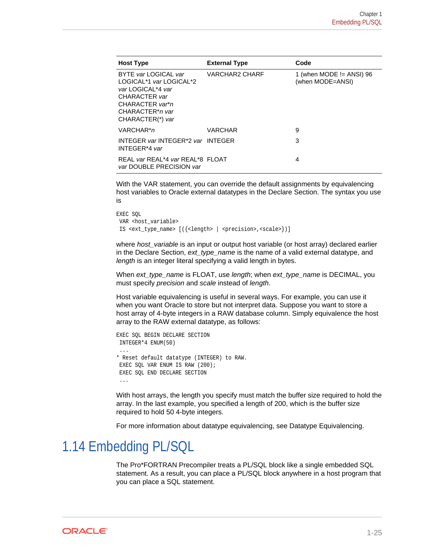<span id="page-34-0"></span>

| <b>Host Type</b>                                                                                                                                                   | <b>External Type</b>  | Code                                           |
|--------------------------------------------------------------------------------------------------------------------------------------------------------------------|-----------------------|------------------------------------------------|
| <b>BYTE var LOGICAL var</b><br>LOGICAL*1 var LOGICAL*2<br>var LOGICAL*4 var<br>CHARACTER var<br>CHARACTER var*n<br>CHARACTER*n var<br>CHARACTER <sup>(*)</sup> var | <b>VARCHAR2 CHARF</b> | 1 (when MODE $!=$ ANSI) 96<br>(when MODE=ANSI) |
| VARCHAR*n                                                                                                                                                          | VARCHAR               | 9                                              |
| INTEGER var INTEGER*2 var INTEGER<br>INTEGER*4 var                                                                                                                 |                       | 3                                              |
| REAL var REAL*4 var REAL*8 FLOAT<br>var DOUBLE PRECISION var                                                                                                       |                       | 4                                              |

With the VAR statement, you can override the default assignments by equivalencing host variables to Oracle external datatypes in the Declare Section. The syntax you use is

```
EXEC SQL
VAR <host_variable>
 IS <ext_type_name> [({<length> | <precision>,<scale>})]
```
where *host* variable is an input or output host variable (or host array) declared earlier in the Declare Section, *ext\_type\_name* is the name of a valid external datatype, and *length* is an integer literal specifying a valid length in bytes.

When *ext\_type\_name* is FLOAT, use *length*; when *ext\_type\_name* is DECIMAL, you must specify *precision* and *scale* instead of *length*.

Host variable equivalencing is useful in several ways. For example, you can use it when you want Oracle to store but not interpret data. Suppose you want to store a host array of 4-byte integers in a RAW database column. Simply equivalence the host array to the RAW external datatype, as follows:

```
EXEC SQL BEGIN DECLARE SECTION
 INTEGER*4 ENUM(50)
  ...
* Reset default datatype (INTEGER) to RAW.
 EXEC SQL VAR ENUM IS RAW (200);
 EXEC SQL END DECLARE SECTION
  ...
```
With host arrays, the length you specify must match the buffer size required to hold the array. In the last example, you specified a length of 200, which is the buffer size required to hold 50 4-byte integers.

For more information about datatype equivalencing, see Datatype Equivalencing.

# 1.14 Embedding PL/SQL

The Pro\*FORTRAN Precompiler treats a PL/SQL block like a single embedded SQL statement. As a result, you can place a PL/SQL block anywhere in a host program that you can place a SQL statement.

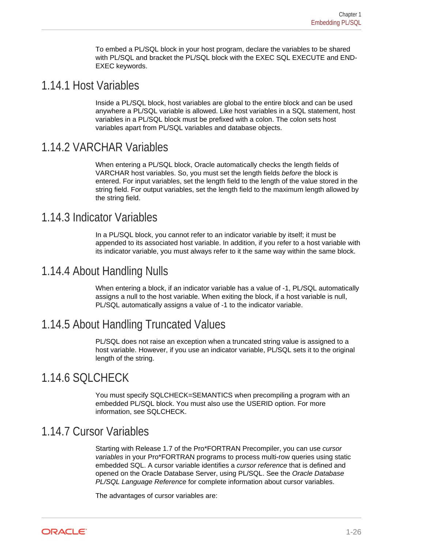To embed a PL/SQL block in your host program, declare the variables to be shared with PL/SQL and bracket the PL/SQL block with the EXEC SQL EXECUTE and END-EXEC keywords.

#### <span id="page-35-0"></span>1.14.1 Host Variables

Inside a PL/SQL block, host variables are global to the entire block and can be used anywhere a PL/SQL variable is allowed. Like host variables in a SQL statement, host variables in a PL/SQL block must be prefixed with a colon. The colon sets host variables apart from PL/SQL variables and database objects.

#### 1.14.2 VARCHAR Variables

When entering a PL/SQL block, Oracle automatically checks the length fields of VARCHAR host variables. So, you must set the length fields *before* the block is entered. For input variables, set the length field to the length of the value stored in the string field. For output variables, set the length field to the maximum length allowed by the string field.

#### 1.14.3 Indicator Variables

In a PL/SQL block, you cannot refer to an indicator variable by itself; it must be appended to its associated host variable. In addition, if you refer to a host variable with its indicator variable, you must always refer to it the same way within the same block.

#### 1.14.4 About Handling Nulls

When entering a block, if an indicator variable has a value of -1, PL/SQL automatically assigns a null to the host variable. When exiting the block, if a host variable is null, PL/SQL automatically assigns a value of -1 to the indicator variable.

## 1.14.5 About Handling Truncated Values

PL/SQL does not raise an exception when a truncated string value is assigned to a host variable. However, if you use an indicator variable, PL/SQL sets it to the original length of the string.

## 1.14.6 SQLCHECK

You must specify SQLCHECK=SEMANTICS when precompiling a program with an embedded PL/SQL block. You must also use the USERID option. For more information, see SQLCHECK.

## 1.14.7 Cursor Variables

Starting with Release 1.7 of the Pro\*FORTRAN Precompiler, you can use *cursor variables* in your Pro\*FORTRAN programs to process multi-row queries using static embedded SQL. A cursor variable identifies a *cursor reference* that is defined and opened on the Oracle Database Server, using PL/SQL. See the *Oracle Database PL/SQL Language Reference* for complete information about cursor variables.

The advantages of cursor variables are:

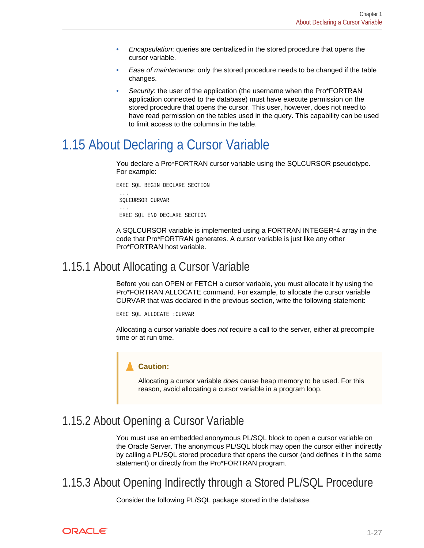- *Encapsulation*: queries are centralized in the stored procedure that opens the cursor variable.
- *Ease of maintenance*: only the stored procedure needs to be changed if the table changes.
- *Security*: the user of the application (the username when the Pro\*FORTRAN application connected to the database) must have execute permission on the stored procedure that opens the cursor. This user, however, does not need to have read permission on the tables used in the query. This capability can be used to limit access to the columns in the table.

# 1.15 About Declaring a Cursor Variable

You declare a Pro\*FORTRAN cursor variable using the SQLCURSOR pseudotype. For example:

EXEC SQL BEGIN DECLARE SECTION ... SQLCURSOR CURVAR ... EXEC SQL END DECLARE SECTION

A SQLCURSOR variable is implemented using a FORTRAN INTEGER\*4 array in the code that Pro\*FORTRAN generates. A cursor variable is just like any other Pro\*FORTRAN host variable.

### 1.15.1 About Allocating a Cursor Variable

Before you can OPEN or FETCH a cursor variable, you must allocate it by using the Pro\*FORTRAN ALLOCATE command. For example, to allocate the cursor variable CURVAR that was declared in the previous section, write the following statement:

EXEC SQL ALLOCATE :CURVAR

Allocating a cursor variable does *not* require a call to the server, either at precompile time or at run time.

#### **Caution:**

Allocating a cursor variable *does* cause heap memory to be used. For this reason, avoid allocating a cursor variable in a program loop.

### 1.15.2 About Opening a Cursor Variable

You must use an embedded anonymous PL/SQL block to open a cursor variable on the Oracle Server. The anonymous PL/SQL block may open the cursor either indirectly by calling a PL/SQL stored procedure that opens the cursor (and defines it in the same statement) or directly from the Pro\*FORTRAN program.

### 1.15.3 About Opening Indirectly through a Stored PL/SQL Procedure

Consider the following PL/SQL package stored in the database:

ORACLE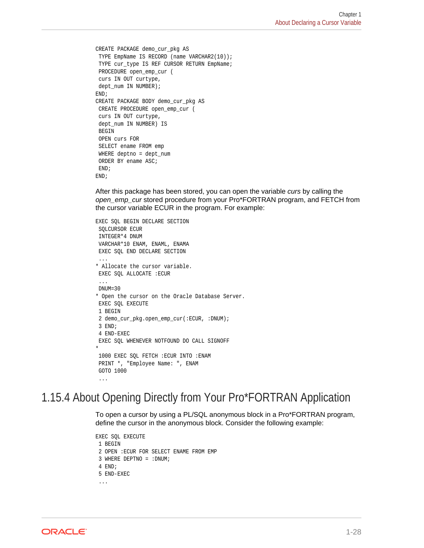```
CREATE PACKAGE demo_cur_pkg AS
 TYPE EmpName IS RECORD (name VARCHAR2(10));
  TYPE cur_type IS REF CURSOR RETURN EmpName;
 PROCEDURE open_emp_cur (
 curs IN OUT curtype,
 dept_num IN NUMBER);
END;
CREATE PACKAGE BODY demo_cur_pkg AS
 CREATE PROCEDURE open_emp_cur (
  curs IN OUT curtype,
  dept_num IN NUMBER) IS
  BEGIN
  OPEN curs FOR
  SELECT ename FROM emp
 WHERE deptno = dept_num
  ORDER BY ename ASC;
  END;
END;
```
After this package has been stored, you can open the variable *curs* by calling the *open\_emp\_cur* stored procedure from your Pro\*FORTRAN program, and FETCH from the cursor variable ECUR in the program. For example:

```
EXEC SQL BEGIN DECLARE SECTION
 SQLCURSOR ECUR
 INTEGER*4 DNUM
 VARCHAR*10 ENAM, ENAML, ENAMA
  EXEC SQL END DECLARE SECTION
  ...
* Allocate the cursor variable.
  EXEC SQL ALLOCATE :ECUR
  ...
 DNUM=30
* Open the cursor on the Oracle Database Server.
 EXEC SQL EXECUTE
  1 BEGIN
  2 demo_cur_pkg.open_emp_cur(:ECUR, :DNUM);
  3 END;
  4 END-EXEC
  EXEC SQL WHENEVER NOTFOUND DO CALL SIGNOFF
*
 1000 EXEC SQL FETCH :ECUR INTO :ENAM
  PRINT *, "Employee Name: ", ENAM
  GOTO 1000
  ...
```
### 1.15.4 About Opening Directly from Your Pro\*FORTRAN Application

To open a cursor by using a PL/SQL anonymous block in a Pro\*FORTRAN program, define the cursor in the anonymous block. Consider the following example:

```
EXEC SQL EXECUTE
 1 BEGIN
 2 OPEN :ECUR FOR SELECT ENAME FROM EMP
  3 WHERE DEPTNO = :DNUM;
  4 END;
  5 END-EXEC
  ...
```
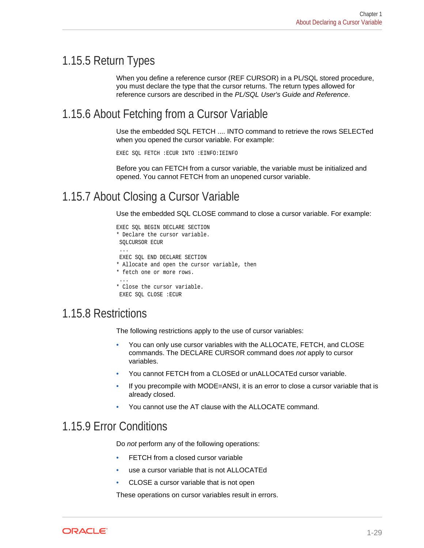### 1.15.5 Return Types

When you define a reference cursor (REF CURSOR) in a PL/SQL stored procedure, you must declare the type that the cursor returns. The return types allowed for reference cursors are described in the *PL/SQL User's Guide and Reference*.

### 1.15.6 About Fetching from a Cursor Variable

Use the embedded SQL FETCH .... INTO command to retrieve the rows SELECTed when you opened the cursor variable. For example:

EXEC SQL FETCH :ECUR INTO :EINFO:IEINFO

Before you can FETCH from a cursor variable, the variable must be initialized and opened. You cannot FETCH from an unopened cursor variable.

### 1.15.7 About Closing a Cursor Variable

Use the embedded SQL CLOSE command to close a cursor variable. For example:

```
EXEC SQL BEGIN DECLARE SECTION
* Declare the cursor variable.
 SQLCURSOR ECUR
  ...
 EXEC SQL END DECLARE SECTION
* Allocate and open the cursor variable, then
* fetch one or more rows.
 ...
* Close the cursor variable.
 EXEC SQL CLOSE :ECUR
```
### 1.15.8 Restrictions

The following restrictions apply to the use of cursor variables:

- You can only use cursor variables with the ALLOCATE, FETCH, and CLOSE commands. The DECLARE CURSOR command does *not* apply to cursor variables.
- You cannot FETCH from a CLOSEd or unALLOCATEd cursor variable.
- If you precompile with MODE=ANSI, it is an error to close a cursor variable that is already closed.
- You cannot use the AT clause with the ALLOCATE command.

### 1.15.9 Error Conditions

Do *not* perform any of the following operations:

- FETCH from a closed cursor variable
- use a cursor variable that is not ALLOCATEd
- CLOSE a cursor variable that is not open

These operations on cursor variables result in errors.

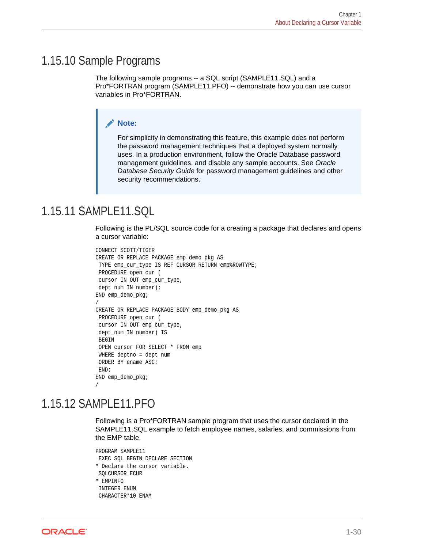### 1.15.10 Sample Programs

The following sample programs -- a SQL script (SAMPLE11.SQL) and a Pro\*FORTRAN program (SAMPLE11.PFO) -- demonstrate how you can use cursor variables in Pro\*FORTRAN.

#### **Note:**

For simplicity in demonstrating this feature, this example does not perform the password management techniques that a deployed system normally uses. In a production environment, follow the Oracle Database password management guidelines, and disable any sample accounts. See *Oracle Database Security Guide* for password management guidelines and other security recommendations.

### 1.15.11 SAMPLE11.SQL

Following is the PL/SQL source code for a creating a package that declares and opens a cursor variable:

```
CONNECT SCOTT/TIGER
CREATE OR REPLACE PACKAGE emp_demo_pkg AS
 TYPE emp_cur_type IS REF CURSOR RETURN emp%ROWTYPE;
  PROCEDURE open_cur (
  cursor IN OUT emp_cur_type,
  dept_num IN number);
END emp_demo_pkg;
/ 
CREATE OR REPLACE PACKAGE BODY emp_demo_pkg AS
 PROCEDURE open_cur (
 cursor IN OUT emp_cur_type, 
 dept_num IN number) IS
  BEGIN 
  OPEN cursor FOR SELECT * FROM emp
 WHERE deptno = dept_num
  ORDER BY ename ASC;
  END;
END emp_demo_pkg;
/
```
### 1.15.12 SAMPLE11.PFO

Following is a Pro\*FORTRAN sample program that uses the cursor declared in the SAMPLE11.SQL example to fetch employee names, salaries, and commissions from the EMP table.

PROGRAM SAMPLE11 EXEC SQL BEGIN DECLARE SECTION \* Declare the cursor variable. SQLCURSOR ECUR \* EMPINFO INTEGER ENUM CHARACTER\*10 ENAM

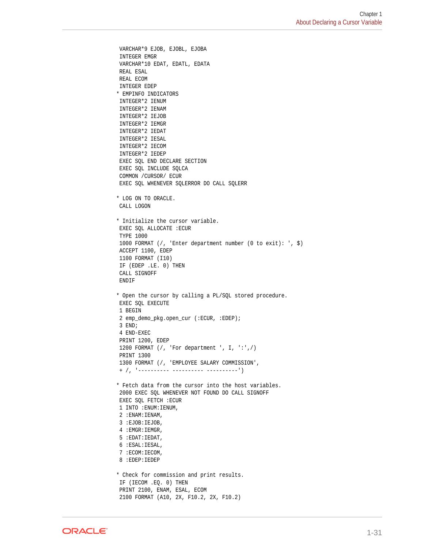```
 VARCHAR*9 EJOB, EJOBL, EJOBA
 INTEGER EMGR
 VARCHAR*10 EDAT, EDATL, EDATA
 REAL ESAL
 REAL ECOM
 INTEGER EDEP
* EMPINFO INDICATORS
 INTEGER*2 IENUM
 INTEGER*2 IENAM
 INTEGER*2 IEJOB
 INTEGER*2 IEMGR
 INTEGER*2 IEDAT
 INTEGER*2 IESAL
 INTEGER*2 IECOM
 INTEGER*2 IEDEP
 EXEC SQL END DECLARE SECTION
 EXEC SQL INCLUDE SQLCA
 COMMON /CURSOR/ ECUR
 EXEC SQL WHENEVER SQLERROR DO CALL SQLERR
* LOG ON TO ORACLE.
 CALL LOGON
* Initialize the cursor variable.
 EXEC SQL ALLOCATE :ECUR
 TYPE 1000
 1000 FORMAT (/, 'Enter department number (0 to exit): ', $)
 ACCEPT 1100, EDEP
 1100 FORMAT (I10)
 IF (EDEP .LE. 0) THEN
 CALL SIGNOFF
 ENDIF
* Open the cursor by calling a PL/SQL stored procedure.
 EXEC SQL EXECUTE
 1 BEGIN
 2 emp_demo_pkg.open_cur (:ECUR, :EDEP);
 3 END;
 4 END-EXEC
 PRINT 1200, EDEP
 1200 FORMAT (/, 'For department ', I, ':',/)
 PRINT 1300
 1300 FORMAT (/, 'EMPLOYEE SALARY COMMISSION',
 + /, '---------- ---------- ----------')
* Fetch data from the cursor into the host variables.
 2000 EXEC SQL WHENEVER NOT FOUND DO CALL SIGNOFF
 EXEC SQL FETCH :ECUR
 1 INTO :ENUM:IENUM,
 2 :ENAM:IENAM,
 3 :EJOB:IEJOB,
 4 :EMGR:IEMGR,
 5 :EDAT:IEDAT,
 6 :ESAL:IESAL,
 7 :ECOM:IECOM,
 8 :EDEP:IEDEP
* Check for commission and print results.
 IF (IECOM .EQ. 0) THEN
 PRINT 2100, ENAM, ESAL, ECOM
 2100 FORMAT (A10, 2X, F10.2, 2X, F10.2)
```
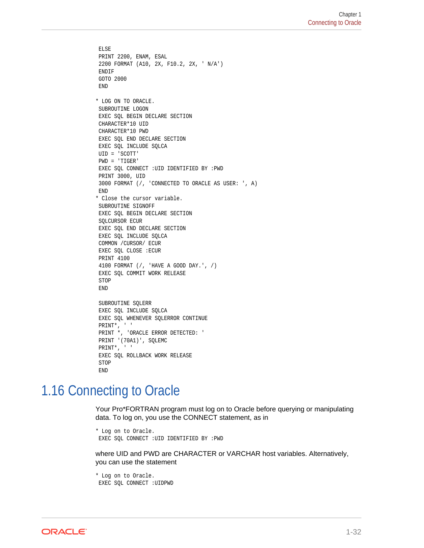```
 ELSE
 PRINT 2200, ENAM, ESAL
 2200 FORMAT (A10, 2X, F10.2, 2X, ' N/A')
 ENDIF
 GOTO 2000
 END
* LOG ON TO ORACLE.
 SUBROUTINE LOGON
 EXEC SQL BEGIN DECLARE SECTION
 CHARACTER*10 UID
 CHARACTER*10 PWD
 EXEC SQL END DECLARE SECTION
 EXEC SQL INCLUDE SQLCA
 UID = 'SCOTT'
 PWD = 'TIGER'
 EXEC SQL CONNECT :UID IDENTIFIED BY :PWD
 PRINT 3000, UID
 3000 FORMAT (/, 'CONNECTED TO ORACLE AS USER: ', A)
 END
* Close the cursor variable.
 SUBROUTINE SIGNOFF
 EXEC SQL BEGIN DECLARE SECTION
 SQLCURSOR ECUR
 EXEC SQL END DECLARE SECTION
EXEC SOL INCLUDE SOLCA
 COMMON /CURSOR/ ECUR
 EXEC SQL CLOSE :ECUR
 PRINT 4100
 4100 FORMAT (/, 'HAVE A GOOD DAY.', /)
 EXEC SQL COMMIT WORK RELEASE
 STOP
 END
 SUBROUTINE SQLERR
 EXEC SQL INCLUDE SQLCA
 EXEC SQL WHENEVER SQLERROR CONTINUE
 PRINT*, ' '
 PRINT *, 'ORACLE ERROR DETECTED: '
 PRINT '(70A1)', SQLEMC
 PRINT*, ' '
 EXEC SQL ROLLBACK WORK RELEASE
```
### 1.16 Connecting to Oracle

 STOP END

Your Pro\*FORTRAN program must log on to Oracle before querying or manipulating data. To log on, you use the CONNECT statement, as in

```
* Log on to Oracle.
 EXEC SQL CONNECT :UID IDENTIFIED BY :PWD
```
where UID and PWD are CHARACTER or VARCHAR host variables. Alternatively, you can use the statement

```
* Log on to Oracle.
 EXEC SQL CONNECT :UIDPWD
```
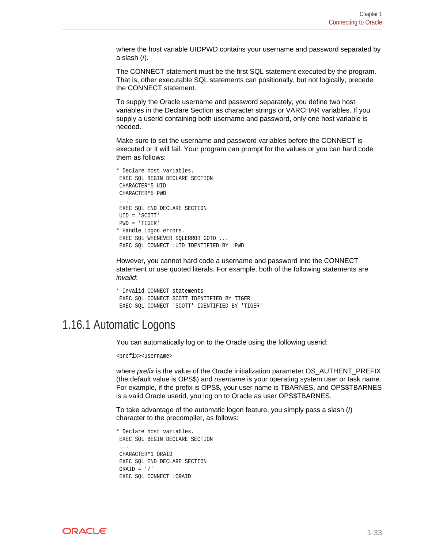where the host variable UIDPWD contains your username and password separated by a slash (/).

The CONNECT statement must be the first SQL statement executed by the program. That is, other executable SQL statements can positionally, but not logically, precede the CONNECT statement.

To supply the Oracle username and password separately, you define two host variables in the Declare Section as character strings or VARCHAR variables. If you supply a userid containing both username and password, only one host variable is needed.

Make sure to set the username and password variables before the CONNECT is executed or it will fail. Your program can prompt for the values or you can hard code them as follows:

```
* Declare host variables.
 EXEC SQL BEGIN DECLARE SECTION
 CHARACTER*5 UID
 CHARACTER*5 PWD
 ...
 EXEC SQL END DECLARE SECTION
 UID = 'SCOTT'
 PWD = 'TIGER'
* Handle logon errors.
 EXEC SQL WHENEVER SQLERROR GOTO ...
 EXEC SQL CONNECT :UID IDENTIFIED BY :PWD
```
However, you cannot hard code a username and password into the CONNECT statement or use quoted literals. For example, both of the following statements are *invalid*:

```
* Invalid CONNECT statements
EXEC SOL CONNECT SCOTT IDENTIFIED BY TIGER
 EXEC SQL CONNECT 'SCOTT' IDENTIFIED BY 'TIGER'
```
#### 1.16.1 Automatic Logons

You can automatically log on to the Oracle using the following userid:

<prefix><username>

where *prefix* is the value of the Oracle initialization parameter OS\_AUTHENT\_PREFIX (the default value is OPS\$) and *username* is your operating system user or task name. For example, if the prefix is OPS\$, your user name is TBARNES, and OPS\$TBARNES is a valid Oracle userid, you log on to Oracle as user OPS\$TBARNES.

To take advantage of the automatic logon feature, you simply pass a slash (/) character to the precompiler, as follows:

```
* Declare host variables.
 EXEC SQL BEGIN DECLARE SECTION
  ...
 CHARACTER*1 ORAID
 EXEC SQL END DECLARE SECTION 
ORAID = ' EXEC SQL CONNECT :ORAID
```
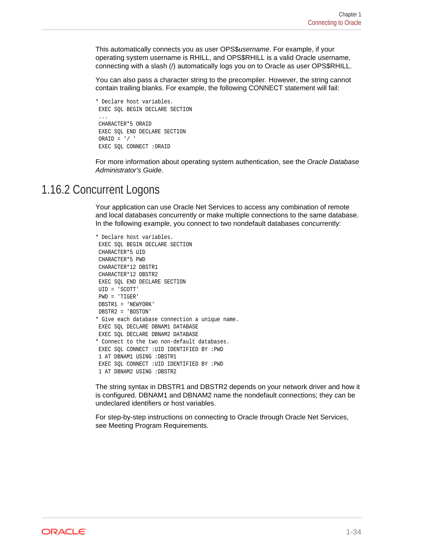This automatically connects you as user OPS\$*username*. For example, if your operating system username is RHILL, and OPS\$RHILL is a valid Oracle username, connecting with a slash (/) automatically logs you on to Oracle as user OPS\$RHILL.

You can also pass a character string to the precompiler. However, the string cannot contain trailing blanks. For example, the following CONNECT statement will fail:

\* Declare host variables. EXEC SQL BEGIN DECLARE SECTION ... CHARACTER\*5 ORAID EXEC SQL END DECLARE SECTION  $ORAID = ' / '$ EXEC SQL CONNECT :ORAID

For more information about operating system authentication, see the *Oracle Database Administrator's Guide*.

#### 1.16.2 Concurrent Logons

Your application can use Oracle Net Services to access any combination of remote and local databases concurrently or make multiple connections to the same database. In the following example, you connect to two nondefault databases concurrently:

```
* Declare host variables.
 EXEC SQL BEGIN DECLARE SECTION
 CHARACTER*5 UID
 CHARACTER*5 PWD
 CHARACTER*12 DBSTR1
 CHARACTER*12 DBSTR2
 EXEC SQL END DECLARE SECTION
 UID = 'SCOTT'
 PWD = 'TIGER'
 DBSTR1 = 'NEWYORK'
 DBSTR2 = 'BOSTON'
* Give each database connection a unique name.
 EXEC SQL DECLARE DBNAM1 DATABASE
 EXEC SQL DECLARE DBNAM2 DATABASE
* Connect to the two non-default databases.
 EXEC SQL CONNECT :UID IDENTIFIED BY :PWD
 1 AT DBNAM1 USING :DBSTR1
 EXEC SQL CONNECT :UID IDENTIFIED BY :PWD
 1 AT DBNAM2 USING :DBSTR2
```
The string syntax in DBSTR1 and DBSTR2 depends on your network driver and how it is configured. DBNAM1 and DBNAM2 name the nondefault connections; they can be undeclared identifiers or host variables.

For step-by-step instructions on connecting to Oracle through Oracle Net Services, see Meeting Program Requirements.

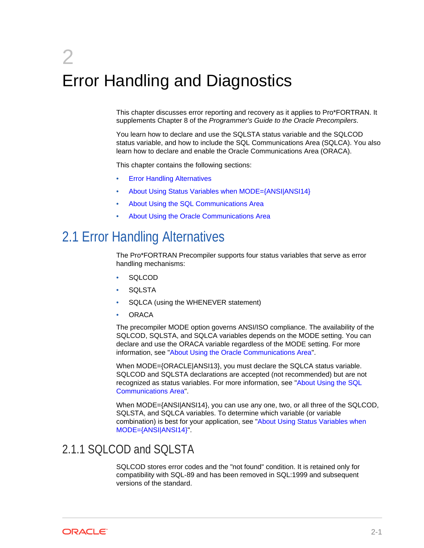# 2 Error Handling and Diagnostics

This chapter discusses error reporting and recovery as it applies to Pro\*FORTRAN. It supplements Chapter 8 of the *Programmer's Guide to the Oracle Precompilers*.

You learn how to declare and use the SQLSTA status variable and the SQLCOD status variable, and how to include the SQL Communications Area (SQLCA). You also learn how to declare and enable the Oracle Communications Area (ORACA).

This chapter contains the following sections:

- **Error Handling Alternatives**
- [About Using Status Variables when MODE={ANSI|ANSI14}](#page-45-0)
- [About Using the SQL Communications Area](#page-53-0)
- [About Using the Oracle Communications Area](#page-59-0)

### 2.1 Error Handling Alternatives

The Pro\*FORTRAN Precompiler supports four status variables that serve as error handling mechanisms:

- SQLCOD
- SQLSTA
- SQLCA (using the WHENEVER statement)
- ORACA

The precompiler MODE option governs ANSI/ISO compliance. The availability of the SQLCOD, SQLSTA, and SQLCA variables depends on the MODE setting. You can declare and use the ORACA variable regardless of the MODE setting. For more information, see ["About Using the Oracle Communications Area](#page-59-0)".

When MODE={ORACLE|ANSI13}, you must declare the SQLCA status variable. SQLCOD and SQLSTA declarations are accepted (not recommended) but are not recognized as status variables. For more information, see "[About Using the SQL](#page-53-0) [Communications Area](#page-53-0)".

When MODE={ANSI|ANSI14}, you can use any one, two, or all three of the SQLCOD, SQLSTA, and SQLCA variables. To determine which variable (or variable combination) is best for your application, see ["About Using Status Variables when](#page-45-0) [MODE={ANSI|ANSI14}"](#page-45-0).

### 2.1.1 SQLCOD and SQLSTA

SQLCOD stores error codes and the "not found" condition. It is retained only for compatibility with SQL-89 and has been removed in SQL:1999 and subsequent versions of the standard.

ORACLE®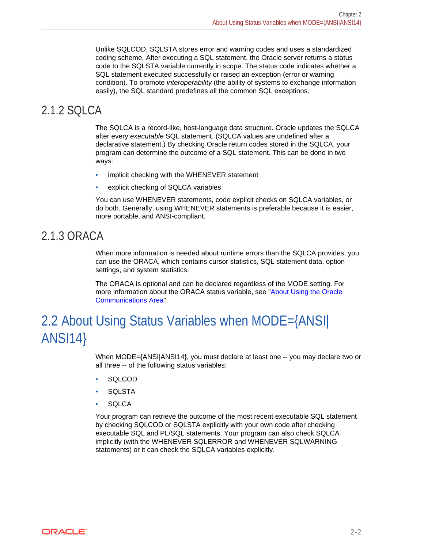<span id="page-45-0"></span>Unlike SQLCOD, SQLSTA stores error and warning codes and uses a standardized coding scheme. After executing a SQL statement, the Oracle server returns a status code to the SQLSTA variable currently in scope. The status code indicates whether a SQL statement executed successfully or raised an exception (error or warning condition). To promote *interoperability* (the ability of systems to exchange information easily), the SQL standard predefines all the common SQL exceptions.

### 2.1.2 SQLCA

The SQLCA is a record-like, host-language data structure. Oracle updates the SQLCA after every *executable* SQL statement. (SQLCA values are undefined after a declarative statement.) By checking Oracle return codes stored in the SQLCA, your program can determine the outcome of a SQL statement. This can be done in two ways:

- implicit checking with the WHENEVER statement
- explicit checking of SQLCA variables

You can use WHENEVER statements, code explicit checks on SQLCA variables, or do both. Generally, using WHENEVER statements is preferable because it is easier, more portable, and ANSI-compliant.

### 2.1.3 ORACA

When more information is needed about runtime errors than the SQLCA provides, you can use the ORACA, which contains cursor statistics, SQL statement data, option settings, and system statistics.

The ORACA is optional and can be declared regardless of the MODE setting. For more information about the ORACA status variable, see ["About Using the Oracle](#page-59-0) [Communications Area](#page-59-0)".

# 2.2 About Using Status Variables when MODE={ANSI| ANSI14}

When MODE={ANSI|ANSI14}, you must declare at least one -- you may declare two or all three -- of the following status variables:

- SQLCOD
- **SQLSTA**
- **SOLCA**

Your program can retrieve the outcome of the most recent executable SQL statement by checking SQLCOD or SQLSTA explicitly with your own code after checking executable SQL and PL/SQL statements. Your program can also check SQLCA implicitly (with the WHENEVER SQLERROR and WHENEVER SQLWARNING statements) or it can check the SQLCA variables explicitly.

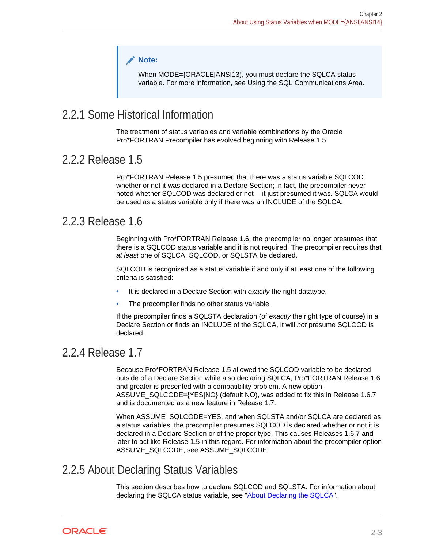#### **Note:**

When MODE={ORACLE|ANSI13}, you must declare the SQLCA status variable. For more information, see Using the SQL Communications Area.

### 2.2.1 Some Historical Information

The treatment of status variables and variable combinations by the Oracle Pro\*FORTRAN Precompiler has evolved beginning with Release 1.5.

#### 2.2.2 Release 1.5

Pro\*FORTRAN Release 1.5 presumed that there was a status variable SQLCOD whether or not it was declared in a Declare Section; in fact, the precompiler never noted whether SQLCOD was declared or not -- it just presumed it was. SQLCA would be used as a status variable only if there was an INCLUDE of the SQLCA.

#### 2.2.3 Release 1.6

Beginning with Pro\*FORTRAN Release 1.6, the precompiler no longer presumes that there is a SQLCOD status variable and it is not required. The precompiler requires that *at least* one of SQLCA, SQLCOD, or SQLSTA be declared.

SQLCOD is recognized as a status variable if and only if at least one of the following criteria is satisfied:

- It is declared in a Declare Section with *exactly* the right datatype.
- The precompiler finds no other status variable.

If the precompiler finds a SQLSTA declaration (of *exactly* the right type of course) in a Declare Section or finds an INCLUDE of the SQLCA, it will *not* presume SQLCOD is declared.

### 2.2.4 Release 1.7

Because Pro\*FORTRAN Release 1.5 allowed the SQLCOD variable to be declared outside of a Declare Section while also declaring SQLCA, Pro\*FORTRAN Release 1.6 and greater is presented with a compatibility problem. A new option, ASSUME\_SQLCODE={YES|NO} (default NO), was added to fix this in Release 1.6.7 and is documented as a new feature in Release 1.7.

When ASSUME\_SQLCODE=YES, and when SQLSTA and/or SQLCA are declared as a status variables, the precompiler presumes SQLCOD is declared whether or not it is declared in a Declare Section or of the proper type. This causes Releases 1.6.7 and later to act like Release 1.5 in this regard. For information about the precompiler option ASSUME\_SQLCODE, see ASSUME\_SQLCODE.

### 2.2.5 About Declaring Status Variables

This section describes how to declare SQLCOD and SQLSTA. For information about declaring the SQLCA status variable, see ["About Declaring the SQLCA"](#page-54-0).

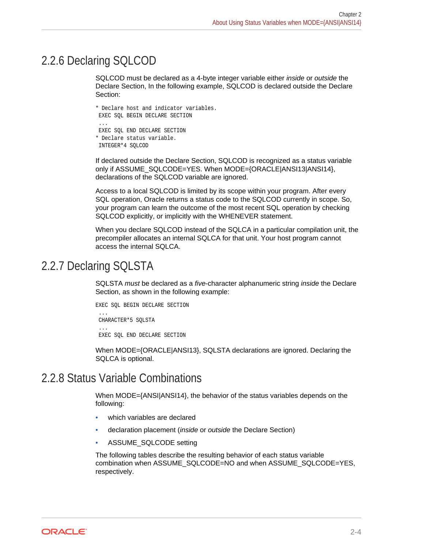### 2.2.6 Declaring SQLCOD

SQLCOD must be declared as a 4-byte integer variable either *inside* or *outside* the Declare Section, In the following example, SQLCOD is declared outside the Declare Section:

\* Declare host and indicator variables. EXEC SQL BEGIN DECLARE SECTION ... EXEC SQL END DECLARE SECTION \* Declare status variable. INTEGER\*4 SQLCOD

If declared outside the Declare Section, SQLCOD is recognized as a status variable only if ASSUME\_SOLCODE=YES. When MODE={ORACLE|ANSI13|ANSI14}, declarations of the SQLCOD variable are ignored.

Access to a local SQLCOD is limited by its scope within your program. After every SQL operation, Oracle returns a status code to the SQLCOD currently in scope. So, your program can learn the outcome of the most recent SQL operation by checking SQLCOD explicitly, or implicitly with the WHENEVER statement.

When you declare SQLCOD instead of the SQLCA in a particular compilation unit, the precompiler allocates an internal SQLCA for that unit. Your host program cannot access the internal SQLCA.

### 2.2.7 Declaring SQLSTA

SQLSTA *must* be declared as a *five*-character alphanumeric string *inside* the Declare Section, as shown in the following example:

```
EXEC SQL BEGIN DECLARE SECTION
 CHARACTER*5 SQLSTA
 ...
 EXEC SQL END DECLARE SECTION
```
When MODE={ORACLE|ANSI13}, SQLSTA declarations are ignored. Declaring the SQLCA is optional.

### 2.2.8 Status Variable Combinations

When MODE={ANSI|ANSI14}, the behavior of the status variables depends on the following:

- which variables are declared
- declaration placement (*inside* or *outside* the Declare Section)
- ASSUME\_SOLCODE setting

The following tables describe the resulting behavior of each status variable combination when ASSUME\_SQLCODE=NO and when ASSUME\_SQLCODE=YES, respectively.

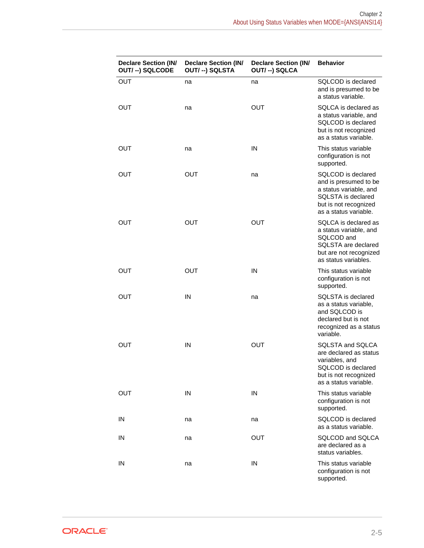| <b>Declare Section (IN/</b><br>OUT/ --) SQLCODE | <b>Declare Section (IN/</b><br>OUT/ --) SQLSTA | <b>Declare Section (IN/</b><br>OUT/ --) SQLCA | <b>Behavior</b>                                                                                                                               |
|-------------------------------------------------|------------------------------------------------|-----------------------------------------------|-----------------------------------------------------------------------------------------------------------------------------------------------|
| OUT                                             | na                                             | na                                            | SQLCOD is declared<br>and is presumed to be<br>a status variable.                                                                             |
| OUT                                             | na                                             | OUT                                           | SQLCA is declared as<br>a status variable, and<br>SQLCOD is declared<br>but is not recognized<br>as a status variable.                        |
| OUT                                             | na                                             | IN                                            | This status variable<br>configuration is not<br>supported.                                                                                    |
| OUT                                             | OUT                                            | na                                            | SQLCOD is declared<br>and is presumed to be<br>a status variable, and<br>SQLSTA is declared<br>but is not recognized<br>as a status variable. |
| OUT                                             | <b>OUT</b>                                     | OUT                                           | SQLCA is declared as<br>a status variable, and<br>SQLCOD and<br>SQLSTA are declared<br>but are not recognized<br>as status variables.         |
| OUT                                             | OUT                                            | IN                                            | This status variable<br>configuration is not<br>supported.                                                                                    |
| OUT                                             | IN                                             | na                                            | SQLSTA is declared<br>as a status variable,<br>and SQLCOD is<br>declared but is not<br>recognized as a status<br>variable.                    |
| OUT                                             | IN                                             | OUT                                           | SQLSTA and SQLCA<br>are declared as status<br>variables, and<br>SQLCOD is declared<br>but is not recognized<br>as a status variable.          |
| OUT                                             | IN                                             | IN                                            | This status variable<br>configuration is not<br>supported.                                                                                    |
| IN                                              | na                                             | na                                            | SQLCOD is declared<br>as a status variable.                                                                                                   |
| IN                                              | na                                             | OUT                                           | SQLCOD and SQLCA<br>are declared as a<br>status variables.                                                                                    |
| IN                                              | na                                             | IN                                            | This status variable<br>configuration is not<br>supported.                                                                                    |

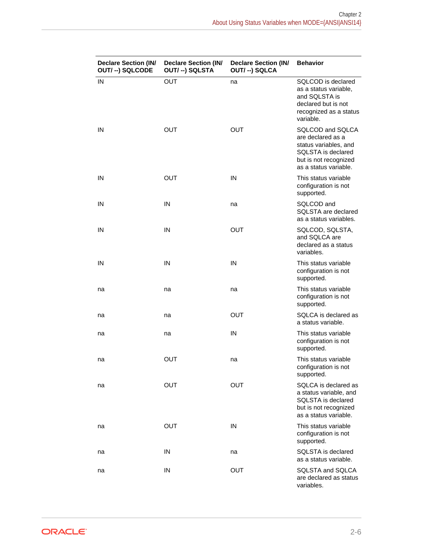| <b>Declare Section (IN/</b><br>OUT/ --) SQLCODE | <b>Declare Section (IN/</b><br>OUT/ --) SQLSTA | <b>Declare Section (IN/</b><br>OUT/ --) SQLCA | <b>Behavior</b>                                                                                                                        |
|-------------------------------------------------|------------------------------------------------|-----------------------------------------------|----------------------------------------------------------------------------------------------------------------------------------------|
| IN                                              | OUT                                            | na                                            | SQLCOD is declared<br>as a status variable,<br>and SQLSTA is<br>declared but is not<br>recognized as a status<br>variable.             |
| IN                                              | OUT                                            | <b>OUT</b>                                    | SQLCOD and SQLCA<br>are declared as a<br>status variables, and<br>SQLSTA is declared<br>but is not recognized<br>as a status variable. |
| IN                                              | OUT                                            | IN                                            | This status variable<br>configuration is not<br>supported.                                                                             |
| IN                                              | IN                                             | na                                            | SQLCOD and<br>SQLSTA are declared<br>as a status variables.                                                                            |
| IN                                              | IN                                             | OUT                                           | SQLCOD, SQLSTA,<br>and SQLCA are<br>declared as a status<br>variables.                                                                 |
| IN                                              | IN                                             | IN                                            | This status variable<br>configuration is not<br>supported.                                                                             |
| na                                              | na                                             | na                                            | This status variable<br>configuration is not<br>supported.                                                                             |
| na                                              | na                                             | OUT                                           | SQLCA is declared as<br>a status variable.                                                                                             |
| na                                              | na                                             | IN                                            | This status variable<br>configuration is not<br>supported.                                                                             |
| na                                              | <b>OUT</b>                                     | na                                            | This status variable<br>configuration is not<br>supported.                                                                             |
| na                                              | <b>OUT</b>                                     | OUT                                           | SQLCA is declared as<br>a status variable, and<br>SQLSTA is declared<br>but is not recognized<br>as a status variable.                 |
| na                                              | <b>OUT</b>                                     | IN                                            | This status variable<br>configuration is not<br>supported.                                                                             |
| na                                              | IN                                             | na                                            | SQLSTA is declared<br>as a status variable.                                                                                            |
| na                                              | IN                                             | OUT                                           | SQLSTA and SQLCA<br>are declared as status<br>variables.                                                                               |

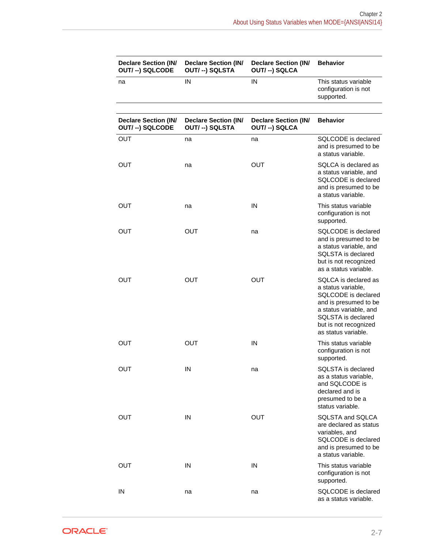| <b>Declare Section (IN/</b><br>OUT/ --) SQLCODE | <b>Declare Section (IN/</b><br>OUT/ --) SQLSTA | <b>Declare Section (IN/</b><br>OUT/ --) SQLCA | <b>Behavior</b>                                                                                                                                                                            |
|-------------------------------------------------|------------------------------------------------|-----------------------------------------------|--------------------------------------------------------------------------------------------------------------------------------------------------------------------------------------------|
| na                                              | IN                                             | IN                                            | This status variable<br>configuration is not<br>supported.                                                                                                                                 |
|                                                 |                                                |                                               |                                                                                                                                                                                            |
| <b>Declare Section (IN/</b><br>OUT/ --) SQLCODE | <b>Declare Section (IN/</b><br>OUT/ --) SQLSTA | <b>Declare Section (IN/</b><br>OUT/ --) SQLCA | <b>Behavior</b>                                                                                                                                                                            |
| <b>OUT</b>                                      | na                                             | na                                            | SQLCODE is declared<br>and is presumed to be<br>a status variable.                                                                                                                         |
| OUT                                             | na                                             | OUT                                           | SQLCA is declared as<br>a status variable, and<br>SQLCODE is declared<br>and is presumed to be<br>a status variable.                                                                       |
| OUT                                             | na                                             | IN                                            | This status variable<br>configuration is not<br>supported.                                                                                                                                 |
| <b>OUT</b>                                      | <b>OUT</b>                                     | na                                            | SQLCODE is declared<br>and is presumed to be<br>a status variable, and<br>SQLSTA is declared<br>but is not recognized<br>as a status variable.                                             |
| <b>OUT</b>                                      | <b>OUT</b>                                     | <b>OUT</b>                                    | SQLCA is declared as<br>a status variable,<br>SQLCODE is declared<br>and is presumed to be<br>a status variable, and<br>SQLSTA is declared<br>but is not recognized<br>as status variable. |
| <b>OUT</b>                                      | <b>OUT</b>                                     | IN                                            | This status variable<br>configuration is not<br>supported.                                                                                                                                 |
| OUT                                             | IN                                             | na                                            | SQLSTA is declared<br>as a status variable,<br>and SQLCODE is<br>declared and is<br>presumed to be a<br>status variable.                                                                   |
| <b>OUT</b>                                      | IN                                             | OUT                                           | SQLSTA and SQLCA<br>are declared as status<br>variables, and<br>SQLCODE is declared<br>and is presumed to be<br>a status variable.                                                         |
| OUT                                             | IN                                             | IN                                            | This status variable<br>configuration is not<br>supported.                                                                                                                                 |
| IN                                              | na                                             | na                                            | SQLCODE is declared<br>as a status variable.                                                                                                                                               |

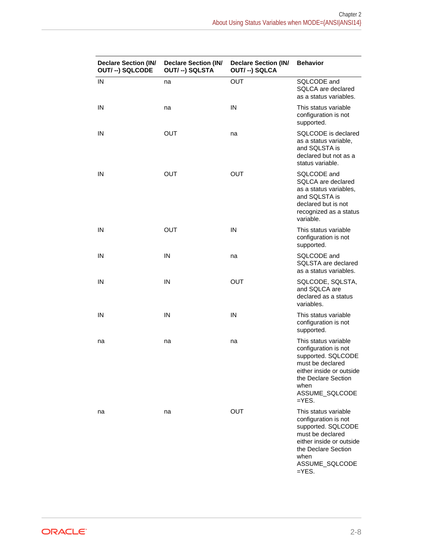| <b>Declare Section (IN/</b><br>OUT/ --) SQLCODE | <b>Declare Section (IN/</b><br>OUT/ --) SQLSTA | <b>Declare Section (IN/</b><br>OUT/ --) SQLCA | <b>Behavior</b>                                                                                                                                                                   |
|-------------------------------------------------|------------------------------------------------|-----------------------------------------------|-----------------------------------------------------------------------------------------------------------------------------------------------------------------------------------|
| IN                                              | na                                             | OUT                                           | SQLCODE and<br>SQLCA are declared<br>as a status variables.                                                                                                                       |
| IN                                              | na                                             | IN                                            | This status variable<br>configuration is not<br>supported.                                                                                                                        |
| IN                                              | OUT                                            | na                                            | SQLCODE is declared<br>as a status variable,<br>and SQLSTA is<br>declared but not as a<br>status variable.                                                                        |
| IN                                              | OUT                                            | OUT                                           | SQLCODE and<br>SQLCA are declared<br>as a status variables,<br>and SQLSTA is<br>declared but is not<br>recognized as a status<br>variable.                                        |
| IN                                              | OUT                                            | IN                                            | This status variable<br>configuration is not<br>supported.                                                                                                                        |
| IN                                              | IN                                             | na                                            | SQLCODE and<br>SQLSTA are declared<br>as a status variables.                                                                                                                      |
| IN                                              | IN                                             | OUT                                           | SQLCODE, SQLSTA,<br>and SQLCA are<br>declared as a status<br>variables.                                                                                                           |
| IN                                              | IN                                             | IN                                            | This status variable<br>configuration is not<br>supported.                                                                                                                        |
| na                                              | na                                             | na                                            | This status variable<br>configuration is not<br>supported. SQLCODE<br>must be declared<br>either inside or outside<br>the Declare Section<br>when<br>ASSUME_SQLCODE<br>$=$ $YES.$ |
| na                                              | na                                             | OUT                                           | This status variable<br>configuration is not<br>supported. SQLCODE<br>must be declared<br>either inside or outside<br>the Declare Section<br>when<br>ASSUME_SQLCODE<br>$=$ $YES.$ |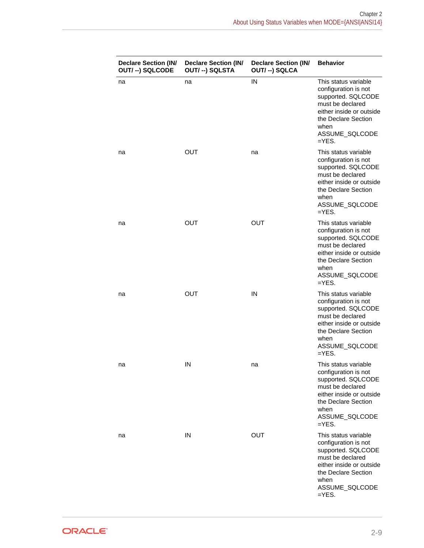| <b>Declare Section (IN/</b><br>OUT/ --) SQLCODE | <b>Declare Section (IN/</b><br>OUT/ --) SQLSTA | <b>Declare Section (IN/</b><br>OUT/ --) SQLCA | <b>Behavior</b>                                                                                                                                                                   |
|-------------------------------------------------|------------------------------------------------|-----------------------------------------------|-----------------------------------------------------------------------------------------------------------------------------------------------------------------------------------|
| na                                              | na                                             | IN                                            | This status variable<br>configuration is not<br>supported. SQLCODE<br>must be declared<br>either inside or outside<br>the Declare Section<br>when<br>ASSUME_SQLCODE<br>$=$ $YES.$ |
| na                                              | OUT                                            | na                                            | This status variable<br>configuration is not<br>supported. SQLCODE<br>must be declared<br>either inside or outside<br>the Declare Section<br>when<br>ASSUME_SQLCODE<br>$=$ $YES.$ |
| na                                              | <b>OUT</b>                                     | <b>OUT</b>                                    | This status variable<br>configuration is not<br>supported. SQLCODE<br>must be declared<br>either inside or outside<br>the Declare Section<br>when<br>ASSUME_SQLCODE<br>$=$ $YES.$ |
| na                                              | OUT                                            | IN                                            | This status variable<br>configuration is not<br>supported. SQLCODE<br>must be declared<br>either inside or outside<br>the Declare Section<br>when<br>ASSUME SQLCODE<br>$=$ $YES.$ |
| na                                              | IN                                             | na                                            | This status variable<br>configuration is not<br>supported. SQLCODE<br>must be declared<br>either inside or outside<br>the Declare Section<br>when<br>ASSUME_SQLCODE<br>$=$ $YES.$ |
| na                                              | IN                                             | OUT                                           | This status variable<br>configuration is not<br>supported. SQLCODE<br>must be declared<br>either inside or outside<br>the Declare Section<br>when<br>ASSUME_SQLCODE<br>$=$ $YES.$ |

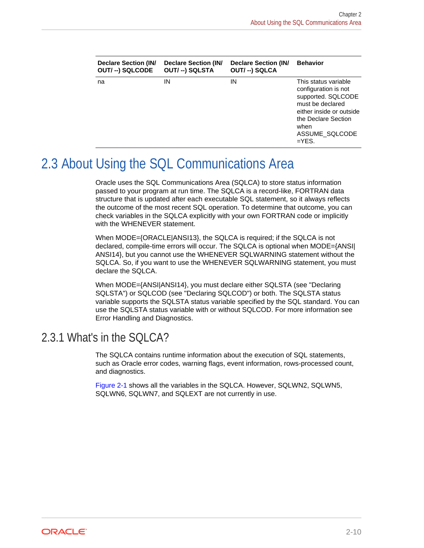<span id="page-53-0"></span>

| <b>Declare Section (IN/</b> | <b>Declare Section (IN)</b> | <b>Declare Section (IN)</b> | <b>Behavior</b>                                                                                                                                                                    |
|-----------------------------|-----------------------------|-----------------------------|------------------------------------------------------------------------------------------------------------------------------------------------------------------------------------|
| OUT/ --) SQLCODE            | OUT/ --) SOLSTA             | OUT/ --) SOLCA              |                                                                                                                                                                                    |
| na                          | IN                          | IN                          | This status variable<br>configuration is not<br>supported. SQLCODE<br>must be declared<br>either inside or outside<br>the Declare Section<br>when<br>ASSUME SOLCODE<br>$=$ $YES$ . |

# 2.3 About Using the SQL Communications Area

Oracle uses the SQL Communications Area (SQLCA) to store status information passed to your program at run time. The SQLCA is a record-like, FORTRAN data structure that is updated after each executable SQL statement, so it always reflects the outcome of the most recent SQL operation. To determine that outcome, you can check variables in the SQLCA explicitly with your own FORTRAN code or implicitly with the WHENEVER statement.

When MODE={ORACLE|ANSI13}, the SQLCA is required; if the SQLCA is not declared, compile-time errors will occur. The SQLCA is optional when MODE={ANSI| ANSI14}, but you cannot use the WHENEVER SQLWARNING statement without the SQLCA. So, if you want to use the WHENEVER SQLWARNING statement, you must declare the SQLCA.

When MODE={ANSI|ANSI14}, you must declare either SQLSTA (see "Declaring SQLSTA") or SQLCOD (see "Declaring SQLCOD") or both. The SQLSTA status variable supports the SQLSTA status variable specified by the SQL standard. You can use the SQLSTA status variable with or without SQLCOD. For more information see Error Handling and Diagnostics.

### 2.3.1 What's in the SQLCA?

The SQLCA contains runtime information about the execution of SQL statements, such as Oracle error codes, warning flags, event information, rows-processed count, and diagnostics.

[Figure 2-1](#page-54-0) shows all the variables in the SQLCA. However, SQLWN2, SQLWN5, SQLWN6, SQLWN7, and SQLEXT are not currently in use.

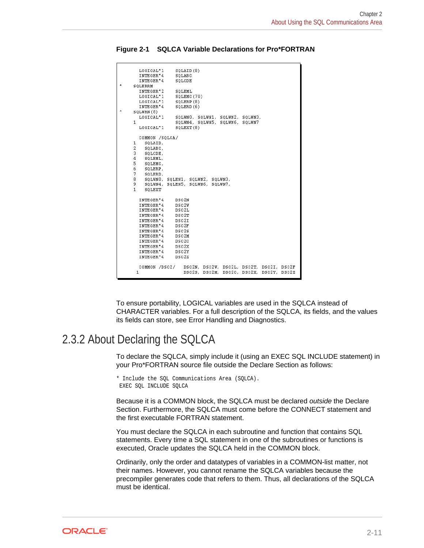| LOGICAL*1               | SOLAID(8)                                |
|-------------------------|------------------------------------------|
| INTEGER*4               | SQLABC                                   |
| INTEGER*4               | SOLCDE                                   |
| $\star$<br>SOLERRM      |                                          |
| INTEGER*2               | SOLEML                                   |
| LOGICAL*1               | SQLEMC(70)                               |
| LOGICAL*1               | SOLERP(8)                                |
| INTEGER*4               | SQLERD(6)                                |
| ×<br>SQLWRN(8)          |                                          |
| LOGICAL*1               | SQLWNO, SQLWN1, SQLWN2, SQLWN3,          |
| $\mathbf{1}$            | SQLWN4, SQLWN5, SQLWN6,<br>SQLWN7        |
| LOGICAL*1               | SOLEXT(8)                                |
|                         |                                          |
| COMMON /SQLCA/          |                                          |
| $\mathbf{1}$<br>SOLAID. |                                          |
| $\mathbf{2}$<br>SOLABC. |                                          |
| 3.<br>SQLCDE,           |                                          |
| 4<br>SQLEML,            |                                          |
| 5<br>SQLEMC,            |                                          |
| б<br>SQLERP,            |                                          |
| 7<br>SQLERD,            |                                          |
| 8                       | SOLWNO, SOLEN1, SOLWN2, SOLWN3,          |
| 9<br>SQLWN4,            | SOLEN5, SOLWN6, SOLWN7,                  |
| $\mathbf{1}$<br>SOLEXT  |                                          |
| INTEGER*4               | DSC2N                                    |
| INTEGER*4               | DSC2V                                    |
| INTEGER*4               | DSC2L                                    |
| INTEGER*4               | DSC2T                                    |
| INTEGER*4               | DSC2I                                    |
| INTEGER*4               | DSC2F                                    |
| INTEGER*4               | DSC2S                                    |
| INTEGER*4               | DSC2M                                    |
| INTEGER*4               | DSC2C                                    |
| INTEGER*4               | DSC2X                                    |
| INTEGER*4               | DSC2Y                                    |
| INTEGER*4               | DSC2Z                                    |
|                         |                                          |
| COMMON /DSC2/           | DSC2N, DSC2V, DSC2L, DSC2T, DSC2I, DSC2F |
| 1                       | DSC2S, DSC2M, DSC2C, DSC2X, DSC2Y, DSC2Z |
|                         |                                          |

<span id="page-54-0"></span>**Figure 2-1 SQLCA Variable Declarations for Pro\*FORTRAN**

To ensure portability, LOGICAL variables are used in the SQLCA instead of CHARACTER variables. For a full description of the SQLCA, its fields, and the values its fields can store, see Error Handling and Diagnostics.

#### 2.3.2 About Declaring the SQLCA

To declare the SQLCA, simply include it (using an EXEC SQL INCLUDE statement) in your Pro\*FORTRAN source file outside the Declare Section as follows:

```
* Include the SQL Communications Area (SQLCA).
 EXEC SQL INCLUDE SQLCA
```
Because it is a COMMON block, the SQLCA must be declared *outside* the Declare Section. Furthermore, the SQLCA must come before the CONNECT statement and the first executable FORTRAN statement.

You must declare the SQLCA in each subroutine and function that contains SQL statements. Every time a SQL statement in one of the subroutines or functions is executed, Oracle updates the SQLCA held in the COMMON block.

Ordinarily, only the order and datatypes of variables in a COMMON-list matter, not their names. However, you cannot rename the SQLCA variables because the precompiler generates code that refers to them. Thus, all declarations of the SQLCA must be identical.

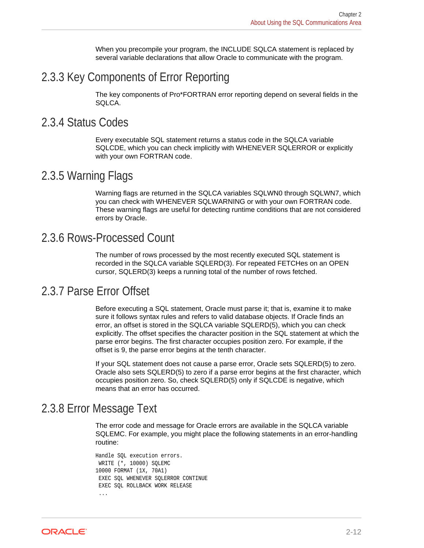When you precompile your program, the INCLUDE SQLCA statement is replaced by several variable declarations that allow Oracle to communicate with the program.

### 2.3.3 Key Components of Error Reporting

The key components of Pro\*FORTRAN error reporting depend on several fields in the SQLCA.

### 2.3.4 Status Codes

Every executable SQL statement returns a status code in the SQLCA variable SQLCDE, which you can check implicitly with WHENEVER SQLERROR or explicitly with your own FORTRAN code.

### 2.3.5 Warning Flags

Warning flags are returned in the SQLCA variables SQLWN0 through SQLWN7, which you can check with WHENEVER SQLWARNING or with your own FORTRAN code. These warning flags are useful for detecting runtime conditions that are not considered errors by Oracle.

#### 2.3.6 Rows-Processed Count

The number of rows processed by the most recently executed SQL statement is recorded in the SQLCA variable SQLERD(3). For repeated FETCHes on an OPEN cursor, SQLERD(3) keeps a running total of the number of rows fetched.

### 2.3.7 Parse Error Offset

Before executing a SQL statement, Oracle must parse it; that is, examine it to make sure it follows syntax rules and refers to valid database objects. If Oracle finds an error, an offset is stored in the SQLCA variable SQLERD(5), which you can check explicitly. The offset specifies the character position in the SQL statement at which the parse error begins. The first character occupies position zero. For example, if the offset is 9, the parse error begins at the tenth character.

If your SQL statement does not cause a parse error, Oracle sets SQLERD(5) to zero. Oracle also sets SQLERD(5) to zero if a parse error begins at the first character, which occupies position zero. So, check SQLERD(5) only if SQLCDE is negative, which means that an error has occurred.

#### 2.3.8 Error Message Text

The error code and message for Oracle errors are available in the SQLCA variable SQLEMC. For example, you might place the following statements in an error-handling routine:

```
Handle SQL execution errors.
 WRITE (*, 10000) SQLEMC
10000 FORMAT (1X, 70A1)
  EXEC SQL WHENEVER SQLERROR CONTINUE
  EXEC SQL ROLLBACK WORK RELEASE
  ...
```
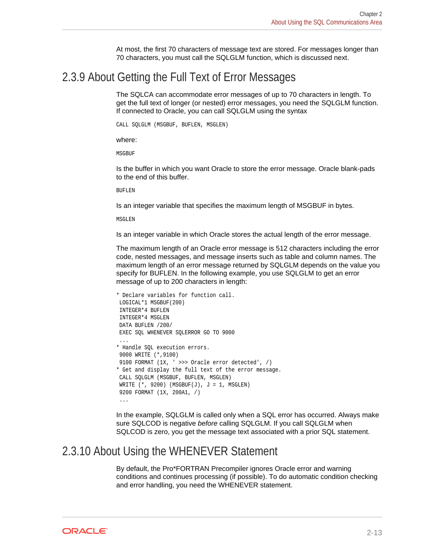At most, the first 70 characters of message text are stored. For messages longer than 70 characters, you must call the SQLGLM function, which is discussed next.

#### 2.3.9 About Getting the Full Text of Error Messages

The SQLCA can accommodate error messages of up to 70 characters in length. To get the full text of longer (or nested) error messages, you need the SQLGLM function. If connected to Oracle, you can call SQLGLM using the syntax

CALL SQLGLM (MSGBUF, BUFLEN, MSGLEN)

where:

MSGBUF

Is the buffer in which you want Oracle to store the error message. Oracle blank-pads to the end of this buffer.

BUFLEN

Is an integer variable that specifies the maximum length of MSGBUF in bytes.

MSGLEN

Is an integer variable in which Oracle stores the actual length of the error message.

The maximum length of an Oracle error message is 512 characters including the error code, nested messages, and message inserts such as table and column names. The maximum length of an error message returned by SQLGLM depends on the value you specify for BUFLEN. In the following example, you use SQLGLM to get an error message of up to 200 characters in length:

```
* Declare variables for function call.
 LOGICAL*1 MSGBUF(200)
 INTEGER*4 BUFLEN
 INTEGER*4 MSGLEN
 DATA BUFLEN /200/
 EXEC SQL WHENEVER SQLERROR GO TO 9000
 ...
* Handle SQL execution errors.
 9000 WRITE (*,9100)
9100 FORMAT (1X, ' >>> Oracle error detected', /)
* Get and display the full text of the error message.
 CALL SQLGLM (MSGBUF, BUFLEN, MSGLEN)
WRITE (*, 9200) (MSGBUF(J), J = 1, MSGLEN)
 9200 FORMAT (1X, 200A1, /)
 ...
```
In the example, SQLGLM is called only when a SQL error has occurred. Always make sure SQLCOD is negative *before* calling SQLGLM. If you call SQLGLM when SQLCOD is zero, you get the message text associated with a prior SQL statement.

#### 2.3.10 About Using the WHENEVER Statement

By default, the Pro\*FORTRAN Precompiler ignores Oracle error and warning conditions and continues processing (if possible). To do automatic condition checking and error handling, you need the WHENEVER statement.

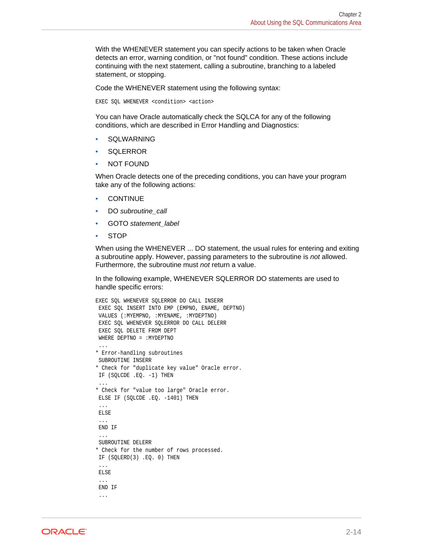With the WHENEVER statement you can specify actions to be taken when Oracle detects an error, warning condition, or "not found" condition. These actions include continuing with the next statement, calling a subroutine, branching to a labeled statement, or stopping.

Code the WHENEVER statement using the following syntax:

EXEC SQL WHENEVER <condition> <action>

You can have Oracle automatically check the SQLCA for any of the following conditions, which are described in Error Handling and Diagnostics:

- **SQLWARNING**
- **SQLERROR**
- NOT FOUND

When Oracle detects one of the preceding conditions, you can have your program take any of the following actions:

- **CONTINUE**
- DO *subroutine\_call*
- GOTO *statement\_label*
- **STOP**

When using the WHENEVER ... DO statement, the usual rules for entering and exiting a subroutine apply. However, passing parameters to the subroutine is *not* allowed. Furthermore, the subroutine must *not* return a value.

In the following example, WHENEVER SQLERROR DO statements are used to handle specific errors:

```
EXEC SQL WHENEVER SQLERROR DO CALL INSERR
 EXEC SQL INSERT INTO EMP (EMPNO, ENAME, DEPTNO)
 VALUES (:MYEMPNO, :MYENAME, :MYDEPTNO)
 EXEC SQL WHENEVER SQLERROR DO CALL DELERR
 EXEC SQL DELETE FROM DEPT
 WHERE DEPTNO = :MYDEPTNO
  ...
* Error-handling subroutines
 SUBROUTINE INSERR
* Check for "duplicate key value" Oracle error.
 IF (SQLCDE .EQ. -1) THEN
 ...
* Check for "value too large" Oracle error.
 ELSE IF (SQLCDE .EQ. -1401) THEN
  ...
 ELSE
  ...
 END IF
  ...
 SUBROUTINE DELERR
* Check for the number of rows processed.
 IF (SQLERD(3) .EQ. 0) THEN
  ...
 ELSE
  ...
 END IF
  ...
```
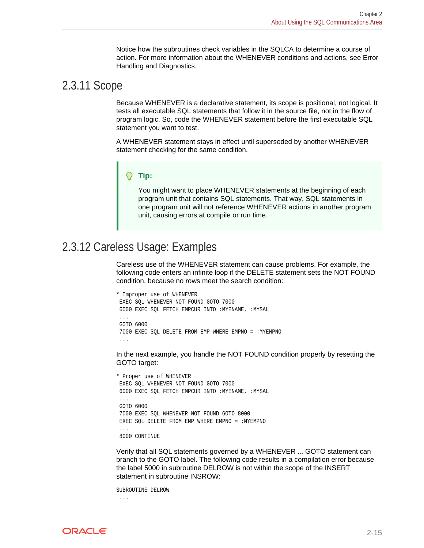Notice how the subroutines check variables in the SQLCA to determine a course of action. For more information about the WHENEVER conditions and actions, see Error Handling and Diagnostics.

#### 2.3.11 Scope

Because WHENEVER is a declarative statement, its scope is positional, not logical. It tests all executable SQL statements that follow it in the source file, not in the flow of program logic. So, code the WHENEVER statement before the first executable SQL statement you want to test.

A WHENEVER statement stays in effect until superseded by another WHENEVER statement checking for the same condition.

#### **Tip:**

You might want to place WHENEVER statements at the beginning of each program unit that contains SQL statements. That way, SQL statements in one program unit will not reference WHENEVER actions in another program unit, causing errors at compile or run time.

### 2.3.12 Careless Usage: Examples

Careless use of the WHENEVER statement can cause problems. For example, the following code enters an infinite loop if the DELETE statement sets the NOT FOUND condition, because no rows meet the search condition:

```
* Improper use of WHENEVER
 EXEC SQL WHENEVER NOT FOUND GOTO 7000
 6000 EXEC SQL FETCH EMPCUR INTO :MYENAME, :MYSAL
  ...
 GOTO 6000
 7000 EXEC SQL DELETE FROM EMP WHERE EMPNO = :MYEMPNO
  ...
```
In the next example, you handle the NOT FOUND condition properly by resetting the GOTO target:

```
* Proper use of WHENEVER
 EXEC SQL WHENEVER NOT FOUND GOTO 7000
 6000 EXEC SQL FETCH EMPCUR INTO :MYENAME, :MYSAL
 ...
 GOTO 6000
 7000 EXEC SQL WHENEVER NOT FOUND GOTO 8000
 EXEC SQL DELETE FROM EMP WHERE EMPNO = :MYEMPNO
 ...
```
8000 CONTINUE

Verify that all SQL statements governed by a WHENEVER ... GOTO statement can branch to the GOTO label. The following code results in a compilation error because the label 5000 in subroutine DELROW is not within the scope of the INSERT statement in subroutine INSROW:

SUBROUTINE DELROW ...

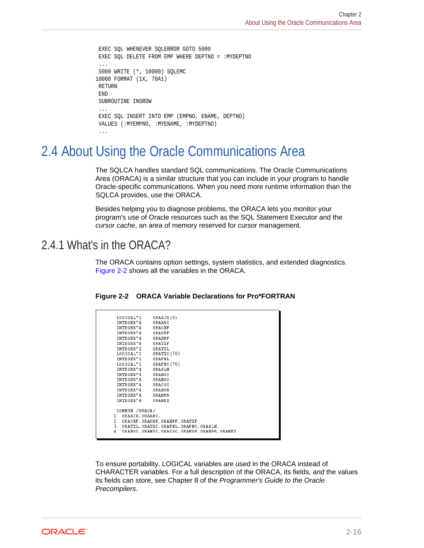```
 EXEC SQL WHENEVER SQLERROR GOTO 5000
 EXEC SQL DELETE FROM EMP WHERE DEPTNO = :MYDEPTNO
  ...
 5000 WRITE (*, 10000) SQLEMC
10000 FORMAT (1X, 70A1)
 RETURN
END
 SUBROUTINE INSROW
  ...
 EXEC SQL INSERT INTO EMP (EMPNO, ENAME, DEPTNO)
 VALUES (:MYEMPNO, :MYENAME, :MYDEPTNO)
  ...
```
# 2.4 About Using the Oracle Communications Area

The SQLCA handles standard SQL communications. The Oracle Communications Area (ORACA) is a similar structure that you can include in your program to handle Oracle-specific communications. When you need more runtime information than the SQLCA provides, use the ORACA.

Besides helping you to diagnose problems, the ORACA lets you monitor your program's use of Oracle resources such as the SQL Statement Executor and the *cursor cache*, an area of memory reserved for cursor management.

### 2.4.1 What's in the ORACA?

The ORACA contains option settings, system statistics, and extended diagnostics. Figure 2-2 shows all the variables in the ORACA.

| LOGICAL*1                              | ORAAID(8)                                      |
|----------------------------------------|------------------------------------------------|
| INTEGER*4                              | ORAABC                                         |
| INTEGER*4                              | ORACHF                                         |
| INTEGER*4                              | ORADBF                                         |
| INTEGER*4                              | ORAHPF                                         |
| INTEGER*4                              | ORATXF                                         |
| INTEGER*2                              | <b>ORATXL</b>                                  |
| LOGICAL*1                              | ORATXC(70)                                     |
| INTEGER*1                              | ORAFNL                                         |
| LOGICAL*1                              | ORAFNC (70)                                    |
| TNTEGER*4                              | ORASIN                                         |
| TNTEGER*4                              | ORAHOC                                         |
| INTEGER*4                              | ORAMOC                                         |
| INTEGER*4                              | ORACOC                                         |
| INTEGER*4                              | ORANOR                                         |
| INTEGER*4                              | ORANPR                                         |
| INTEGER*4                              | ORANEX                                         |
| COMMON /ORACA/<br>1<br>ORAAID, ORAABC, |                                                |
| 2                                      | ORACHF, ORADBF, ORAHPF, ORATXF                 |
| 3                                      | ORATXL, ORATXC, ORAFNL, ORAFNC, ORASLN,        |
| 4                                      | ORAHOC. ORAMOC. ORACOC. ORANOR. ORANPR. ORANEX |
|                                        |                                                |

**Figure 2-2 ORACA Variable Declarations for Pro\*FORTRAN**

To ensure portability, LOGICAL variables are used in the ORACA instead of CHARACTER variables. For a full description of the ORACA, its fields, and the values its fields can store, see Chapter 8 of the *Programmer's Guide to the Oracle Precompilers*.

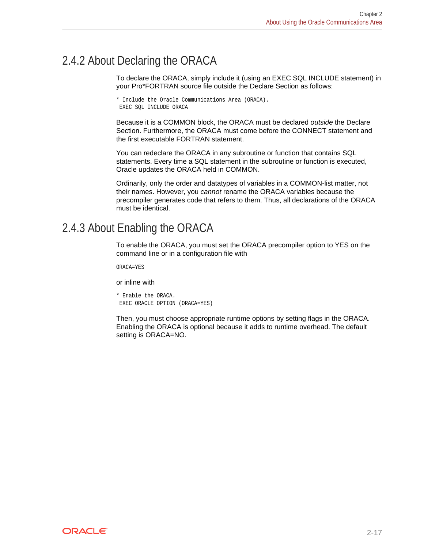### 2.4.2 About Declaring the ORACA

To declare the ORACA, simply include it (using an EXEC SQL INCLUDE statement) in your Pro\*FORTRAN source file outside the Declare Section as follows:

```
* Include the Oracle Communications Area (ORACA).
 EXEC SQL INCLUDE ORACA
```
Because it is a COMMON block, the ORACA must be declared *outside* the Declare Section. Furthermore, the ORACA must come before the CONNECT statement and the first executable FORTRAN statement.

You can redeclare the ORACA in any subroutine or function that contains SQL statements. Every time a SQL statement in the subroutine or function is executed, Oracle updates the ORACA held in COMMON.

Ordinarily, only the order and datatypes of variables in a COMMON-list matter, not their names. However, you *cannot* rename the ORACA variables because the precompiler generates code that refers to them. Thus, all declarations of the ORACA must be identical.

### 2.4.3 About Enabling the ORACA

To enable the ORACA, you must set the ORACA precompiler option to YES on the command line or in a configuration file with

ORACA=YES

or inline with

```
* Enable the ORACA.
 EXEC ORACLE OPTION (ORACA=YES)
```
Then, you must choose appropriate runtime options by setting flags in the ORACA. Enabling the ORACA is optional because it adds to runtime overhead. The default setting is ORACA=NO.

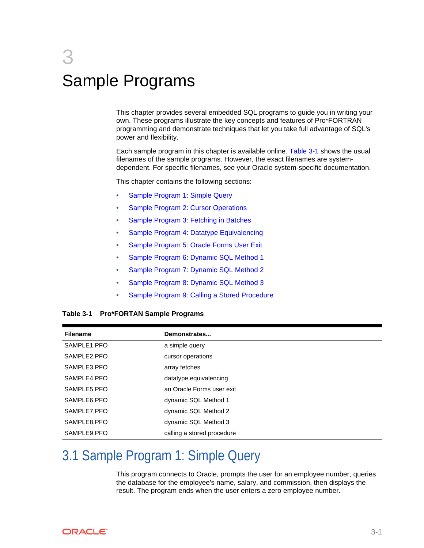# 3 Sample Programs

This chapter provides several embedded SQL programs to guide you in writing your own. These programs illustrate the key concepts and features of Pro\*FORTRAN programming and demonstrate techniques that let you take full advantage of SQL's power and flexibility.

Each sample program in this chapter is available online. Table 3-1 shows the usual filenames of the sample programs. However, the exact filenames are systemdependent. For specific filenames, see your Oracle system-specific documentation.

This chapter contains the following sections:

- Sample Program 1: Simple Query
- [Sample Program 2: Cursor Operations](#page-63-0)
- [Sample Program 3: Fetching in Batches](#page-64-0)
- [Sample Program 4: Datatype Equivalencing](#page-65-0)
- [Sample Program 5: Oracle Forms User Exit](#page-67-0)
- [Sample Program 6: Dynamic SQL Method 1](#page-69-0)
- [Sample Program 7: Dynamic SQL Method 2](#page-70-0)
- [Sample Program 8: Dynamic SQL Method 3](#page-71-0)
- [Sample Program 9: Calling a Stored Procedure](#page-72-0)

#### **Table 3-1 Pro\*FORTAN Sample Programs**

| <b>Filename</b> | Demonstrates               |
|-----------------|----------------------------|
| SAMPLE1.PFO     | a simple query             |
| SAMPLE2.PFO     | cursor operations          |
| SAMPLE3.PFO     | array fetches              |
| SAMPLE4.PFO     | datatype equivalencing     |
| SAMPLE5.PFO     | an Oracle Forms user exit  |
| SAMPLE6.PFO     | dynamic SOL Method 1       |
| SAMPLE7.PFO     | dynamic SOL Method 2       |
| SAMPLE8.PFO     | dynamic SOL Method 3       |
| SAMPLE9.PFO     | calling a stored procedure |

### 3.1 Sample Program 1: Simple Query

This program connects to Oracle, prompts the user for an employee number, queries the database for the employee's name, salary, and commission, then displays the result. The program ends when the user enters a zero employee number.

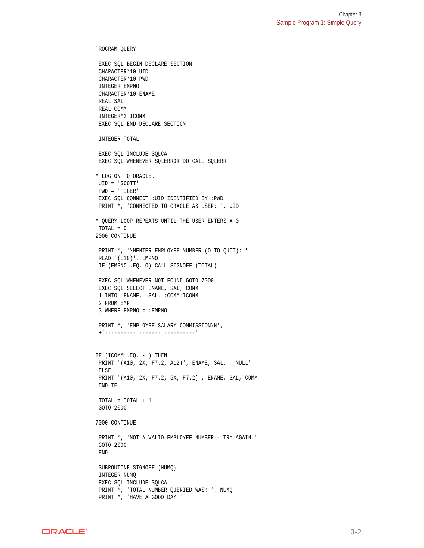```
PROGRAM QUERY
  EXEC SQL BEGIN DECLARE SECTION
  CHARACTER*10 UID
 CHARACTER*10 PWD
  INTEGER EMPNO
  CHARACTER*10 ENAME
 REAL SAL
  REAL COMM
  INTEGER*2 ICOMM
 EXEC SQL END DECLARE SECTION
  INTEGER TOTAL
 EXEC SOL INCLUDE SOLCA
  EXEC SQL WHENEVER SQLERROR DO CALL SQLERR
* LOG ON TO ORACLE.
 UID = 'SCOTT'
  PWD = 'TIGER'
 EXEC SQL CONNECT :UID IDENTIFIED BY :PWD
 PRINT *, 'CONNECTED TO ORACLE AS USER: ', UID
* QUERY LOOP REPEATS UNTIL THE USER ENTERS A 0
  TOTAL = 0
2000 CONTINUE
 PRINT *, '\NENTER EMPLOYEE NUMBER (0 TO QUIT): '
  READ '(I10)', EMPNO
  IF (EMPNO .EQ. 0) CALL SIGNOFF (TOTAL)
  EXEC SQL WHENEVER NOT FOUND GOTO 7000
 EXEC SQL SELECT ENAME, SAL, COMM
  1 INTO :ENAME, :SAL, :COMM:ICOMM
  2 FROM EMP
  3 WHERE EMPNO = :EMPNO
 PRINT *, 'EMPLOYEE SALARY COMMISSION\N',
  +'---------- ------- ----------'
IF (ICOMM .EQ. -1) THEN
 PRINT '(A10, 2X, F7.2, A12)', ENAME, SAL, ' NULL'
 ELSE
 PRINT '(A10, 2X, F7.2, 5X, F7.2)', ENAME, SAL, COMM
 END IF
 TOTAL = TOTAL + 1
  GOTO 2000
7000 CONTINUE
 PRINT *, 'NOT A VALID EMPLOYEE NUMBER - TRY AGAIN.'
  GOTO 2000
  END
  SUBROUTINE SIGNOFF (NUMQ)
  INTEGER NUMQ
  EXEC SQL INCLUDE SQLCA
  PRINT *, 'TOTAL NUMBER QUERIED WAS: ', NUMQ
  PRINT *, 'HAVE A GOOD DAY.'
```
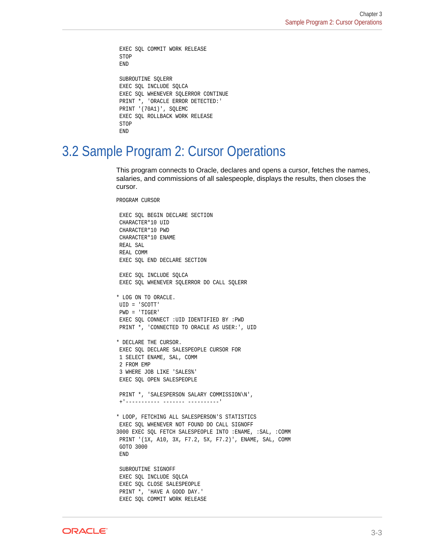<span id="page-63-0"></span> EXEC SQL COMMIT WORK RELEASE **STOP**  END SUBROUTINE SQLERR EXEC SQL INCLUDE SQLCA EXEC SQL WHENEVER SQLERROR CONTINUE PRINT \*, 'ORACLE ERROR DETECTED:' PRINT '(70A1)', SQLEMC EXEC SQL ROLLBACK WORK RELEASE STOP

### 3.2 Sample Program 2: Cursor Operations

This program connects to Oracle, declares and opens a cursor, fetches the names, salaries, and commissions of all salespeople, displays the results, then closes the cursor.

PROGRAM CURSOR

END

```
 EXEC SQL BEGIN DECLARE SECTION
 CHARACTER*10 UID
 CHARACTER*10 PWD
 CHARACTER*10 ENAME
 REAL SAL
 REAL COMM
 EXEC SQL END DECLARE SECTION
 EXEC SQL INCLUDE SQLCA
 EXEC SQL WHENEVER SQLERROR DO CALL SQLERR
* LOG ON TO ORACLE.
 UID = 'SCOTT'
 PWD = 'TIGER'
 EXEC SQL CONNECT :UID IDENTIFIED BY :PWD
 PRINT *, 'CONNECTED TO ORACLE AS USER:', UID
* DECLARE THE CURSOR.
 EXEC SQL DECLARE SALESPEOPLE CURSOR FOR
 1 SELECT ENAME, SAL, COMM
 2 FROM EMP
 3 WHERE JOB LIKE 'SALES%'
 EXEC SQL OPEN SALESPEOPLE
 PRINT *, 'SALESPERSON SALARY COMMISSION\N',
  +'----------- ------- ----------'
* LOOP, FETCHING ALL SALESPERSON'S STATISTICS
 EXEC SQL WHENEVER NOT FOUND DO CALL SIGNOFF
3000 EXEC SQL FETCH SALESPEOPLE INTO :ENAME, :SAL, :COMM
 PRINT '(1X, A10, 3X, F7.2, 5X, F7.2)', ENAME, SAL, COMM
 GOTO 3000
 END
 SUBROUTINE SIGNOFF
 EXEC SQL INCLUDE SQLCA
 EXEC SQL CLOSE SALESPEOPLE
PRINT *, 'HAVE A GOOD DAY.
 EXEC SQL COMMIT WORK RELEASE
```
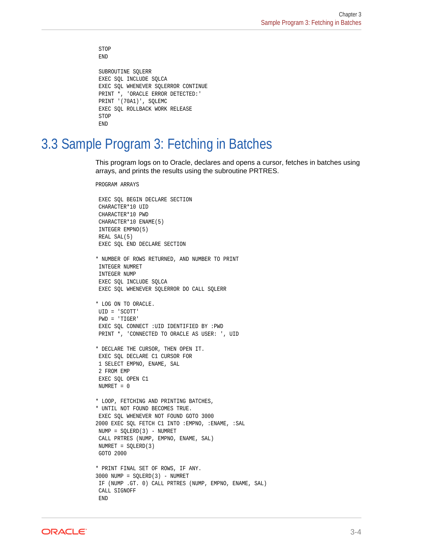```
 STOP
 END
 SUBROUTINE SQLERR
 EXEC SQL INCLUDE SQLCA
 EXEC SQL WHENEVER SQLERROR CONTINUE
 PRINT *, 'ORACLE ERROR DETECTED:'
 PRINT '(70A1)', SQLEMC
 EXEC SQL ROLLBACK WORK RELEASE
STOP
 END
```
### 3.3 Sample Program 3: Fetching in Batches

This program logs on to Oracle, declares and opens a cursor, fetches in batches using arrays, and prints the results using the subroutine PRTRES.

PROGRAM ARRAYS

```
 EXEC SQL BEGIN DECLARE SECTION
 CHARACTER*10 UID
 CHARACTER*10 PWD
 CHARACTER*10 ENAME(5)
 INTEGER EMPNO(5)
 REAL SAL(5)
 EXEC SQL END DECLARE SECTION
* NUMBER OF ROWS RETURNED, AND NUMBER TO PRINT
  INTEGER NUMRET
 INTEGER NUMP
 EXEC SQL INCLUDE SQLCA
 EXEC SQL WHENEVER SQLERROR DO CALL SQLERR
* LOG ON TO ORACLE.
 UID = 'SCOTT'
 PWD = 'TIGER'
 EXEC SQL CONNECT :UID IDENTIFIED BY :PWD
 PRINT *, 'CONNECTED TO ORACLE AS USER: ', UID
* DECLARE THE CURSOR, THEN OPEN IT.
 EXEC SQL DECLARE C1 CURSOR FOR
 1 SELECT EMPNO, ENAME, SAL
 2 FROM EMP
 EXEC SQL OPEN C1
 NUMRET = 0
* LOOP, FETCHING AND PRINTING BATCHES,
* UNTIL NOT FOUND BECOMES TRUE.
 EXEC SQL WHENEVER NOT FOUND GOTO 3000
2000 EXEC SQL FETCH C1 INTO :EMPNO, :ENAME, :SAL
NUMP = SQLERD(3) - NUMRET CALL PRTRES (NUMP, EMPNO, ENAME, SAL)
 NUMRET = SQLERD(3)
 GOTO 2000
* PRINT FINAL SET OF ROWS, IF ANY.
3000 NUMP = SQLERD(3) - NUMRET
 IF (NUMP .GT. 0) CALL PRTRES (NUMP, EMPNO, ENAME, SAL)
 CALL SIGNOFF
 END
```
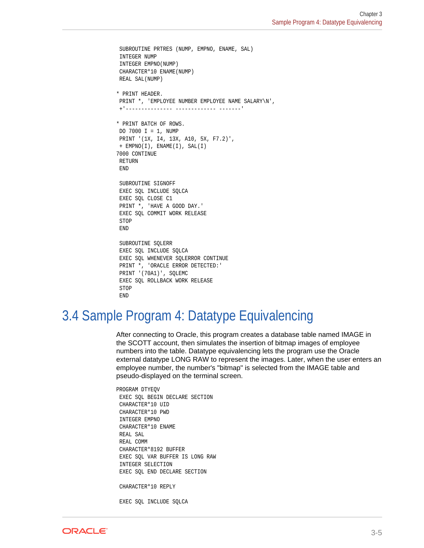```
 SUBROUTINE PRTRES (NUMP, EMPNO, ENAME, SAL)
 INTEGER NUMP
 INTEGER EMPNO(NUMP)
 CHARACTER*10 ENAME(NUMP)
 REAL SAL(NUMP)
* PRINT HEADER.
 PRINT *, 'EMPLOYEE NUMBER EMPLOYEE NAME SALARY\N',
  +'--------------- ------------- -------'
* PRINT BATCH OF ROWS.
 DO 7000 I = 1, NUMP
 PRINT '(1X, I4, 13X, A10, 5X, F7.2)',
 + EMPNO(I), ENAME(I), SAL(I)
7000 CONTINUE
 RETURN
 END
 SUBROUTINE SIGNOFF
 EXEC SQL INCLUDE SQLCA
 EXEC SQL CLOSE C1
 PRINT *, 'HAVE A GOOD DAY.'
 EXEC SQL COMMIT WORK RELEASE 
 STOP
 END
 SUBROUTINE SQLERR
 EXEC SQL INCLUDE SQLCA
 EXEC SQL WHENEVER SQLERROR CONTINUE
 PRINT *, 'ORACLE ERROR DETECTED:'
 PRINT '(70A1)', SQLEMC
 EXEC SQL ROLLBACK WORK RELEASE
STOP
 END
```
### 3.4 Sample Program 4: Datatype Equivalencing

After connecting to Oracle, this program creates a database table named IMAGE in the SCOTT account, then simulates the insertion of bitmap images of employee numbers into the table. Datatype equivalencing lets the program use the Oracle external datatype LONG RAW to represent the images. Later, when the user enters an employee number, the number's "bitmap" is selected from the IMAGE table and pseudo-displayed on the terminal screen.

PROGRAM DTYEQV EXEC SQL BEGIN DECLARE SECTION CHARACTER\*10 UID CHARACTER\*10 PWD INTEGER EMPNO CHARACTER\*10 ENAME REAL SAL REAL COMM CHARACTER\*8192 BUFFER EXEC SQL VAR BUFFER IS LONG RAW INTEGER SELECTION EXEC SQL END DECLARE SECTION

CHARACTER\*10 REPLY

EXEC SQL INCLUDE SQLCA

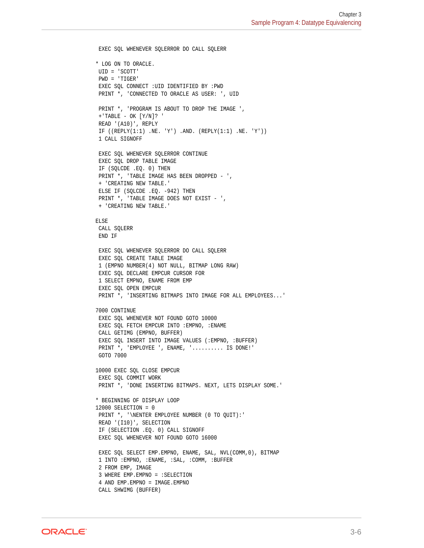```
 EXEC SQL WHENEVER SQLERROR DO CALL SQLERR
* LOG ON TO ORACLE.
 UID = 'SCOTT'
  PWD = 'TIGER'
  EXEC SQL CONNECT :UID IDENTIFIED BY :PWD
 PRINT *, 'CONNECTED TO ORACLE AS USER: ', UID
  PRINT *, 'PROGRAM IS ABOUT TO DROP THE IMAGE ',
 +'TABLE - OK [Y/N]?
  READ '(A10)', REPLY
  IF ((REPLY(1:1) .NE. 'Y') .AND. (REPLY(1:1) .NE. 'Y'))
  1 CALL SIGNOFF
  EXEC SQL WHENEVER SQLERROR CONTINUE
 EXEC SQL DROP TABLE IMAGE
  IF (SQLCDE .EQ. 0) THEN
  PRINT *, 'TABLE IMAGE HAS BEEN DROPPED - ',
  + 'CREATING NEW TABLE.'
  ELSE IF (SQLCDE .EQ. -942) THEN
  PRINT *, 'TABLE IMAGE DOES NOT EXIST - ',
  + 'CREATING NEW TABLE.'
ELSE
 CALL SQLERR
  END IF
 EXEC SQL WHENEVER SQLERROR DO CALL SQLERR
 EXEC SQL CREATE TABLE IMAGE
  1 (EMPNO NUMBER(4) NOT NULL, BITMAP LONG RAW)
  EXEC SQL DECLARE EMPCUR CURSOR FOR
  1 SELECT EMPNO, ENAME FROM EMP
 EXEC SQL OPEN EMPCUR
 PRINT *, 'INSERTING BITMAPS INTO IMAGE FOR ALL EMPLOYEES...'
7000 CONTINUE
  EXEC SQL WHENEVER NOT FOUND GOTO 10000
  EXEC SQL FETCH EMPCUR INTO :EMPNO, :ENAME
 CALL GETIMG (EMPNO, BUFFER)
  EXEC SQL INSERT INTO IMAGE VALUES (:EMPNO, :BUFFER)
 PRINT *, 'EMPLOYEE ', ENAME, '.......... IS DONE!'
  GOTO 7000
10000 EXEC SQL CLOSE EMPCUR
  EXEC SQL COMMIT WORK
  PRINT *, 'DONE INSERTING BITMAPS. NEXT, LETS DISPLAY SOME.'
* BEGINNING OF DISPLAY LOOP
12000 SELECTION = 0
 PRINT *, '\NENTER EMPLOYEE NUMBER (0 TO QUIT):'
 READ '(I10)', SELECTION
  IF (SELECTION .EQ. 0) CALL SIGNOFF
  EXEC SQL WHENEVER NOT FOUND GOTO 16000
  EXEC SQL SELECT EMP.EMPNO, ENAME, SAL, NVL(COMM,0), BITMAP
  1 INTO :EMPNO, :ENAME, :SAL, :COMM, :BUFFER
  2 FROM EMP, IMAGE
  3 WHERE EMP.EMPNO = :SELECTION
  4 AND EMP.EMPNO = IMAGE.EMPNO
  CALL SHWIMG (BUFFER)
```
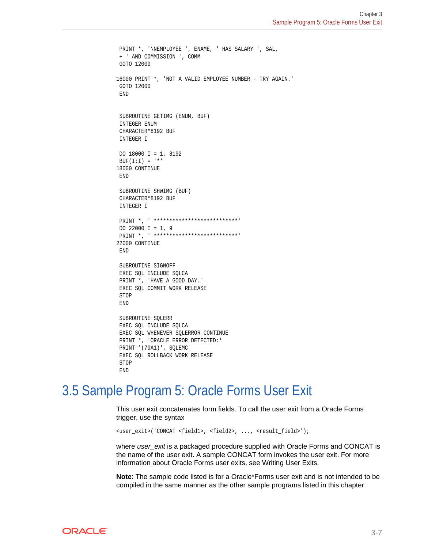```
 PRINT *, '\NEMPLOYEE ', ENAME, ' HAS SALARY ', SAL,
 + ' AND COMMISSION ', COMM
 GOTO 12000
16000 PRINT *, 'NOT A VALID EMPLOYEE NUMBER - TRY AGAIN.'
 GOTO 12000
 END
 SUBROUTINE GETIMG (ENUM, BUF)
 INTEGER ENUM
 CHARACTER*8192 BUF
 INTEGER I
 DO 18000 I = 1, 8192
BUF(I:I) = '*'
18000 CONTINUE
 END
 SUBROUTINE SHWIMG (BUF)
 CHARACTER*8192 BUF
 INTEGER I
 PRINT *, ' ***************************'
DO 22000 I = 1, 9
 PRINT *, ' ***************************'
22000 CONTINUE
 END
 SUBROUTINE SIGNOFF
 EXEC SQL INCLUDE SQLCA
 PRINT *, 'HAVE A GOOD DAY.'
 EXEC SQL COMMIT WORK RELEASE 
 STOP
 END
SUBROUTINE SOLERR
EXEC SOL INCLUDE SOLCA
 EXEC SQL WHENEVER SQLERROR CONTINUE
 PRINT *, 'ORACLE ERROR DETECTED:'
 PRINT '(70A1)', SQLEMC
 EXEC SQL ROLLBACK WORK RELEASE
 STOP
 END
```
### 3.5 Sample Program 5: Oracle Forms User Exit

This user exit concatenates form fields. To call the user exit from a Oracle Forms trigger, use the syntax

<user\_exit>('CONCAT <field1>, <field2>, ..., <result\_field>');

where *user\_exit* is a packaged procedure supplied with Oracle Forms and CONCAT is the name of the user exit. A sample CONCAT form invokes the user exit. For more information about Oracle Forms user exits, see Writing User Exits.

**Note**: The sample code listed is for a Oracle\*Forms user exit and is not intended to be compiled in the same manner as the other sample programs listed in this chapter.

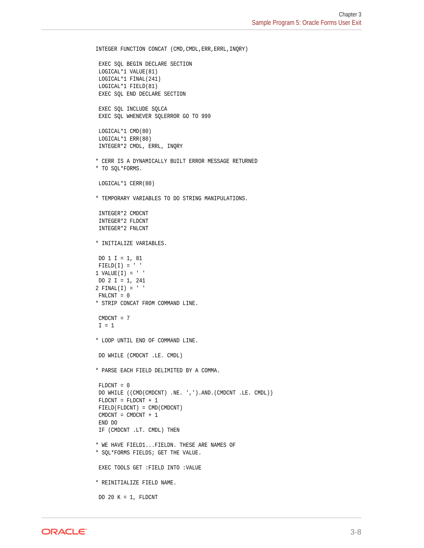```
INTEGER FUNCTION CONCAT (CMD,CMDL,ERR,ERRL,INQRY)
 EXEC SQL BEGIN DECLARE SECTION
 LOGICAL*1 VALUE(81)
 LOGICAL*1 FINAL(241)
 LOGICAL*1 FIELD(81)
  EXEC SQL END DECLARE SECTION
  EXEC SQL INCLUDE SQLCA
  EXEC SQL WHENEVER SQLERROR GO TO 999
  LOGICAL*1 CMD(80)
  LOGICAL*1 ERR(80)
  INTEGER*2 CMDL, ERRL, INQRY
* CERR IS A DYNAMICALLY BUILT ERROR MESSAGE RETURNED
* TO SQL*FORMS.
 LOGICAL*1 CERR(80)
* TEMPORARY VARIABLES TO DO STRING MANIPULATIONS.
 INTEGER*2 CMDCNT
 INTEGER*2 FLDCNT
 INTEGER*2 FNLCNT
* INITIALIZE VARIABLES.
 DO 1 I = 1, 81
FIELD(I) = ' '1 VALUE(I) = ' '
 DO 2 I = 1, 241
2 FINAL(I) = ' '
 FNLCNT = 0
* STRIP CONCAT FROM COMMAND LINE.
 CMDCNT = 7
I = 1* LOOP UNTIL END OF COMMAND LINE.
 DO WHILE (CMDCNT .LE. CMDL)
* PARSE EACH FIELD DELIMITED BY A COMMA.
 FLDCNT = 0
 DO WHILE ((CMD(CMDCNT) .NE. ',').AND.(CMDCNT .LE. CMDL))
 FLDCNT = FLDCNT + 1
 FIELD(FLDCNT) = CMD(CMDCNT)
 CMDCNT = CMDCNT + 1
 END DO
  IF (CMDCNT .LT. CMDL) THEN
* WE HAVE FIELD1...FIELDN. THESE ARE NAMES OF
* SQL*FORMS FIELDS; GET THE VALUE.
  EXEC TOOLS GET :FIELD INTO :VALUE
* REINITIALIZE FIELD NAME.
DO 20 K = 1, FLDCNT
```
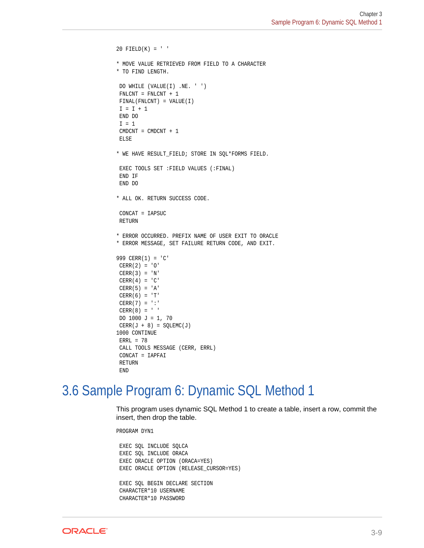```
20 FIELD(K) = '* MOVE VALUE RETRIEVED FROM FIELD TO A CHARACTER
* TO FIND LENGTH.
 DO WHILE (VALUE(I) .NE. ' ')
 FNLCNT = FNLCNT + 1
 FINAL(FNLCNT) = VALUE(I)
I = I + 1 END DO
I = 1 CMDCNT = CMDCNT + 1
 ELSE
* WE HAVE RESULT_FIELD; STORE IN SQL*FORMS FIELD.
 EXEC TOOLS SET :FIELD VALUES (:FINAL)
 END IF
 END DO
* ALL OK. RETURN SUCCESS CODE.
 CONCAT = IAPSUC
 RETURN
* ERROR OCCURRED. PREFIX NAME OF USER EXIT TO ORACLE
* ERROR MESSAGE, SET FAILURE RETURN CODE, AND EXIT.
999 CERR(1) = 'C'
CERR(2) = '0'CERR(3) = 'N'CERR(4) = 'C'CERR(5) = 'A'CERR(6) = 'T'CERR(7) = ':
CERR(8) = ' 'DO 1000 J = 1, 70CERR(J + 8) = SQLEMC(J)1000 CONTINUE
ERRL = 78 CALL TOOLS MESSAGE (CERR, ERRL)
 CONCAT = IAPFAI
 RETURN
 END
```
### 3.6 Sample Program 6: Dynamic SQL Method 1

This program uses dynamic SQL Method 1 to create a table, insert a row, commit the insert, then drop the table.

PROGRAM DYN1

```
 EXEC SQL INCLUDE SQLCA
 EXEC SQL INCLUDE ORACA
 EXEC ORACLE OPTION (ORACA=YES)
 EXEC ORACLE OPTION (RELEASE_CURSOR=YES)
 EXEC SQL BEGIN DECLARE SECTION
 CHARACTER*10 USERNAME
 CHARACTER*10 PASSWORD
```
ORACLE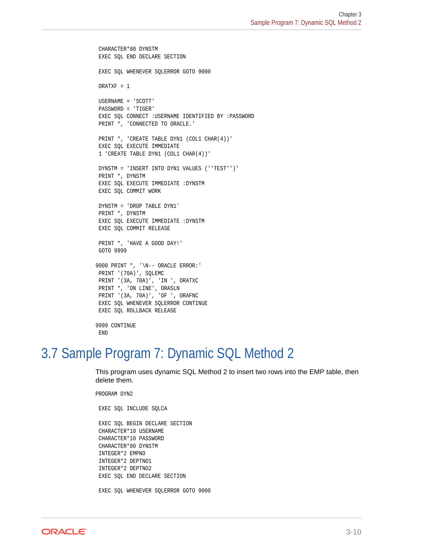```
 CHARACTER*80 DYNSTM
 EXEC SQL END DECLARE SECTION
 EXEC SQL WHENEVER SQLERROR GOTO 9000
 ORATXF = 1
 USERNAME = 'SCOTT'
 PASSWORD = 'TIGER'
 EXEC SQL CONNECT :USERNAME IDENTIFIED BY :PASSWORD
 PRINT *, 'CONNECTED TO ORACLE.'
PRINT *, 'CREATE TABLE DYN1 (COL1 CHAR(4))'
 EXEC SQL EXECUTE IMMEDIATE
 1 'CREATE TABLE DYN1 (COL1 CHAR(4))'
 DYNSTM = 'INSERT INTO DYN1 VALUES (''TEST'')'
 PRINT *, DYNSTM
 EXEC SQL EXECUTE IMMEDIATE :DYNSTM
 EXEC SQL COMMIT WORK
 DYNSTM = 'DROP TABLE DYN1'
 PRINT *, DYNSTM
 EXEC SQL EXECUTE IMMEDIATE :DYNSTM
 EXEC SQL COMMIT RELEASE
 PRINT *, 'HAVE A GOOD DAY!'
 GOTO 9999
9000 PRINT *, '\N-- ORACLE ERROR:'
 PRINT '(70A)', SQLEMC
 PRINT '(3A, 70A)', 'IN ', ORATXC
 PRINT *, 'ON LINE', ORASLN
 PRINT '(3A, 70A)', 'OF ', ORAFNC
 EXEC SQL WHENEVER SQLERROR CONTINUE
 EXEC SQL ROLLBACK RELEASE
9999 CONTINUE
```

```
 END
```
## 3.7 Sample Program 7: Dynamic SQL Method 2

This program uses dynamic SQL Method 2 to insert two rows into the EMP table, then delete them.

PROGRAM DYN2

EXEC SQL INCLUDE SQLCA

 EXEC SQL BEGIN DECLARE SECTION CHARACTER\*10 USERNAME CHARACTER\*10 PASSWORD CHARACTER\*80 DYNSTM INTEGER\*2 EMPNO INTEGER\*2 DEPTNO1 INTEGER\*2 DEPTNO2 EXEC SQL END DECLARE SECTION

EXEC SQL WHENEVER SQLERROR GOTO 9000

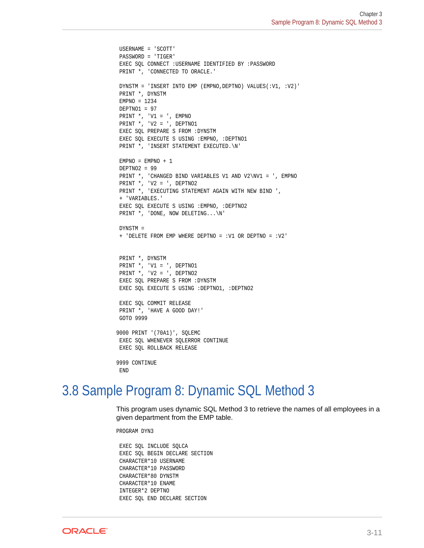```
 USERNAME = 'SCOTT'
 PASSWORD = 'TIGER'
 EXEC SQL CONNECT :USERNAME IDENTIFIED BY :PASSWORD
 PRINT *, 'CONNECTED TO ORACLE.'
 DYNSTM = 'INSERT INTO EMP (EMPNO,DEPTNO) VALUES(:V1, :V2)'
 PRINT *, DYNSTM
 EMPNO = 1234
 DEPTNO1 = 97
 PRINT *, 'V1 = ', EMPNO
 PRINT *, 'V2 = ', DEPTNO1
 EXEC SQL PREPARE S FROM :DYNSTM
 EXEC SQL EXECUTE S USING :EMPNO, :DEPTNO1
 PRINT *, 'INSERT STATEMENT EXECUTED.\N'
EMPNO = EMPNO + 1 DEPTNO2 = 99
 PRINT *, 'CHANGED BIND VARIABLES V1 AND V2\NV1 = ', EMPNO
 PRINT *, 'V2 = ', DEPTNO2
PRINT *, 'EXECUTING STATEMENT AGAIN WITH NEW BIND ',
  + 'VARIABLES.'
 EXEC SQL EXECUTE S USING :EMPNO, :DEPTNO2
PRINT *, 'DONE, NOW DELETING...\N'
 DYNSTM = 
  + 'DELETE FROM EMP WHERE DEPTNO = :V1 OR DEPTNO = :V2'
 PRINT *, DYNSTM
 PRINT *, 'V1 = ', DEPTNO1
 PRINT *, 'V2 = ', DEPTNO2
 EXEC SQL PREPARE S FROM :DYNSTM
 EXEC SQL EXECUTE S USING :DEPTNO1, :DEPTNO2
 EXEC SQL COMMIT RELEASE
 PRINT *, 'HAVE A GOOD DAY!'
 GOTO 9999
9000 PRINT '(70A1)', SQLEMC
 EXEC SQL WHENEVER SQLERROR CONTINUE
 EXEC SQL ROLLBACK RELEASE
9999 CONTINUE
 END
```
### 3.8 Sample Program 8: Dynamic SQL Method 3

This program uses dynamic SQL Method 3 to retrieve the names of all employees in a given department from the EMP table.

PROGRAM DYN3

 EXEC SQL INCLUDE SQLCA EXEC SQL BEGIN DECLARE SECTION CHARACTER\*10 USERNAME CHARACTER\*10 PASSWORD CHARACTER\*80 DYNSTM CHARACTER\*10 ENAME INTEGER\*2 DEPTNO EXEC SQL END DECLARE SECTION

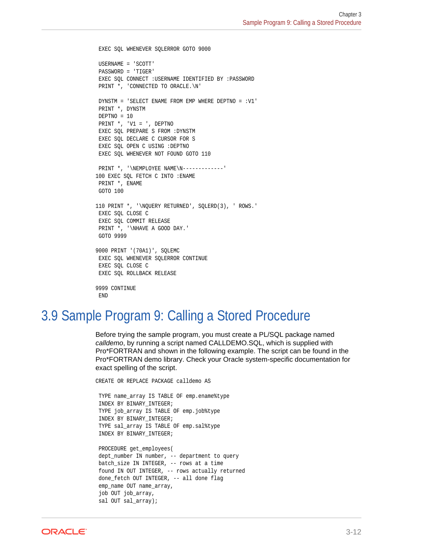```
 EXEC SQL WHENEVER SQLERROR GOTO 9000
 USERNAME = 'SCOTT'
  PASSWORD = 'TIGER'
  EXEC SQL CONNECT :USERNAME IDENTIFIED BY :PASSWORD
  PRINT *, 'CONNECTED TO ORACLE.\N'
  DYNSTM = 'SELECT ENAME FROM EMP WHERE DEPTNO = :V1'
 PRINT *, DYNSTM
  DEPTNO = 10
 PRINT *, 'V1 = ', DEPTNO
  EXEC SQL PREPARE S FROM :DYNSTM
  EXEC SQL DECLARE C CURSOR FOR S
 EXEC SQL OPEN C USING :DEPTNO
  EXEC SQL WHENEVER NOT FOUND GOTO 110
PRINT *, '\NEMPLOYEE NAME\N-------------'
100 EXEC SQL FETCH C INTO :ENAME
 PRINT *, ENAME
  GOTO 100
110 PRINT *, '\NQUERY RETURNED', SQLERD(3), ' ROWS.'
 EXEC SQL CLOSE C
  EXEC SQL COMMIT RELEASE
 PRINT *, '\NHAVE A GOOD DAY.'
  GOTO 9999
9000 PRINT '(70A1)', SQLEMC
 EXEC SQL WHENEVER SQLERROR CONTINUE
  EXEC SQL CLOSE C
  EXEC SQL ROLLBACK RELEASE
9999 CONTINUE
  END
```
# 3.9 Sample Program 9: Calling a Stored Procedure

Before trying the sample program, you must create a PL/SQL package named *calldemo*, by running a script named CALLDEMO.SQL, which is supplied with Pro\*FORTRAN and shown in the following example. The script can be found in the Pro\*FORTRAN demo library. Check your Oracle system-specific documentation for exact spelling of the script.

```
CREATE OR REPLACE PACKAGE calldemo AS
```
 TYPE name\_array IS TABLE OF emp.ename%type INDEX BY BINARY\_INTEGER; TYPE job\_array IS TABLE OF emp.job%type INDEX BY BINARY\_INTEGER; TYPE sal\_array IS TABLE OF emp.sal%type INDEX BY BINARY\_INTEGER;

```
 PROCEDURE get_employees(
 dept_number IN number, -- department to query
 batch_size IN INTEGER, -- rows at a time
 found IN OUT INTEGER, -- rows actually returned
 done_fetch OUT INTEGER, -- all done flag
 emp_name OUT name_array,
 job OUT job_array,
sal OUT sal_array);
```
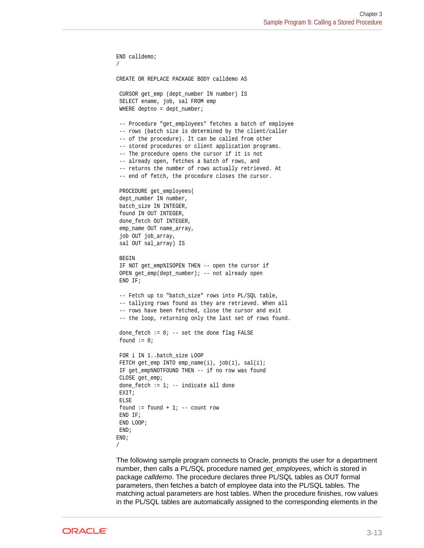```
END calldemo;
/
CREATE OR REPLACE PACKAGE BODY calldemo AS
 CURSOR get_emp (dept_number IN number) IS
 SELECT ename, job, sal FROM emp
WHERE deptno = dept_number;
  -- Procedure "get_employees" fetches a batch of employee
  -- rows (batch size is determined by the client/caller
  -- of the procedure). It can be called from other
  -- stored procedures or client application programs.
  -- The procedure opens the cursor if it is not
  -- already open, fetches a batch of rows, and
  -- returns the number of rows actually retrieved. At
 -- end of fetch, the procedure closes the cursor.
 PROCEDURE get_employees(
 dept_number IN number,
 batch_size IN INTEGER,
 found IN OUT INTEGER,
 done_fetch OUT INTEGER,
 emp_name OUT name_array,
  job OUT job_array,
 sal OUT sal_array) IS
 BEGIN
 IF NOT get_emp%ISOPEN THEN -- open the cursor if
 OPEN get_emp(dept_number); -- not already open
 END IF;
  -- Fetch up to "batch_size" rows into PL/SQL table,
  -- tallying rows found as they are retrieved. When all
  -- rows have been fetched, close the cursor and exit
  -- the loop, returning only the last set of rows found.
done_fetch := 0; -- set the done flag FALSE
found := 0; FOR i IN 1..batch_size LOOP
FETCH get_emp INTO emp_name(i), job(i), sal(i);
 IF get_emp%NOTFOUND THEN -- if no row was found
 CLOSE get_emp;
 done_fetch := 1; -- indicate all done
EXTT;
 ELSE
found := found + 1; -- count row
 END IF;
 END LOOP;
 END;
END;
/
```
The following sample program connects to Oracle, prompts the user for a department number, then calls a PL/SQL procedure named *get\_employees*, which is stored in package *calldemo*. The procedure declares three PL/SQL tables as OUT formal parameters, then fetches a batch of employee data into the PL/SQL tables. The matching actual parameters are host tables. When the procedure finishes, row values in the PL/SQL tables are automatically assigned to the corresponding elements in the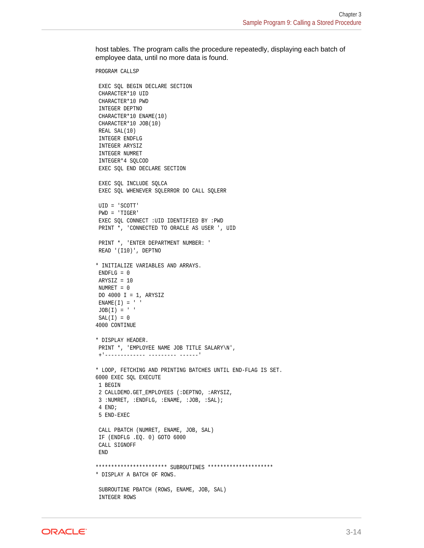host tables. The program calls the procedure repeatedly, displaying each batch of employee data, until no more data is found.

PROGRAM CALLSP

```
 EXEC SQL BEGIN DECLARE SECTION
  CHARACTER*10 UID
 CHARACTER*10 PWD
  INTEGER DEPTNO
  CHARACTER*10 ENAME(10)
  CHARACTER*10 JOB(10)
 REAL SAL(10)
  INTEGER ENDFLG
  INTEGER ARYSIZ
  INTEGER NUMRET
  INTEGER*4 SQLCOD
 EXEC SQL END DECLARE SECTION
 EXEC SQL INCLUDE SQLCA
 EXEC SQL WHENEVER SQLERROR DO CALL SQLERR
  UID = 'SCOTT'
  PWD = 'TIGER'
  EXEC SQL CONNECT :UID IDENTIFIED BY :PWD
 PRINT *, 'CONNECTED TO ORACLE AS USER ', UID
  PRINT *, 'ENTER DEPARTMENT NUMBER: '
  READ '(I10)', DEPTNO
* INITIALIZE VARIABLES AND ARRAYS.
ENDFLG = 0 ARYSIZ = 10
 NUMRET = 0
 DO 4000 I = 1, ARYSIZ
ENAME(I) = 'JOB(I) = ' 'SAL(I) = 04000 CONTINUE
* DISPLAY HEADER.
 PRINT *, 'EMPLOYEE NAME JOB TITLE SALARY\N',
  +'------------- --------- ------'
* LOOP, FETCHING AND PRINTING BATCHES UNTIL END-FLAG IS SET.
6000 EXEC SQL EXECUTE
 1 BEGIN
  2 CALLDEMO.GET_EMPLOYEES (:DEPTNO, :ARYSIZ,
  3 :NUMRET, :ENDFLG, :ENAME, :JOB, :SAL);
  4 END;
  5 END-EXEC
  CALL PBATCH (NUMRET, ENAME, JOB, SAL)
  IF (ENDFLG .EQ. 0) GOTO 6000
  CALL SIGNOFF
  END
*********************** SUBROUTINES *********************
* DISPLAY A BATCH OF ROWS.
  SUBROUTINE PBATCH (ROWS, ENAME, JOB, SAL)
  INTEGER ROWS
```
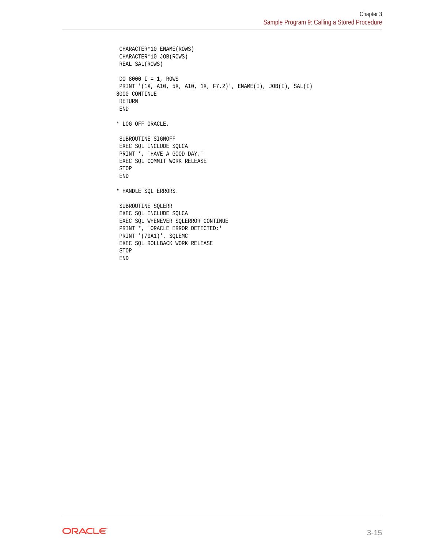```
 CHARACTER*10 ENAME(ROWS)
  CHARACTER*10 JOB(ROWS)
  REAL SAL(ROWS)
  DO 8000 I = 1, ROWS
  PRINT '(1X, A10, 5X, A10, 1X, F7.2)', ENAME(I), JOB(I), SAL(I)
8000 CONTINUE
 RETURN
  END
* LOG OFF ORACLE.
  SUBROUTINE SIGNOFF
  EXEC SQL INCLUDE SQLCA
  PRINT *, 'HAVE A GOOD DAY.'
  EXEC SQL COMMIT WORK RELEASE 
  STOP
  END
* HANDLE SQL ERRORS.
  SUBROUTINE SQLERR
  EXEC SQL INCLUDE SQLCA
  EXEC SQL WHENEVER SQLERROR CONTINUE
  PRINT *, 'ORACLE ERROR DETECTED:'
  PRINT '(70A1)', SQLEMC
  EXEC SQL ROLLBACK WORK RELEASE
  STOP
  END
```
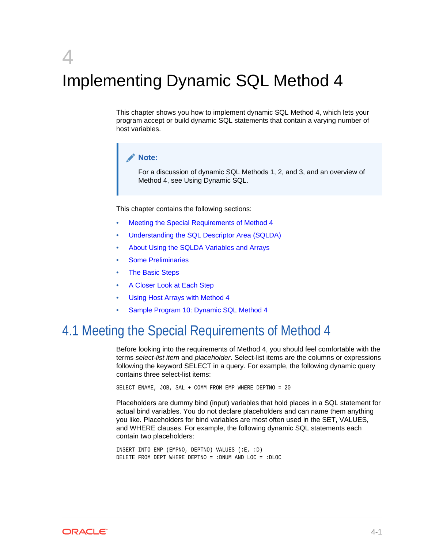# 4 Implementing Dynamic SQL Method 4

This chapter shows you how to implement dynamic SQL Method 4, which lets your program accept or build dynamic SQL statements that contain a varying number of host variables.

#### **Note:**

For a discussion of dynamic SQL Methods 1, 2, and 3, and an overview of Method 4, see Using Dynamic SQL.

This chapter contains the following sections:

- Meeting the Special Requirements of Method 4
- [Understanding the SQL Descriptor Area \(SQLDA\)](#page-78-0)
- [About Using the SQLDA Variables and Arrays](#page-83-0)
- [Some Preliminaries](#page-87-0)
- **[The Basic Steps](#page-94-0)**
- [A Closer Look at Each Step](#page-95-0)
- [Using Host Arrays with Method 4](#page-107-0)
- [Sample Program 10: Dynamic SQL Method 4](#page-108-0)

# 4.1 Meeting the Special Requirements of Method 4

Before looking into the requirements of Method 4, you should feel comfortable with the terms *select-list item* and *placeholder*. Select-list items are the columns or expressions following the keyword SELECT in a query. For example, the following dynamic query contains three select-list items:

SELECT ENAME, JOB, SAL + COMM FROM EMP WHERE DEPTNO = 20

Placeholders are dummy bind (input) variables that hold places in a SQL statement for actual bind variables. You do not declare placeholders and can name them anything you like. Placeholders for bind variables are most often used in the SET, VALUES, and WHERE clauses. For example, the following dynamic SQL statements each contain two placeholders:

INSERT INTO EMP (EMPNO, DEPTNO) VALUES (:E, :D) DELETE FROM DEPT WHERE DEPTNO = :DNUM AND LOC = :DLOC

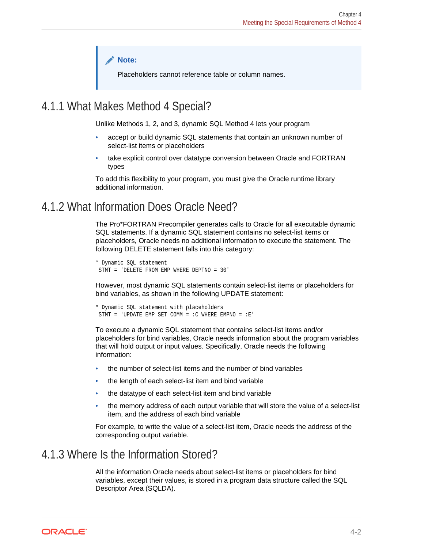**Note:**

Placeholders cannot reference table or column names.

# 4.1.1 What Makes Method 4 Special?

Unlike Methods 1, 2, and 3, dynamic SQL Method 4 lets your program

- accept or build dynamic SQL statements that contain an unknown number of select-list items or placeholders
- take explicit control over datatype conversion between Oracle and FORTRAN types

To add this flexibility to your program, you must give the Oracle runtime library additional information.

### 4.1.2 What Information Does Oracle Need?

The Pro\*FORTRAN Precompiler generates calls to Oracle for all executable dynamic SQL statements. If a dynamic SQL statement contains no select-list items or placeholders, Oracle needs no additional information to execute the statement. The following DELETE statement falls into this category:

```
* Dynamic SQL statement
 STMT = 'DELETE FROM EMP WHERE DEPTNO = 30'
```
However, most dynamic SQL statements contain select-list items or placeholders for bind variables, as shown in the following UPDATE statement:

```
* Dynamic SQL statement with placeholders
 STMT = 'UPDATE EMP SET COMM = :C WHERE EMPNO = :E'
```
To execute a dynamic SQL statement that contains select-list items and/or placeholders for bind variables, Oracle needs information about the program variables that will hold output or input values. Specifically, Oracle needs the following information:

- the number of select-list items and the number of bind variables
- the length of each select-list item and bind variable
- the datatype of each select-list item and bind variable
- the memory address of each output variable that will store the value of a select-list item, and the address of each bind variable

For example, to write the value of a select-list item, Oracle needs the address of the corresponding output variable.

### 4.1.3 Where Is the Information Stored?

All the information Oracle needs about select-list items or placeholders for bind variables, except their values, is stored in a program data structure called the SQL Descriptor Area (SQLDA).

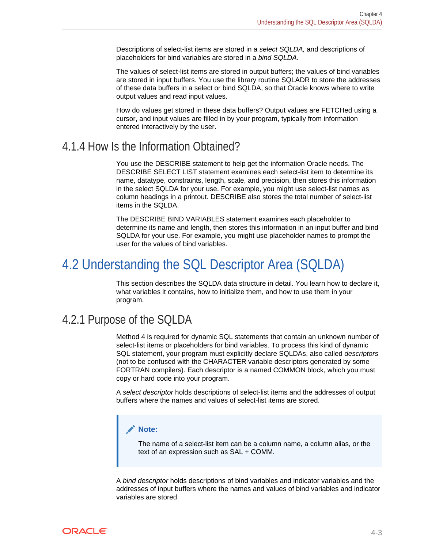<span id="page-78-0"></span>Descriptions of select-list items are stored in a *select SQLDA,* and descriptions of placeholders for bind variables are stored in a *bind SQLDA*.

The values of select-list items are stored in output buffers; the values of bind variables are stored in input buffers. You use the library routine SQLADR to store the addresses of these data buffers in a select or bind SQLDA, so that Oracle knows where to write output values and read input values.

How do values get stored in these data buffers? Output values are FETCHed using a cursor, and input values are filled in by your program, typically from information entered interactively by the user.

#### 4.1.4 How Is the Information Obtained?

You use the DESCRIBE statement to help get the information Oracle needs. The DESCRIBE SELECT LIST statement examines each select-list item to determine its name, datatype, constraints, length, scale, and precision, then stores this information in the select SQLDA for your use. For example, you might use select-list names as column headings in a printout. DESCRIBE also stores the total number of select-list items in the SQLDA.

The DESCRIBE BIND VARIABLES statement examines each placeholder to determine its name and length, then stores this information in an input buffer and bind SQLDA for your use. For example, you might use placeholder names to prompt the user for the values of bind variables.

# 4.2 Understanding the SQL Descriptor Area (SQLDA)

This section describes the SQLDA data structure in detail. You learn how to declare it, what variables it contains, how to initialize them, and how to use them in your program.

# 4.2.1 Purpose of the SQLDA

Method 4 is required for dynamic SQL statements that contain an unknown number of select-list items or placeholders for bind variables. To process this kind of dynamic SQL statement, your program must explicitly declare SQLDAs, also called *descriptors* (not to be confused with the CHARACTER variable descriptors generated by some FORTRAN compilers). Each descriptor is a named COMMON block, which you must copy or hard code into your program.

A *select descriptor* holds descriptions of select-list items and the addresses of output buffers where the names and values of select-list items are stored.

#### **Note:**

The name of a select-list item can be a column name, a column alias, or the text of an expression such as SAL + COMM.

A *bind descriptor* holds descriptions of bind variables and indicator variables and the addresses of input buffers where the names and values of bind variables and indicator variables are stored.

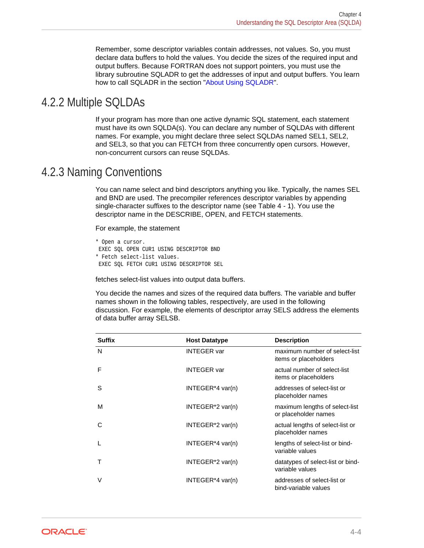Remember, some descriptor variables contain addresses, not values. So, you must declare data buffers to hold the values. You decide the sizes of the required input and output buffers. Because FORTRAN does not support pointers, you must use the library subroutine SQLADR to get the addresses of input and output buffers. You learn how to call SQLADR in the section ["About Using SQLADR"](#page-88-0).

#### 4.2.2 Multiple SQLDAs

If your program has more than one active dynamic SQL statement, each statement must have its own SQLDA(s). You can declare any number of SQLDAs with different names. For example, you might declare three select SQLDAs named SEL1, SEL2, and SEL3, so that you can FETCH from three concurrently open cursors. However, non-concurrent cursors can reuse SQLDAs.

#### 4.2.3 Naming Conventions

You can name select and bind descriptors anything you like. Typically, the names SEL and BND are used. The precompiler references descriptor variables by appending single-character suffixes to the descriptor name (see Table 4 - 1). You use the descriptor name in the DESCRIBE, OPEN, and FETCH statements.

For example, the statement

```
* Open a cursor.
 EXEC SQL OPEN CUR1 USING DESCRIPTOR BND
* Fetch select-list values.
 EXEC SQL FETCH CUR1 USING DESCRIPTOR SEL
```
fetches select-list values into output data buffers.

You decide the names and sizes of the required data buffers. The variable and buffer names shown in the following tables, respectively, are used in the following discussion. For example, the elements of descriptor array SELS address the elements of data buffer array SELSB.

| <b>Suffix</b> | <b>Host Datatype</b> | <b>Description</b>                                     |
|---------------|----------------------|--------------------------------------------------------|
| N             | <b>INTEGER var</b>   | maximum number of select-list<br>items or placeholders |
| F             | <b>INTEGER var</b>   | actual number of select-list<br>items or placeholders  |
| S             | $INTEGR*4 var(n)$    | addresses of select-list or<br>placeholder names       |
| M             | $INTEGR*2 var(n)$    | maximum lengths of select-list<br>or placeholder names |
| C             | $INTEGR*2 var(n)$    | actual lengths of select-list or<br>placeholder names  |
|               | $INTEGR*4 var(n)$    | lengths of select-list or bind-<br>variable values     |
|               | $INTEGR*2 var(n)$    | datatypes of select-list or bind-<br>variable values   |
| $\vee$        | $INTEGR*4 var(n)$    | addresses of select-list or<br>bind-variable values    |

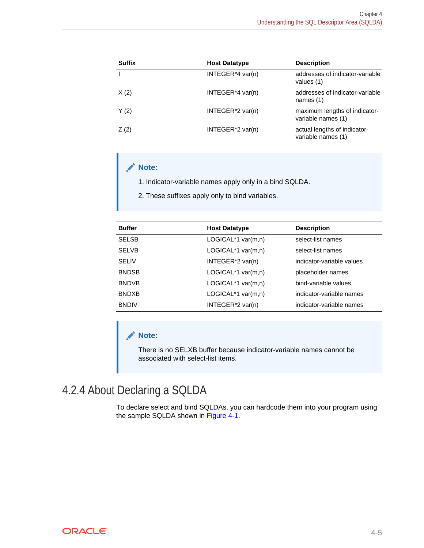| <b>Suffix</b> | <b>Host Datatype</b> | <b>Description</b>                                  |
|---------------|----------------------|-----------------------------------------------------|
|               | $INTEGR*4 var(n)$    | addresses of indicator-variable<br>values (1)       |
| X(2)          | $INTER*4 var(n)$     | addresses of indicator-variable<br>names $(1)$      |
| Y(2)          | $INTEGR*2 var(n)$    | maximum lengths of indicator-<br>variable names (1) |
| Z(2)          | $INTER*2 var(n)$     | actual lengths of indicator-<br>variable names (1)  |

#### **Note:**

1. Indicator-variable names apply only in a bind SQLDA.

2. These suffixes apply only to bind variables.

| <b>Buffer</b> | <b>Host Datatype</b> | <b>Description</b>        |
|---------------|----------------------|---------------------------|
| <b>SELSB</b>  | $LOGICAL*1 var(m,n)$ | select-list names         |
| <b>SELVB</b>  | $LOGICAL*1 var(m,n)$ | select-list names         |
| <b>SELIV</b>  | $INTEGR*2 var(n)$    | indicator-variable values |
| <b>BNDSB</b>  | $LOGICAL*1 var(m,n)$ | placeholder names         |
| <b>BNDVB</b>  | $LOGICAL*1 var(m,n)$ | bind-variable values      |
| <b>BNDXB</b>  | $LOGICAL*1 var(m,n)$ | indicator-variable names  |
| <b>BNDIV</b>  | $INTEGR*2 var(n)$    | indicator-variable names  |

#### **Note:**

There is no SELXB buffer because indicator-variable names cannot be associated with select-list items.

# 4.2.4 About Declaring a SQLDA

To declare select and bind SQLDAs, you can hardcode them into your program using the sample SQLDA shown in [Figure 4-1](#page-81-0).

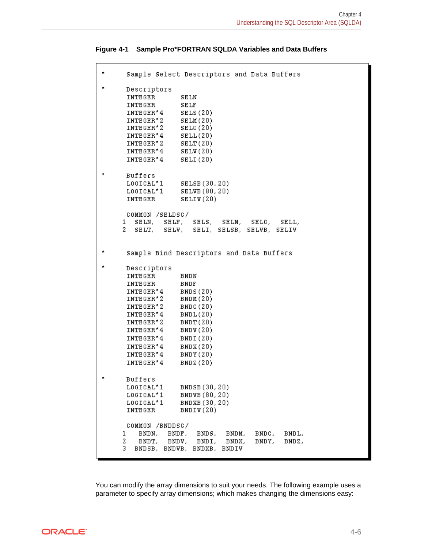```
Sample Select Descriptors and Data Buffers
\starDescriptors
      INTEGER
                     SELN
      INTEGER
                     SELF
      INTEGER*4
                     SELS (20)
                     SELM(20)INTEGER*2
      INTEGER*2
                     SELC(20)
                     SELL(20)INTEGER*4
      INTEGER*2
                     SELT(20)INTEGER*4
                     SELV(20)INTEGER*4
                     SELI(20)
\starBuffers
                     SELSB (30, 20)
      LOGICAL*1
                     SELVB (80, 20)
      LOGICAL*1
      INTEGER
                     SELIV(20)COMMON /SELDSC/
     \mathbf{1}SELF,
                         SELS,
                                         SELC,
         SELN,
                                 SELM.
                                                 SELL,
     \mathbf{2}SELT.
                 SELV.
                         SELI, SELSB, SELVB, SELIV
\starSample Bind Descriptors and Data Buffers
×
      Descriptors
      INTEGER
                     BNDN
      INTEGER
                     BNDF
                     BNDS(20)
      INTEGER*4
      INTEGER*2
                     BNDM(20)BMDC(20)INTEGER*2
      INTEGER*4
                     BNDL(20)BNDT(20)INTEGER*2
      INTEGER*4
                     BNDV(20)BNDI(20)
      INTEGER*4
                     BNDX(20)INTEGER*4
      INTEGER*4
                     BNDY(20)
      INTEGER*4
                     BNDZ (20)
\starBuffers
      LOGICAL*1
                     BNDSB (30, 20)
      LOGICAL*1
                     BNDVB (80, 20)
      LOGICAL*1
                     BNDXB (30, 20)
      INTEGER
                     BNDIV(20)
      COMMON /BNDDSC/
     \mathbf{1}BNDN,
                  BNDF,
                          BNDS,
                                  BNDM,
                                          BNDC,
                                                  BNDL,
     \mathbf{2}BNDT,
                  BNDV,
                          BNDI,
                                  BNDX,
                                          BNDY,
                                                  BNDZ,
     3.
         BNDSB, BNDVB, BNDXB, BNDIV
```
<span id="page-81-0"></span>**Figure 4-1 Sample Pro\*FORTRAN SQLDA Variables and Data Buffers**

You can modify the array dimensions to suit your needs. The following example uses a parameter to specify array dimensions; which makes changing the dimensions easy:

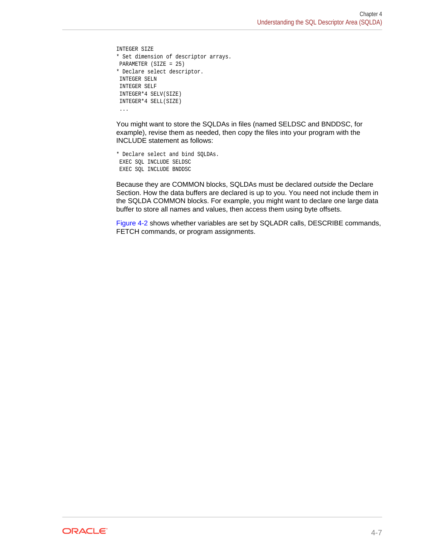```
INTEGER SIZE
* Set dimension of descriptor arrays.
 PARAMETER (SIZE = 25)
* Declare select descriptor.
 INTEGER SELN
  INTEGER SELF
  INTEGER*4 SELV(SIZE)
  INTEGER*4 SELL(SIZE)
  ...
```
You might want to store the SQLDAs in files (named SELDSC and BNDDSC, for example), revise them as needed, then copy the files into your program with the INCLUDE statement as follows:

```
* Declare select and bind SQLDAs.
 EXEC SQL INCLUDE SELDSC
 EXEC SQL INCLUDE BNDDSC
```
Because they are COMMON blocks, SQLDAs must be declared *outside* the Declare Section. How the data buffers are declared is up to you. You need not include them in the SQLDA COMMON blocks. For example, you might want to declare one large data buffer to store all names and values, then access them using byte offsets.

[Figure 4-2](#page-83-0) shows whether variables are set by SQLADR calls, DESCRIBE commands, FETCH commands, or program assignments.

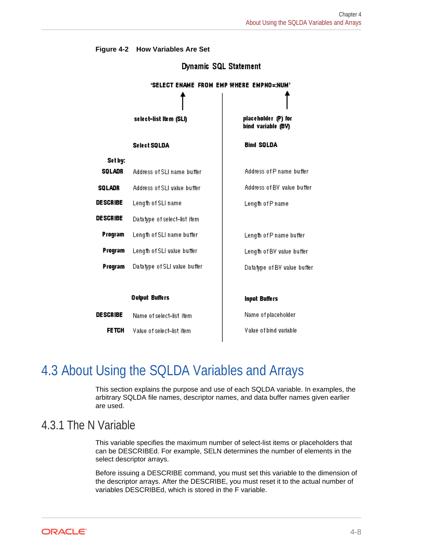<span id="page-83-0"></span>

| "SELECT ENAME FROM EMP WHERE EMPNO=:NUM" |                              |                                           |
|------------------------------------------|------------------------------|-------------------------------------------|
|                                          |                              |                                           |
|                                          | select-list Item (SLI)       | placeholder (P) for<br>bind variable (BV) |
|                                          | Select SOLDA                 | <b>Bind SOLDA</b>                         |
| Set by:                                  |                              |                                           |
| SOLADR                                   | Address of SLI name buffer   | Address of P name buffer                  |
| <b>SOLADR</b>                            | Address of SLI value buffer  | Address of BV value buffer                |
| <b>DESCRIBE</b>                          | Length of SLI name           | Length of P name                          |
| <b>DESCRIBE</b>                          | Datatype of select-list item |                                           |
| Program                                  | Length of SLI name buffer    | Length of P name buffer                   |
| Program                                  | Length of SLI value buffer   | Length of BV value buffer                 |
| Program                                  | Datatype of SLI value buffer | Datatype of BV value buffel               |
|                                          |                              |                                           |
|                                          | <b>Output Buffers</b>        | <b>Input Buffers</b>                      |
| <b>DESCRIBE</b>                          | Name of select-list item     | Name of placeholder                       |
| <b>FETCH</b>                             | Value of select–list item    | Value of bind variable.                   |

#### **Dynamic SQL Statement**

# 4.3 About Using the SQLDA Variables and Arrays

This section explains the purpose and use of each SQLDA variable. In examples, the arbitrary SQLDA file names, descriptor names, and data buffer names given earlier are used.

### 4.3.1 The N Variable

This variable specifies the maximum number of select-list items or placeholders that can be DESCRIBEd. For example, SELN determines the number of elements in the select descriptor arrays.

Before issuing a DESCRIBE command, you must set this variable to the dimension of the descriptor arrays. After the DESCRIBE, you must reset it to the actual number of variables DESCRIBEd, which is stored in the F variable.

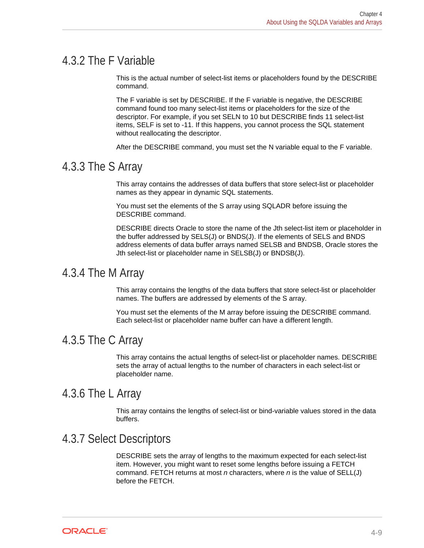# 4.3.2 The F Variable

This is the actual number of select-list items or placeholders found by the DESCRIBE command.

The F variable is set by DESCRIBE. If the F variable is negative, the DESCRIBE command found too many select-list items or placeholders for the size of the descriptor. For example, if you set SELN to 10 but DESCRIBE finds 11 select-list items, SELF is set to -11. If this happens, you cannot process the SQL statement without reallocating the descriptor.

After the DESCRIBE command, you must set the N variable equal to the F variable.

#### 4.3.3 The S Array

This array contains the addresses of data buffers that store select-list or placeholder names as they appear in dynamic SQL statements.

You must set the elements of the S array using SQLADR before issuing the DESCRIBE command.

DESCRIBE directs Oracle to store the name of the Jth select-list item or placeholder in the buffer addressed by SELS(J) or BNDS(J). If the elements of SELS and BNDS address elements of data buffer arrays named SELSB and BNDSB, Oracle stores the Jth select-list or placeholder name in SELSB(J) or BNDSB(J).

#### 4.3.4 The M Array

This array contains the lengths of the data buffers that store select-list or placeholder names. The buffers are addressed by elements of the S array.

You must set the elements of the M array before issuing the DESCRIBE command. Each select-list or placeholder name buffer can have a different length.

### 4.3.5 The C Array

This array contains the actual lengths of select-list or placeholder names. DESCRIBE sets the array of actual lengths to the number of characters in each select-list or placeholder name.

#### 4.3.6 The L Array

This array contains the lengths of select-list or bind-variable values stored in the data buffers.

#### 4.3.7 Select Descriptors

DESCRIBE sets the array of lengths to the maximum expected for each select-list item. However, you might want to reset some lengths before issuing a FETCH command. FETCH returns at most *n* characters, where *n* is the value of SELL(J) before the FETCH.

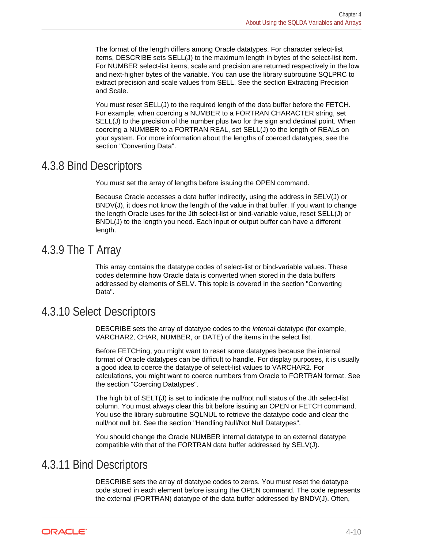The format of the length differs among Oracle datatypes. For character select-list items, DESCRIBE sets SELL(J) to the maximum length in bytes of the select-list item. For NUMBER select-list items, scale and precision are returned respectively in the low and next-higher bytes of the variable. You can use the library subroutine SQLPRC to extract precision and scale values from SELL. See the section Extracting Precision and Scale.

You must reset SELL(J) to the required length of the data buffer before the FETCH. For example, when coercing a NUMBER to a FORTRAN CHARACTER string, set SELL(J) to the precision of the number plus two for the sign and decimal point. When coercing a NUMBER to a FORTRAN REAL, set SELL(J) to the length of REALs on your system. For more information about the lengths of coerced datatypes, see the section "Converting Data".

### 4.3.8 Bind Descriptors

You must set the array of lengths before issuing the OPEN command.

Because Oracle accesses a data buffer indirectly, using the address in SELV(J) or BNDV(J), it does not know the length of the value in that buffer. If you want to change the length Oracle uses for the Jth select-list or bind-variable value, reset SELL(J) or BNDL(J) to the length you need. Each input or output buffer can have a different length.

# 4.3.9 The T Array

This array contains the datatype codes of select-list or bind-variable values. These codes determine how Oracle data is converted when stored in the data buffers addressed by elements of SELV. This topic is covered in the section "Converting Data".

### 4.3.10 Select Descriptors

DESCRIBE sets the array of datatype codes to the *internal* datatype (for example, VARCHAR2, CHAR, NUMBER, or DATE) of the items in the select list.

Before FETCHing, you might want to reset some datatypes because the internal format of Oracle datatypes can be difficult to handle. For display purposes, it is usually a good idea to coerce the datatype of select-list values to VARCHAR2. For calculations, you might want to coerce numbers from Oracle to FORTRAN format. See the section "Coercing Datatypes".

The high bit of SELT(J) is set to indicate the null/not null status of the Jth select-list column. You must always clear this bit before issuing an OPEN or FETCH command. You use the library subroutine SQLNUL to retrieve the datatype code and clear the null/not null bit. See the section "Handling Null/Not Null Datatypes".

You should change the Oracle NUMBER internal datatype to an external datatype compatible with that of the FORTRAN data buffer addressed by SELV(J).

# 4.3.11 Bind Descriptors

DESCRIBE sets the array of datatype codes to zeros. You must reset the datatype code stored in each element before issuing the OPEN command. The code represents the external (FORTRAN) datatype of the data buffer addressed by BNDV(J). Often,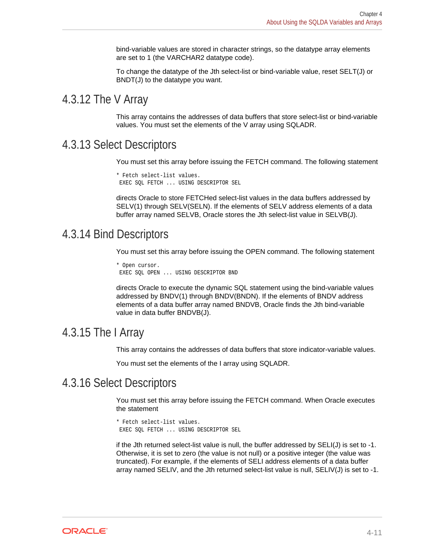bind-variable values are stored in character strings, so the datatype array elements are set to 1 (the VARCHAR2 datatype code).

To change the datatype of the Jth select-list or bind-variable value, reset SELT(J) or BNDT(J) to the datatype you want.

#### 4.3.12 The V Array

This array contains the addresses of data buffers that store select-list or bind-variable values. You must set the elements of the V array using SQLADR.

#### 4.3.13 Select Descriptors

You must set this array before issuing the FETCH command. The following statement

```
* Fetch select-list values.
 EXEC SQL FETCH ... USING DESCRIPTOR SEL
```
directs Oracle to store FETCHed select-list values in the data buffers addressed by SELV(1) through SELV(SELN). If the elements of SELV address elements of a data buffer array named SELVB, Oracle stores the Jth select-list value in SELVB(J).

#### 4.3.14 Bind Descriptors

You must set this array before issuing the OPEN command. The following statement

```
* Open cursor.
 EXEC SQL OPEN ... USING DESCRIPTOR BND
```
directs Oracle to execute the dynamic SQL statement using the bind-variable values addressed by BNDV(1) through BNDV(BNDN). If the elements of BNDV address elements of a data buffer array named BNDVB, Oracle finds the Jth bind-variable value in data buffer BNDVB(J).

#### 4.3.15 The I Array

This array contains the addresses of data buffers that store indicator-variable values.

You must set the elements of the I array using SQLADR.

#### 4.3.16 Select Descriptors

You must set this array before issuing the FETCH command. When Oracle executes the statement

```
* Fetch select-list values.
 EXEC SQL FETCH ... USING DESCRIPTOR SEL
```
if the Jth returned select-list value is null, the buffer addressed by SELI(J) is set to -1. Otherwise, it is set to zero (the value is not null) or a positive integer (the value was truncated). For example, if the elements of SELI address elements of a data buffer array named SELIV, and the Jth returned select-list value is null, SELIV(J) is set to -1.

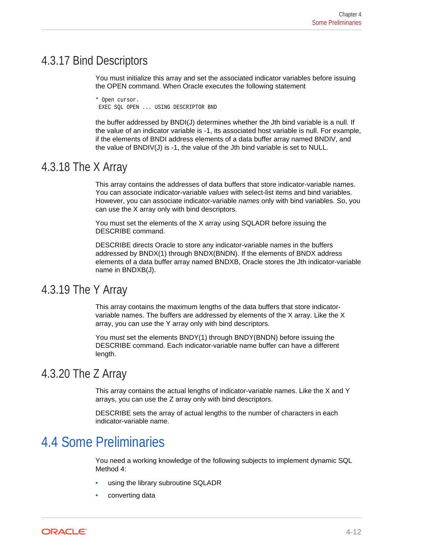# <span id="page-87-0"></span>4.3.17 Bind Descriptors

You must initialize this array and set the associated indicator variables before issuing the OPEN command. When Oracle executes the following statement

\* Open cursor. EXEC SQL OPEN ... USING DESCRIPTOR BND

the buffer addressed by BNDI(J) determines whether the Jth bind variable is a null. If the value of an indicator variable is -1, its associated host variable is null. For example, if the elements of BNDI address elements of a data buffer array named BNDIV, and the value of BNDIV(J) is -1, the value of the Jth bind variable is set to NULL.

### 4.3.18 The X Array

This array contains the addresses of data buffers that store indicator-variable names. You can associate indicator-variable *values* with select-list items and bind variables. However, you can associate indicator-variable *names* only with bind variables. So, you can use the X array only with bind descriptors.

You must set the elements of the X array using SQLADR before issuing the DESCRIBE command.

DESCRIBE directs Oracle to store any indicator-variable names in the buffers addressed by BNDX(1) through BNDX(BNDN). If the elements of BNDX address elements of a data buffer array named BNDXB, Oracle stores the Jth indicator-variable name in BNDXB(J).

# 4.3.19 The Y Array

This array contains the maximum lengths of the data buffers that store indicatorvariable names. The buffers are addressed by elements of the X array. Like the X array, you can use the Y array only with bind descriptors.

You must set the elements BNDY(1) through BNDY(BNDN) before issuing the DESCRIBE command. Each indicator-variable name buffer can have a different length.

### 4.3.20 The Z Array

This array contains the actual lengths of indicator-variable names. Like the X and Y arrays, you can use the Z array only with bind descriptors.

DESCRIBE sets the array of actual lengths to the number of characters in each indicator-variable name.

# 4.4 Some Preliminaries

You need a working knowledge of the following subjects to implement dynamic SQL Method 4:

- using the library subroutine SQLADR
- converting data

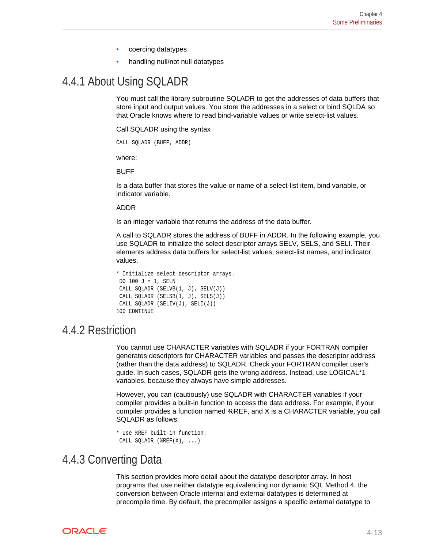- coercing datatypes
- handling null/not null datatypes

### <span id="page-88-0"></span>4.4.1 About Using SQLADR

You must call the library subroutine SQLADR to get the addresses of data buffers that store input and output values. You store the addresses in a select or bind SQLDA so that Oracle knows where to read bind-variable values or write select-list values.

Call SQLADR using the syntax

CALL SQLADR (BUFF, ADDR)

where:

BUFF

Is a data buffer that stores the value or name of a select-list item, bind variable, or indicator variable.

ADDR

Is an integer variable that returns the address of the data buffer.

A call to SQLADR stores the address of BUFF in ADDR. In the following example, you use SQLADR to initialize the select descriptor arrays SELV, SELS, and SELI. Their elements address data buffers for select-list values, select-list names, and indicator values.

```
* Initialize select descriptor arrays.
DO 100 J = 1, SELN
 CALL SQLADR (SELVB(1, J), SELV(J))
 CALL SQLADR (SELSB(1, J), SELS(J))
 CALL SQLADR (SELIV(J), SELI(J))
100 CONTINUE
```
#### 4.4.2 Restriction

You cannot use CHARACTER variables with SQLADR if your FORTRAN compiler generates descriptors for CHARACTER variables and passes the descriptor address (rather than the data address) to SQLADR. Check your FORTRAN compiler user's guide. In such cases, SQLADR gets the wrong address. Instead, use LOGICAL\*1 variables, because they always have simple addresses.

However, you can (cautiously) use SQLADR with CHARACTER variables if your compiler provides a built-in function to access the data address. For example, if your compiler provides a function named %REF, and X is a CHARACTER variable, you call SQLADR as follows:

\* Use %REF built-in function. CALL SQLADR  $(\text{RREF}(X), \ldots)$ 

### 4.4.3 Converting Data

This section provides more detail about the datatype descriptor array. In host programs that use neither datatype equivalencing nor dynamic SQL Method 4, the conversion between Oracle internal and external datatypes is determined at precompile time. By default, the precompiler assigns a specific external datatype to

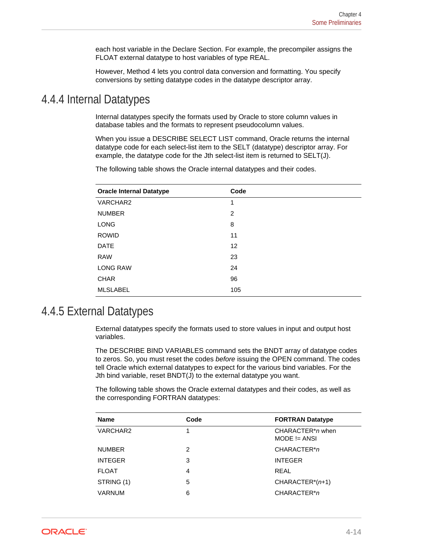each host variable in the Declare Section. For example, the precompiler assigns the FLOAT external datatype to host variables of type REAL.

However, Method 4 lets you control data conversion and formatting. You specify conversions by setting datatype codes in the datatype descriptor array.

#### 4.4.4 Internal Datatypes

Internal datatypes specify the formats used by Oracle to store column values in database tables and the formats to represent pseudocolumn values.

When you issue a DESCRIBE SELECT LIST command, Oracle returns the internal datatype code for each select-list item to the SELT (datatype) descriptor array. For example, the datatype code for the Jth select-list item is returned to SELT(J).

The following table shows the Oracle internal datatypes and their codes.

| <b>Oracle Internal Datatype</b> | Code         |
|---------------------------------|--------------|
| VARCHAR2                        | $\mathbf{1}$ |
| <b>NUMBER</b>                   | 2            |
| <b>LONG</b>                     | 8            |
| <b>ROWID</b>                    | 11           |
| <b>DATE</b>                     | 12           |
| <b>RAW</b>                      | 23           |
| <b>LONG RAW</b>                 | 24           |
| <b>CHAR</b>                     | 96           |
| <b>MLSLABEL</b>                 | 105          |

#### 4.4.5 External Datatypes

External datatypes specify the formats used to store values in input and output host variables.

The DESCRIBE BIND VARIABLES command sets the BNDT array of datatype codes to zeros. So, you must reset the codes *before* issuing the OPEN command. The codes tell Oracle which external datatypes to expect for the various bind variables. For the Jth bind variable, reset BNDT(J) to the external datatype you want.

The following table shows the Oracle external datatypes and their codes, as well as the corresponding FORTRAN datatypes:

| <b>Name</b>    | Code | <b>FORTRAN Datatype</b>            |
|----------------|------|------------------------------------|
| VARCHAR2       | 1    | CHARACTER*n when<br>$MODE$ != ANSI |
| <b>NUMBER</b>  | 2    | CHARACTER*n                        |
| <b>INTEGER</b> | 3    | <b>INTEGER</b>                     |
| <b>FLOAT</b>   | 4    | REAL                               |
| STRING (1)     | 5    | $CHARACTER*(n+1)$                  |
| <b>VARNUM</b>  | 6    | CHARACTER*n                        |

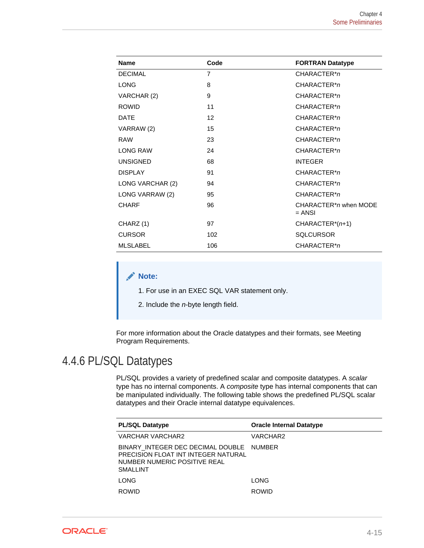| <b>Name</b>      | Code | <b>FORTRAN Datatype</b>           |
|------------------|------|-----------------------------------|
| <b>DECIMAL</b>   | 7    | CHARACTER*n                       |
| <b>LONG</b>      | 8    | CHARACTER*n                       |
| VARCHAR (2)      | 9    | CHARACTER*n                       |
| <b>ROWID</b>     | 11   | CHARACTER*n                       |
| <b>DATE</b>      | 12   | CHARACTER*n                       |
| VARRAW (2)       | 15   | CHARACTER*n                       |
| <b>RAW</b>       | 23   | CHARACTER*n                       |
| <b>LONG RAW</b>  | 24   | CHARACTER*n                       |
| <b>UNSIGNED</b>  | 68   | <b>INTEGER</b>                    |
| <b>DISPLAY</b>   | 91   | CHARACTER*n                       |
| LONG VARCHAR (2) | 94   | CHARACTER*n                       |
| LONG VARRAW (2)  | 95   | CHARACTER*n                       |
| <b>CHARF</b>     | 96   | CHARACTER*n when MODE<br>$= ANSI$ |
| CHARZ (1)        | 97   | CHARACTER $*(n+1)$                |
| <b>CURSOR</b>    | 102  | <b>SQLCURSOR</b>                  |
| <b>MLSLABEL</b>  | 106  | CHARACTER*n                       |
|                  |      |                                   |

#### **Note:**

1. For use in an EXEC SQL VAR statement only.

2. Include the *n*-byte length field.

For more information about the Oracle datatypes and their formats, see Meeting Program Requirements.

# 4.4.6 PL/SQL Datatypes

PL/SQL provides a variety of predefined scalar and composite datatypes. A *scalar* type has no internal components. A *composite* type has internal components that can be manipulated individually. The following table shows the predefined PL/SQL scalar datatypes and their Oracle internal datatype equivalences.

| <b>PL/SOL Datatype</b>                                                                                                             | <b>Oracle Internal Datatype</b> |
|------------------------------------------------------------------------------------------------------------------------------------|---------------------------------|
| VARCHAR VARCHAR2                                                                                                                   | VARCHAR2                        |
| BINARY INTEGER DEC DECIMAL DOUBLE NUMBER<br>PRECISION FLOAT INT INTEGER NATURAL<br>NUMBER NUMERIC POSITIVE REAL<br><b>SMALLINT</b> |                                 |
| <b>LONG</b>                                                                                                                        | <b>LONG</b>                     |
| <b>ROWID</b>                                                                                                                       | <b>ROWID</b>                    |

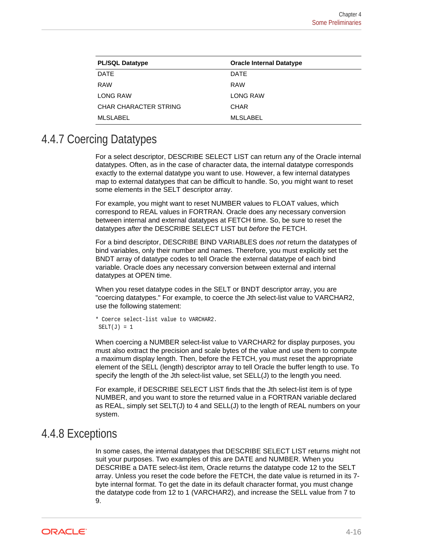| <b>PL/SQL Datatype</b> | <b>Oracle Internal Datatype</b> |
|------------------------|---------------------------------|
| <b>DATE</b>            | <b>DATE</b>                     |
| <b>RAW</b>             | <b>RAW</b>                      |
| LONG RAW               | LONG RAW                        |
| CHAR CHARACTER STRING  | <b>CHAR</b>                     |
| <b>MLSLABEL</b>        | <b>MLSLABEL</b>                 |

### 4.4.7 Coercing Datatypes

For a select descriptor, DESCRIBE SELECT LIST can return any of the Oracle internal datatypes. Often, as in the case of character data, the internal datatype corresponds exactly to the external datatype you want to use. However, a few internal datatypes map to external datatypes that can be difficult to handle. So, you might want to reset some elements in the SELT descriptor array.

For example, you might want to reset NUMBER values to FLOAT values, which correspond to REAL values in FORTRAN. Oracle does any necessary conversion between internal and external datatypes at FETCH time. So, be sure to reset the datatypes *after* the DESCRIBE SELECT LIST but *before* the FETCH.

For a bind descriptor, DESCRIBE BIND VARIABLES does *not* return the datatypes of bind variables, only their number and names. Therefore, you must explicitly set the BNDT array of datatype codes to tell Oracle the external datatype of each bind variable. Oracle does any necessary conversion between external and internal datatypes at OPEN time.

When you reset datatype codes in the SELT or BNDT descriptor array, you are "coercing datatypes." For example, to coerce the Jth select-list value to VARCHAR2, use the following statement:

```
* Coerce select-list value to VARCHAR2.
SET(T(J) = 1
```
When coercing a NUMBER select-list value to VARCHAR2 for display purposes, you must also extract the precision and scale bytes of the value and use them to compute a maximum display length. Then, before the FETCH, you must reset the appropriate element of the SELL (length) descriptor array to tell Oracle the buffer length to use. To specify the length of the Jth select-list value, set SELL(J) to the length you need.

For example, if DESCRIBE SELECT LIST finds that the Jth select-list item is of type NUMBER, and you want to store the returned value in a FORTRAN variable declared as REAL, simply set SELT(J) to 4 and SELL(J) to the length of REAL numbers on your system.

### 4.4.8 Exceptions

In some cases, the internal datatypes that DESCRIBE SELECT LIST returns might not suit your purposes. Two examples of this are DATE and NUMBER. When you DESCRIBE a DATE select-list item, Oracle returns the datatype code 12 to the SELT array. Unless you reset the code before the FETCH, the date value is returned in its 7 byte internal format. To get the date in its default character format, you must change the datatype code from 12 to 1 (VARCHAR2), and increase the SELL value from 7 to 9.

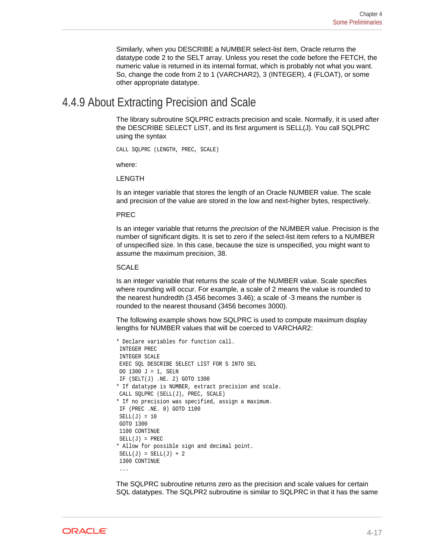Similarly, when you DESCRIBE a NUMBER select-list item, Oracle returns the datatype code 2 to the SELT array. Unless you reset the code before the FETCH, the numeric value is returned in its internal format, which is probably not what you want. So, change the code from 2 to 1 (VARCHAR2), 3 (INTEGER), 4 (FLOAT), or some other appropriate datatype.

### 4.4.9 About Extracting Precision and Scale

The library subroutine SQLPRC extracts precision and scale. Normally, it is used after the DESCRIBE SELECT LIST, and its first argument is SELL(J). You call SQLPRC using the syntax

CALL SQLPRC (LENGTH, PREC, SCALE)

where:

LENGTH

Is an integer variable that stores the length of an Oracle NUMBER value. The scale and precision of the value are stored in the low and next-higher bytes, respectively.

#### PREC

Is an integer variable that returns the *precision* of the NUMBER value. Precision is the number of significant digits. It is set to zero if the select-list item refers to a NUMBER of unspecified size. In this case, because the size is unspecified, you might want to assume the maximum precision, 38.

**SCALE** 

Is an integer variable that returns the *scale* of the NUMBER value. Scale specifies where rounding will occur. For example, a scale of 2 means the value is rounded to the nearest hundredth (3.456 becomes 3.46); a scale of -3 means the number is rounded to the nearest thousand (3456 becomes 3000).

The following example shows how SQLPRC is used to compute maximum display lengths for NUMBER values that will be coerced to VARCHAR2:

```
* Declare variables for function call.
 INTEGER PREC
 INTEGER SCALE
 EXEC SQL DESCRIBE SELECT LIST FOR S INTO SEL
 DO 1300 J = 1, SELN
 IF (SELT(J) .NE. 2) GOTO 1300
* If datatype is NUMBER, extract precision and scale.
 CALL SQLPRC (SELL(J), PREC, SCALE)
* If no precision was specified, assign a maximum.
 IF (PREC .NE. 0) GOTO 1100
SELL(J) = 10 GOTO 1300
 1100 CONTINUE
SELL(J) = PREC* Allow for possible sign and decimal point.
SELL(J) = SELL(J) + 2 1300 CONTINUE
  ...
```
The SQLPRC subroutine returns zero as the precision and scale values for certain SQL datatypes. The SQLPR2 subroutine is similar to SQLPRC in that it has the same

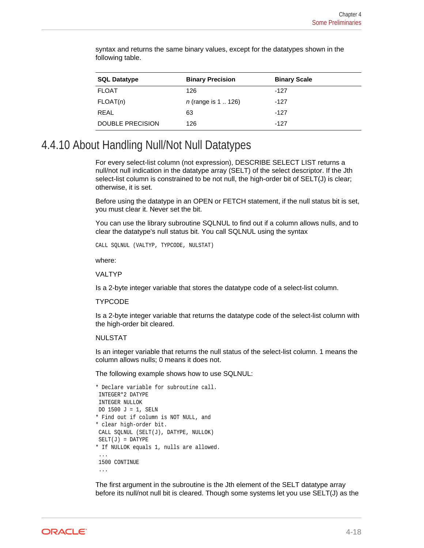| <b>SQL Datatype</b> | <b>Binary Precision</b> | <b>Binary Scale</b> |
|---------------------|-------------------------|---------------------|
| <b>FLOAT</b>        | 126                     | $-127$              |
| FLOAT(n)            | $n$ (range is 1 126)    | $-127$              |
| <b>REAL</b>         | 63                      | $-127$              |
| DOUBLE PRECISION    | 126                     | $-127$              |

syntax and returns the same binary values, except for the datatypes shown in the following table.

### 4.4.10 About Handling Null/Not Null Datatypes

For every select-list column (not expression), DESCRIBE SELECT LIST returns a null/not null indication in the datatype array (SELT) of the select descriptor. If the Jth select-list column is constrained to be not null, the high-order bit of SELT(J) is clear; otherwise, it is set.

Before using the datatype in an OPEN or FETCH statement, if the null status bit is set, you must clear it. Never set the bit.

You can use the library subroutine SQLNUL to find out if a column allows nulls, and to clear the datatype's null status bit. You call SQLNUL using the syntax

CALL SQLNUL (VALTYP, TYPCODE, NULSTAT)

where:

VALTYP

Is a 2-byte integer variable that stores the datatype code of a select-list column.

**TYPCODE** 

Is a 2-byte integer variable that returns the datatype code of the select-list column with the high-order bit cleared.

NULSTAT

Is an integer variable that returns the null status of the select-list column. 1 means the column allows nulls; 0 means it does not.

The following example shows how to use SQLNUL:

```
* Declare variable for subroutine call.
 INTEGER*2 DATYPE
 INTEGER NULLOK
 DO 1500 J = 1, SELN
* Find out if column is NOT NULL, and
* clear high-order bit.
 CALL SQLNUL (SELT(J), DATYPE, NULLOK)
SELT(J) = DATYPE* If NULLOK equals 1, nulls are allowed.
 ...
 1500 CONTINUE
  ...
```
The first argument in the subroutine is the Jth element of the SELT datatype array before its null/not null bit is cleared. Though some systems let you use SELT(J) as the

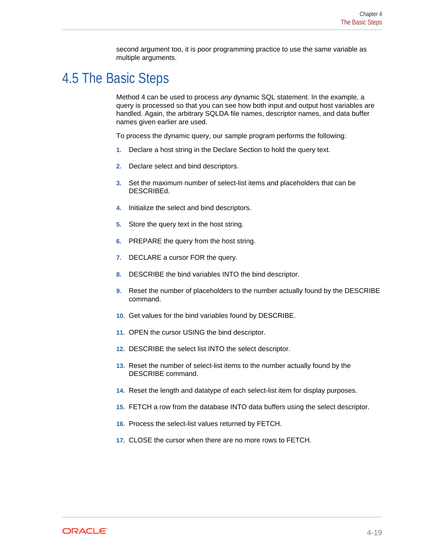second argument too, it is poor programming practice to use the same variable as multiple arguments.

# <span id="page-94-0"></span>4.5 The Basic Steps

Method 4 can be used to process *any* dynamic SQL statement. In the example, a query is processed so that you can see how both input and output host variables are handled. Again, the arbitrary SQLDA file names, descriptor names, and data buffer names given earlier are used.

To process the dynamic query, our sample program performs the following:

- **1.** Declare a host string in the Declare Section to hold the query text.
- **2.** Declare select and bind descriptors.
- **3.** Set the maximum number of select-list items and placeholders that can be DESCRIBEd.
- **4.** Initialize the select and bind descriptors.
- **5.** Store the query text in the host string.
- **6.** PREPARE the query from the host string.
- **7.** DECLARE a cursor FOR the query.
- **8.** DESCRIBE the bind variables INTO the bind descriptor.
- **9.** Reset the number of placeholders to the number actually found by the DESCRIBE command.
- **10.** Get values for the bind variables found by DESCRIBE.
- **11.** OPEN the cursor USING the bind descriptor.
- **12.** DESCRIBE the select list INTO the select descriptor.
- **13.** Reset the number of select-list items to the number actually found by the DESCRIBE command.
- **14.** Reset the length and datatype of each select-list item for display purposes.
- **15.** FETCH a row from the database INTO data buffers using the select descriptor.
- **16.** Process the select-list values returned by FETCH.
- **17.** CLOSE the cursor when there are no more rows to FETCH.

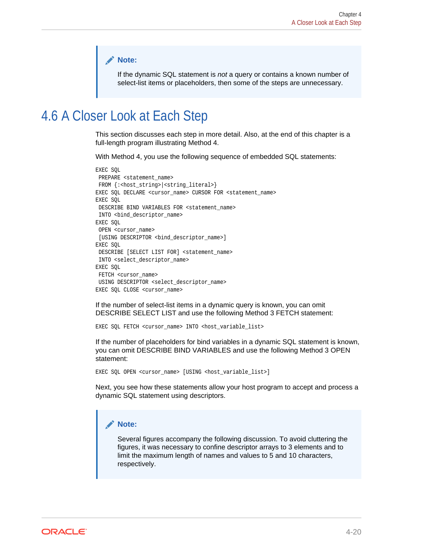#### **Note:**

If the dynamic SQL statement is *not* a query or contains a known number of select-list items or placeholders, then some of the steps are unnecessary.

# <span id="page-95-0"></span>4.6 A Closer Look at Each Step

This section discusses each step in more detail. Also, at the end of this chapter is a full-length program illustrating Method 4.

With Method 4, you use the following sequence of embedded SQL statements:

```
EXEC SQL
 PREPARE <statement_name>
 FROM {:<host_string>|<string_literal>}
EXEC SQL DECLARE <cursor_name> CURSOR FOR <statement_name>
EXEC SQL
DESCRIBE BIND VARIABLES FOR <statement_name>
 INTO <bind_descriptor_name>
EXEC SQL
  OPEN <cursor_name>
 [USING DESCRIPTOR <bind_descriptor_name>]
EXEC SQL
DESCRIBE [SELECT LIST FOR] <statement_name>
 INTO <select_descriptor_name>
EXEC SQL
 FETCH <cursor_name>
 USING DESCRIPTOR <select_descriptor_name>
EXEC SQL CLOSE <cursor_name>
```
If the number of select-list items in a dynamic query is known, you can omit DESCRIBE SELECT LIST and use the following Method 3 FETCH statement:

EXEC SQL FETCH <cursor\_name> INTO <host\_variable\_list>

If the number of placeholders for bind variables in a dynamic SQL statement is known, you can omit DESCRIBE BIND VARIABLES and use the following Method 3 OPEN statement:

EXEC SQL OPEN <cursor\_name> [USING <host\_variable\_list>]

Next, you see how these statements allow your host program to accept and process a dynamic SQL statement using descriptors.

#### **Note:**

Several figures accompany the following discussion. To avoid cluttering the figures, it was necessary to confine descriptor arrays to 3 elements and to limit the maximum length of names and values to 5 and 10 characters, respectively.

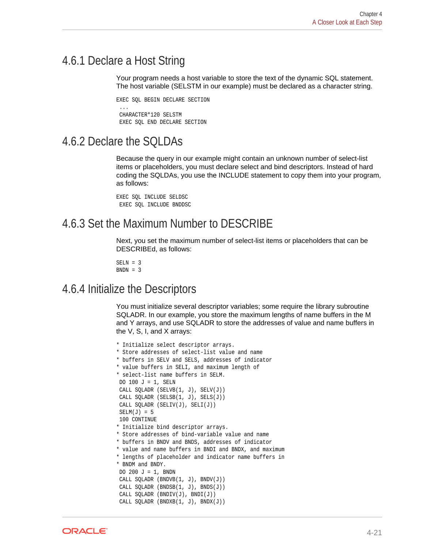### 4.6.1 Declare a Host String

Your program needs a host variable to store the text of the dynamic SQL statement. The host variable (SELSTM in our example) must be declared as a character string.

EXEC SQL BEGIN DECLARE SECTION ...

 CHARACTER\*120 SELSTM EXEC SQL END DECLARE SECTION

### 4.6.2 Declare the SQLDAs

Because the query in our example might contain an unknown number of select-list items or placeholders, you must declare select and bind descriptors. Instead of hard coding the SQLDAs, you use the INCLUDE statement to copy them into your program, as follows:

EXEC SQL INCLUDE SELDSC EXEC SQL INCLUDE BNDDSC

#### 4.6.3 Set the Maximum Number to DESCRIBE

Next, you set the maximum number of select-list items or placeholders that can be DESCRIBEd, as follows:

```
SELN = 3BNDN = 3
```
#### 4.6.4 Initialize the Descriptors

You must initialize several descriptor variables; some require the library subroutine SQLADR. In our example, you store the maximum lengths of name buffers in the M and Y arrays, and use SQLADR to store the addresses of value and name buffers in the V, S, I, and X arrays:

```
* Initialize select descriptor arrays.
* Store addresses of select-list value and name
* buffers in SELV and SELS, addresses of indicator
* value buffers in SELI, and maximum length of
* select-list name buffers in SELM.
DO 100 J = 1. SELN CALL SQLADR (SELVB(1, J), SELV(J))
 CALL SQLADR (SELSB(1, J), SELS(J))
 CALL SQLADR (SELIV(J), SELI(J))
SELM(J) = 5 100 CONTINUE
* Initialize bind descriptor arrays.
* Store addresses of bind-variable value and name
* buffers in BNDV and BNDS, addresses of indicator
* value and name buffers in BNDI and BNDX, and maximum
* lengths of placeholder and indicator name buffers in
* BNDM and BNDY.
 DO 200 J = 1, BNDN
 CALL SQLADR (BNDVB(1, J), BNDV(J))
 CALL SQLADR (BNDSB(1, J), BNDS(J))
 CALL SQLADR (BNDIV(J), BNDI(J))
 CALL SQLADR (BNDXB(1, J), BNDX(J))
```
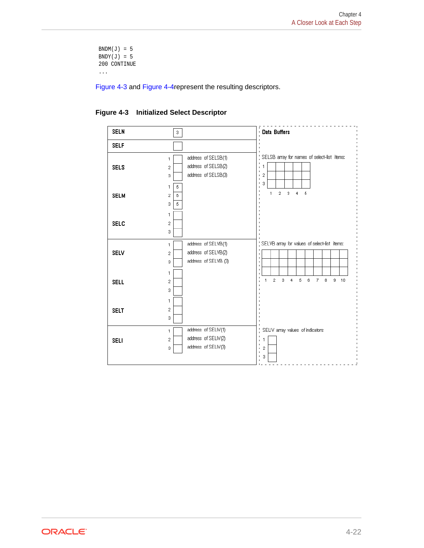```
BNDM(J) = 5BNDY(J) = 5 200 CONTINUE
 ...
```
Figure 4-3 and [Figure 4-4](#page-98-0)represent the resulting descriptors.

#### **Figure 4-3 Initialized Select Descriptor**

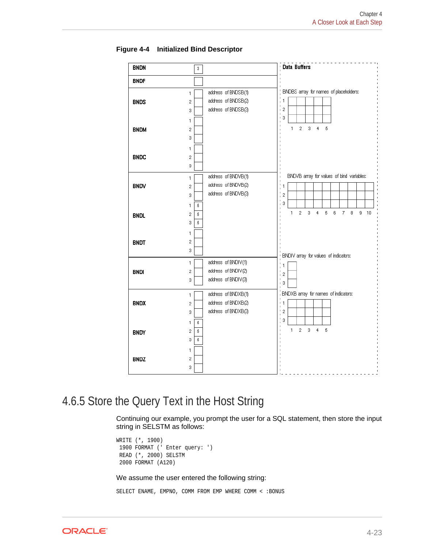| <b>BNDN</b> | 3                                                                                                        | Data Buffers<br>f,                                                                                                              |
|-------------|----------------------------------------------------------------------------------------------------------|---------------------------------------------------------------------------------------------------------------------------------|
| <b>BNDF</b> |                                                                                                          |                                                                                                                                 |
| <b>BNDS</b> | address of BNDSB(1)<br>$\mathbf{1}$<br>address of BNDSB(2)<br>$\overline{2}$<br>address of BNDSB(3)<br>3 | BNDBS array for names of placeholders:<br>$\frac{1}{1}$<br>$\mathbf{1}$<br>$\mathbf I$<br>$\overline{2}$<br>$\bar{\rm I}$<br>t  |
| <b>BNDM</b> | 1<br>$\overline{2}$<br>3                                                                                 | 3<br>$\blacksquare$<br>J.<br>1<br>$\overline{c}$<br>3<br>$\overline{4}$<br>5                                                    |
| <b>BNDC</b> | 1<br>$\overline{2}$<br>3                                                                                 |                                                                                                                                 |
| <b>BNDV</b> | address of BNDVB(1)<br>1<br>address of BNDVB(2)<br>$\overline{2}$<br>address of BNDVB(3)<br>3            | BNDVB array for values of bind variables:<br>$\mathbf{I}$<br>$\frac{1}{1}$<br>1<br>t<br>$\,2$<br>$\mathbf{I}$<br>$\blacksquare$ |
| <b>BNDL</b> | $\sqrt{5}$<br>1<br>5<br>2<br>5<br>3                                                                      | 3<br>$\mathbf{I}$<br>ï<br>$\overline{c}$<br>3<br>4<br>5<br>6<br>7<br>8<br>9<br>1<br>10                                          |
| <b>BNDT</b> | 1<br>2<br>3                                                                                              | BNDIV array for values of indicators:                                                                                           |
| <b>BNDI</b> | address of BNDIV(1)<br>1<br>address of BNDIV(2)<br>$\overline{2}$<br>address of BNDIV(3)<br>3            | t<br>$\mathbf{1}$<br>$\mathbf{r}$<br>J.<br>$\,2\,$<br>$\blacksquare$<br>ı<br>3<br>$\mathbf{I}$                                  |
| <b>BNDX</b> | address of BNDXB(1)<br>1<br>address of BNDXB(2)<br>$\overline{2}$<br>address of BNDXB(3)<br>3            | BNDXB array for names of indicators:<br>$\mathbf{r}$<br>$\mathbf{I}$<br>$\mathbf{1}$<br>ï<br>$\blacksquare$<br>2<br>ï<br>ı<br>3 |
| <b>BNDY</b> | 5<br>1<br>2<br>5<br>3<br>5<br>1                                                                          | f.<br>$\overline{c}$<br>3<br>4<br>5<br>$\mathbf{1}$                                                                             |
| <b>BNDZ</b> | 2<br>3                                                                                                   |                                                                                                                                 |

#### <span id="page-98-0"></span>**Figure 4-4 Initialized Bind Descriptor**

# 4.6.5 Store the Query Text in the Host String

Continuing our example, you prompt the user for a SQL statement, then store the input string in SELSTM as follows:

WRITE (\*, 1900) 1900 FORMAT (' Enter query: ') READ (\*, 2000) SELSTM 2000 FORMAT (A120)

We assume the user entered the following string:

SELECT ENAME, EMPNO, COMM FROM EMP WHERE COMM < : BONUS

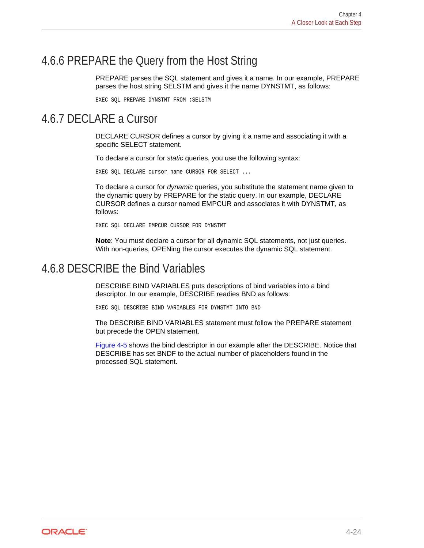# 4.6.6 PREPARE the Query from the Host String

PREPARE parses the SQL statement and gives it a name. In our example, PREPARE parses the host string SELSTM and gives it the name DYNSTMT, as follows:

EXEC SQL PREPARE DYNSTMT FROM :SELSTM

### 4.6.7 DECLARE a Cursor

DECLARE CURSOR defines a cursor by giving it a name and associating it with a specific SELECT statement.

To declare a cursor for *static* queries, you use the following syntax:

EXEC SQL DECLARE cursor\_name CURSOR FOR SELECT ...

To declare a cursor for *dynamic* queries, you substitute the statement name given to the dynamic query by PREPARE for the static query. In our example, DECLARE CURSOR defines a cursor named EMPCUR and associates it with DYNSTMT, as follows:

EXEC SQL DECLARE EMPCUR CURSOR FOR DYNSTMT

**Note**: You must declare a cursor for all dynamic SQL statements, not just queries. With non-queries, OPENing the cursor executes the dynamic SQL statement.

#### 4.6.8 DESCRIBE the Bind Variables

DESCRIBE BIND VARIABLES puts descriptions of bind variables into a bind descriptor. In our example, DESCRIBE readies BND as follows:

EXEC SQL DESCRIBE BIND VARIABLES FOR DYNSTMT INTO BND

The DESCRIBE BIND VARIABLES statement must follow the PREPARE statement but precede the OPEN statement.

[Figure 4-5](#page-100-0) shows the bind descriptor in our example after the DESCRIBE. Notice that DESCRIBE has set BNDF to the actual number of placeholders found in the processed SQL statement.

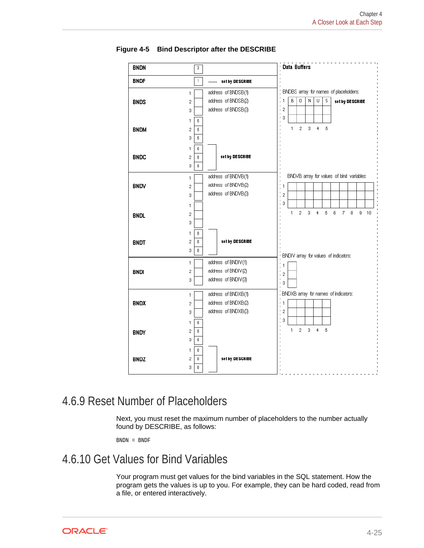

<span id="page-100-0"></span>**Figure 4-5 Bind Descriptor after the DESCRIBE**

# 4.6.9 Reset Number of Placeholders

Next, you must reset the maximum number of placeholders to the number actually found by DESCRIBE, as follows:

BNDN = BNDF

### 4.6.10 Get Values for Bind Variables

Your program must get values for the bind variables in the SQL statement. How the program gets the values is up to you. For example, they can be hard coded, read from a file, or entered interactively.

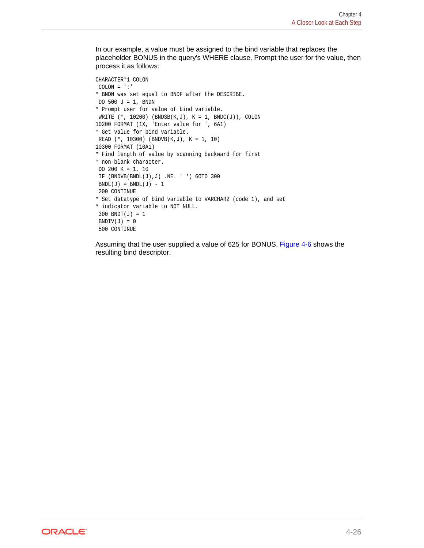In our example, a value must be assigned to the bind variable that replaces the placeholder BONUS in the query's WHERE clause. Prompt the user for the value, then process it as follows:

```
CHARACTER*1 COLON
 COLON = ':'
* BNDN was set equal to BNDF after the DESCRIBE.
DO 500 J = 1, BNDN
* Prompt user for value of bind variable.
WRITE (*, 10200) (BNDSB(K,J), K = 1, BNDC(J)), COLON10200 FORMAT (1X, 'Enter value for ', 6A1)
* Get value for bind variable.
 READ (*, 10300) (BNDVB(K,J), K = 1, 10)
10300 FORMAT (10A1)
* Find length of value by scanning backward for first
* non-blank character.
 DO 200 K = 1, 10
 IF (BNDVB(BNDL(J),J) .NE. ' ') GOTO 300
BNDL(J) = BNDL(J) - 1 200 CONTINUE
* Set datatype of bind variable to VARCHAR2 (code 1), and set
* indicator variable to NOT NULL.
 300 BNDT(J) = 1BNDIV(J) = 0 500 CONTINUE
```
Assuming that the user supplied a value of 625 for BONUS, [Figure 4-6](#page-102-0) shows the resulting bind descriptor.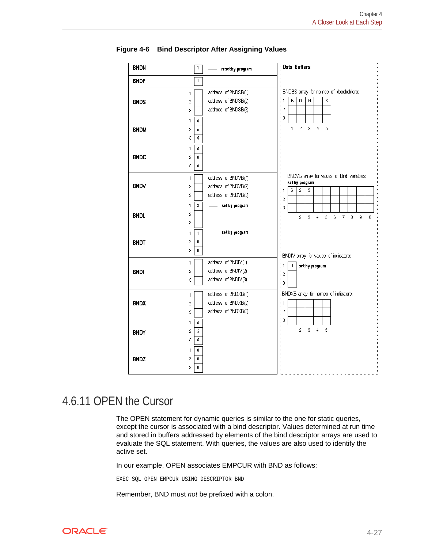

#### <span id="page-102-0"></span>**Figure 4-6 Bind Descriptor After Assigning Values**

#### 4.6.11 OPEN the Cursor

The OPEN statement for dynamic queries is similar to the one for static queries, except the cursor is associated with a bind descriptor. Values determined at run time and stored in buffers addressed by elements of the bind descriptor arrays are used to evaluate the SQL statement. With queries, the values are also used to identify the active set.

In our example, OPEN associates EMPCUR with BND as follows:

EXEC SQL OPEN EMPCUR USING DESCRIPTOR BND

Remember, BND must *not* be prefixed with a colon.

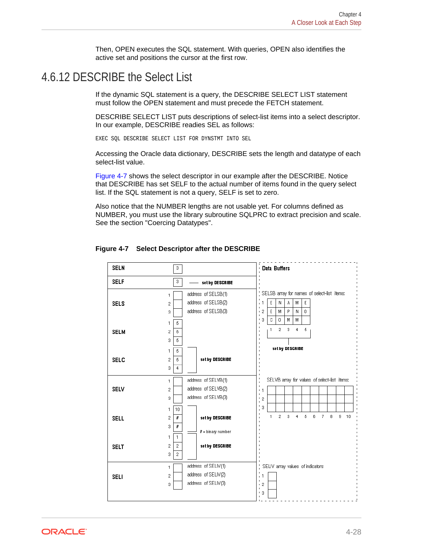Then, OPEN executes the SQL statement. With queries, OPEN also identifies the active set and positions the cursor at the first row.

### 4.6.12 DESCRIBE the Select List

If the dynamic SQL statement is a query, the DESCRIBE SELECT LIST statement must follow the OPEN statement and must precede the FETCH statement.

DESCRIBE SELECT LIST puts descriptions of select-list items into a select descriptor. In our example, DESCRIBE readies SEL as follows:

EXEC SQL DESCRIBE SELECT LIST FOR DYNSTMT INTO SEL

Accessing the Oracle data dictionary, DESCRIBE sets the length and datatype of each select-list value.

Figure 4-7 shows the select descriptor in our example after the DESCRIBE. Notice that DESCRIBE has set SELF to the actual number of items found in the query select list. If the SQL statement is not a query, SELF is set to zero.

Also notice that the NUMBER lengths are not usable yet. For columns defined as NUMBER, you must use the library subroutine SQLPRC to extract precision and scale. See the section "Coercing Datatypes".



#### **Figure 4-7 Select Descriptor after the DESCRIBE**

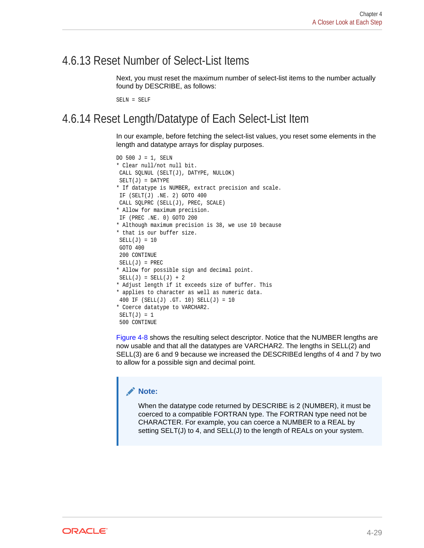### 4.6.13 Reset Number of Select-List Items

Next, you must reset the maximum number of select-list items to the number actually found by DESCRIBE, as follows:

SELN = SELF

### 4.6.14 Reset Length/Datatype of Each Select-List Item

In our example, before fetching the select-list values, you reset some elements in the length and datatype arrays for display purposes.

```
DO 500 J = 1, SELN
* Clear null/not null bit.
 CALL SQLNUL (SELT(J), DATYPE, NULLOK)
SELT(J) = DATYPE* If datatype is NUMBER, extract precision and scale.
 IF (SELT(J) .NE. 2) GOTO 400
 CALL SQLPRC (SELL(J), PREC, SCALE)
* Allow for maximum precision.
 IF (PREC .NE. 0) GOTO 200
* Although maximum precision is 38, we use 10 because
* that is our buffer size.
SELL(J) = 10 GOTO 400
 200 CONTINUE
SELL(J) = PREC* Allow for possible sign and decimal point.
SELL(J) = SELL(J) + 2* Adjust length if it exceeds size of buffer. This
* applies to character as well as numeric data.
 400 IF (SELL(J) .GT. 10) SELL(J) = 10
* Coerce datatype to VARCHAR2.
SELT(J) = 1 500 CONTINUE
```
[Figure 4-8](#page-105-0) shows the resulting select descriptor. Notice that the NUMBER lengths are now usable and that all the datatypes are VARCHAR2. The lengths in SELL(2) and SELL(3) are 6 and 9 because we increased the DESCRIBEd lengths of 4 and 7 by two to allow for a possible sign and decimal point.

#### **Note:**

When the datatype code returned by DESCRIBE is 2 (NUMBER), it must be coerced to a compatible FORTRAN type. The FORTRAN type need not be CHARACTER. For example, you can coerce a NUMBER to a REAL by setting SELT(J) to 4, and SELL(J) to the length of REALs on your system.

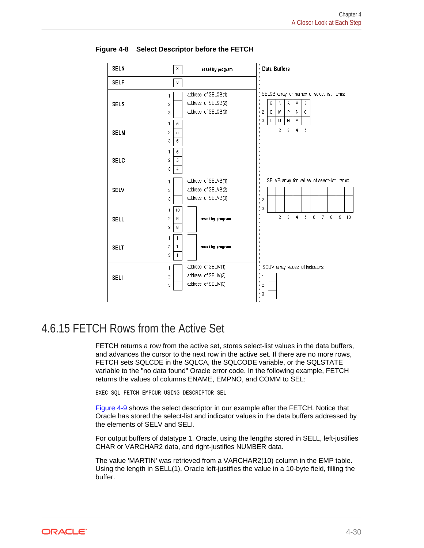

<span id="page-105-0"></span>**Figure 4-8 Select Descriptor before the FETCH**

#### 4.6.15 FETCH Rows from the Active Set

FETCH returns a row from the active set, stores select-list values in the data buffers, and advances the cursor to the next row in the active set. If there are no more rows, FETCH sets SQLCDE in the SQLCA, the SQLCODE variable, or the SQLSTATE variable to the "no data found" Oracle error code. In the following example, FETCH returns the values of columns ENAME, EMPNO, and COMM to SEL:

EXEC SQL FETCH EMPCUR USING DESCRIPTOR SEL

[Figure 4-9](#page-106-0) shows the select descriptor in our example after the FETCH. Notice that Oracle has stored the select-list and indicator values in the data buffers addressed by the elements of SELV and SELI.

For output buffers of datatype 1, Oracle, using the lengths stored in SELL, left-justifies CHAR or VARCHAR2 data, and right-justifies NUMBER data.

The value 'MARTIN' was retrieved from a VARCHAR2(10) column in the EMP table. Using the length in SELL(1), Oracle left-justifies the value in a 10-byte field, filling the buffer.

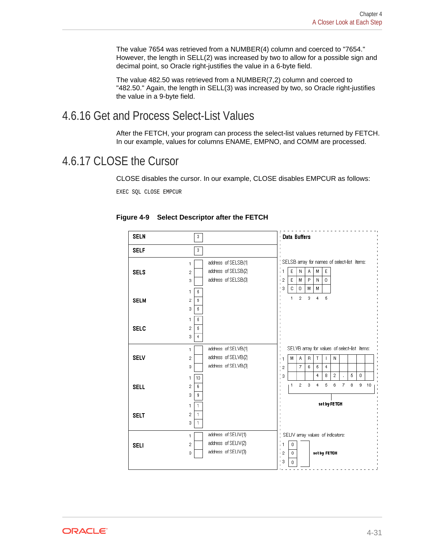<span id="page-106-0"></span>The value 7654 was retrieved from a NUMBER(4) column and coerced to "7654." However, the length in SELL(2) was increased by two to allow for a possible sign and decimal point, so Oracle right-justifies the value in a 6-byte field.

The value 482.50 was retrieved from a NUMBER(7,2) column and coerced to "482.50." Again, the length in SELL(3) was increased by two, so Oracle right-justifies the value in a 9-byte field.

### 4.6.16 Get and Process Select-List Values

After the FETCH, your program can process the select-list values returned by FETCH. In our example, values for columns ENAME, EMPNO, and COMM are processed.

### 4.6.17 CLOSE the Cursor

CLOSE disables the cursor. In our example, CLOSE disables EMPCUR as follows:

EXEC SQL CLOSE EMPCUR

| <b>SELN</b>                | 3                                                                                                                      | Data Buffers<br>$\mathbf{I}$                                                                                                                                                                                |
|----------------------------|------------------------------------------------------------------------------------------------------------------------|-------------------------------------------------------------------------------------------------------------------------------------------------------------------------------------------------------------|
| <b>SELF</b>                | 3                                                                                                                      |                                                                                                                                                                                                             |
| <b>SELS</b><br><b>SELM</b> | address of SELSB(1)<br>1<br>address of SELSB(2)<br>$\overline{2}$<br>address of SELSB(3)<br>3<br>5<br>5<br>2<br>5<br>3 | SELSB array for names of select-list items:<br>÷,<br>E<br>E<br>A<br>N<br>M<br>ï<br>E<br>P<br>$\Box$<br>$+2$<br>М<br>N.<br>ï<br>C<br>$+3$<br>$\mathbf 0$<br>М<br>М<br>$\overline{2}$<br>3<br>$4 -$<br>5<br>1 |
| <b>SELC</b>                | 5<br>1<br>5<br>2<br>$\overline{4}$<br>3                                                                                |                                                                                                                                                                                                             |
| <b>SELV</b>                | address of SELVB(1)<br>1<br>address of SELVB(2)<br>2<br>address of SELVB(3)<br>3                                       | SELVB array for values of select-list items:<br>М<br>A.<br>R.<br>T<br>N<br>T<br>$+1$<br>$\overline{7}$<br>6<br>5<br>$\overline{4}$<br>$+2$<br>$\overline{1}$                                                |
| <b>SELL</b>                | 10 <sub>1</sub><br>1<br>6<br>2<br>9<br>3                                                                               | $\blacksquare$<br>$\overline{2}$<br>5<br>$\overline{4}$<br>8<br>$\mathbf{0}$<br>3<br>$\overline{1}$<br>$\overline{2}$<br>3<br>10 <sub>10</sub><br>$\overline{4}$<br>5<br>6<br>7 <sup>1</sup><br>8<br>9<br>1 |
| <b>SELT</b>                | 1<br>1<br>2<br>1<br>$\mathbf{1}$<br>3                                                                                  | set by FETCH                                                                                                                                                                                                |
| <b>SELI</b>                | address of SELIV(1)<br>1<br>address of SELIV(2)<br>2<br>address of SELIV(3)<br>3                                       | $\frac{1}{1}$<br>SELIV array values of indicators:<br>h,<br>$\mathbf{0}$<br>$+2$<br>$\Omega$<br>set by FETCH<br>$+3$<br>$\mathbf{0}$<br>ï                                                                   |

#### **Figure 4-9 Select Descriptor after the FETCH**

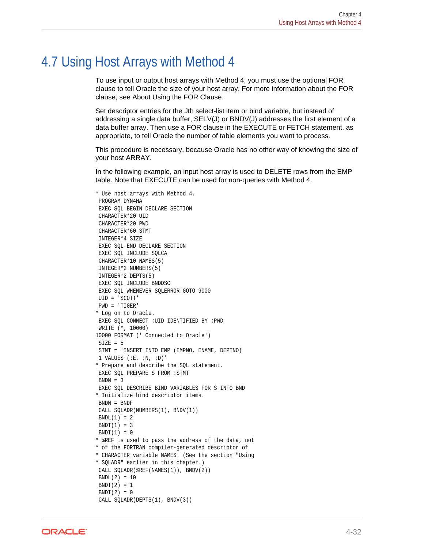# <span id="page-107-0"></span>4.7 Using Host Arrays with Method 4

To use input or output host arrays with Method 4, you must use the optional FOR clause to tell Oracle the size of your host array. For more information about the FOR clause, see About Using the FOR Clause.

Set descriptor entries for the Jth select-list item or bind variable, but instead of addressing a single data buffer, SELV(J) or BNDV(J) addresses the first element of a data buffer array. Then use a FOR clause in the EXECUTE or FETCH statement, as appropriate, to tell Oracle the number of table elements you want to process.

This procedure is necessary, because Oracle has no other way of knowing the size of your host ARRAY.

In the following example, an input host array is used to DELETE rows from the EMP table. Note that EXECUTE can be used for non-queries with Method 4.

```
* Use host arrays with Method 4.
  PROGRAM DYN4HA
  EXEC SQL BEGIN DECLARE SECTION
  CHARACTER*20 UID
 CHARACTER*20 PWD
  CHARACTER*60 STMT
  INTEGER*4 SIZE
  EXEC SQL END DECLARE SECTION 
  EXEC SQL INCLUDE SQLCA
 CHARACTER*10 NAMES(5)
  INTEGER*2 NUMBERS(5)
 INTEGER*2 DEPTS(5)
 EXEC SQL INCLUDE BNDDSC
 EXEC SQL WHENEVER SQLERROR GOTO 9000
 UID = 'SCOTT'
 PWD = 'TIGER' 
* Log on to Oracle.
  EXEC SQL CONNECT :UID IDENTIFIED BY :PWD
  WRITE (*, 10000)
10000 FORMAT (' Connected to Oracle')
 SIZE = 5 STMT = 'INSERT INTO EMP (EMPNO, ENAME, DEPTNO)
  1 VALUES (:E, :N, :D)'
* Prepare and describe the SQL statement.
  EXEC SQL PREPARE S FROM :STMT
 BNDN = 3 EXEC SQL DESCRIBE BIND VARIABLES FOR S INTO BND
* Initialize bind descriptor items.
 BNDN = BNDF
 CALL SQLADR(NUMBERS(1), BNDV(1))
BNDL(1) = 2BNDT(1) = 3BNDI(1) = 0* %REF is used to pass the address of the data, not
* of the FORTRAN compiler-generated descriptor of
* CHARACTER variable NAMES. (See the section "Using
* SQLADR" earlier in this chapter.)
  CALL SQLADR(%REF(NAMES(1)), BNDV(2))
BNDL(2) = 10BNDT(2) = 1BNDI(2) = 0 CALL SQLADR(DEPTS(1), BNDV(3))
```
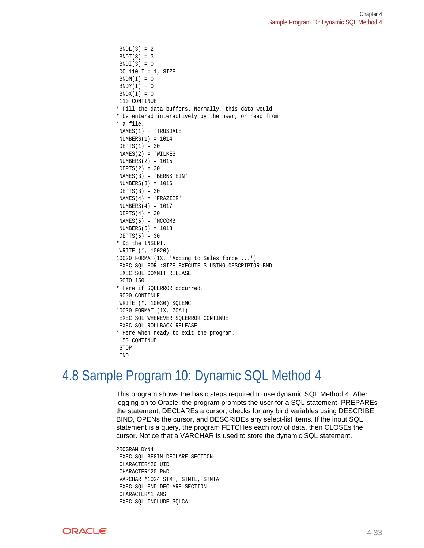```
BNDL(3) = 2BNDT(3) = 3BNDI(3) = 0 DO 110 I = 1, SIZE
BNDM(I) = 0BNDY(I) = 0BNDX(I) = 0 110 CONTINUE 
* Fill the data buffers. Normally, this data would
* be entered interactively by the user, or read from
* a file.
 NAMES(1) = 'TRUSDALE'
 NUMBERS(1) = 1014
DEPTS(1) = 30NAMES(2) = 'WILKES' NUMBERS(2) = 1015
DEPTS(2) = 30 NAMES(3) = 'BERNSTEIN'
 NUMBERS(3) = 1016
 DEPTS(3) = 30
 NAMES(4) = 'FRAZIER'
 NUMBERS(4) = 1017
DEPTS(4) = 30 NAMES(5) = 'MCCOMB'
 NUMBERS(5) = 1018
DEPTS(5) = 30* Do the INSERT.
 WRITE (*, 10020)
10020 FORMAT(1X, 'Adding to Sales force ...')
 EXEC SQL FOR :SIZE EXECUTE S USING DESCRIPTOR BND
 EXEC SQL COMMIT RELEASE
 GOTO 150
* Here if SQLERROR occurred.
 9000 CONTINUE
 WRITE (*, 10030) SQLEMC
10030 FORMAT (1X, 70A1)
 EXEC SQL WHENEVER SQLERROR CONTINUE
 EXEC SQL ROLLBACK RELEASE
* Here when ready to exit the program.
 150 CONTINUE
STOP
END
```
# 4.8 Sample Program 10: Dynamic SQL Method 4

This program shows the basic steps required to use dynamic SQL Method 4. After logging on to Oracle, the program prompts the user for a SQL statement, PREPAREs the statement, DECLAREs a cursor, checks for any bind variables using DESCRIBE BIND, OPENs the cursor, and DESCRIBEs any select-list items. If the input SQL statement is a query, the program FETCHes each row of data, then CLOSEs the cursor. Notice that a VARCHAR is used to store the dynamic SQL statement.

PROGRAM DYN4 EXEC SQL BEGIN DECLARE SECTION CHARACTER\*20 UID CHARACTER\*20 PWD VARCHAR \*1024 STMT, STMTL, STMTA EXEC SQL END DECLARE SECTION CHARACTER\*1 ANS EXEC SQL INCLUDE SQLCA

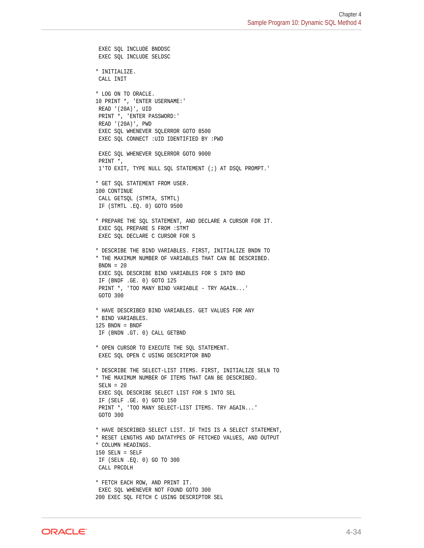```
 EXEC SQL INCLUDE BNDDSC
  EXEC SQL INCLUDE SELDSC
* INITIALIZE.
  CALL INIT
* LOG ON TO ORACLE.
10 PRINT *, 'ENTER USERNAME:'
 READ '(20A)', UID
  PRINT *, 'ENTER PASSWORD:'
  READ '(20A)', PWD
  EXEC SQL WHENEVER SQLERROR GOTO 8500
  EXEC SQL CONNECT :UID IDENTIFIED BY :PWD
  EXEC SQL WHENEVER SQLERROR GOTO 9000
  PRINT *, 
 1'TO EXIT, TYPE NULL SQL STATEMENT (;) AT DSQL PROMPT.'
* GET SQL STATEMENT FROM USER.
100 CONTINUE
 CALL GETSQL (STMTA, STMTL)
 IF (STMTL .EQ. 0) GOTO 9500
* PREPARE THE SQL STATEMENT, AND DECLARE A CURSOR FOR IT.
  EXEC SQL PREPARE S FROM :STMT
  EXEC SQL DECLARE C CURSOR FOR S
* DESCRIBE THE BIND VARIABLES. FIRST, INITIALIZE BNDN TO
* THE MAXIMUM NUMBER OF VARIABLES THAT CAN BE DESCRIBED.
BNDN = 20 EXEC SQL DESCRIBE BIND VARIABLES FOR S INTO BND
  IF (BNDF .GE. 0) GOTO 125
PRINT *, 'TOO MANY BIND VARIABLE - TRY AGAIN...'
  GOTO 300
* HAVE DESCRIBED BIND VARIABLES. GET VALUES FOR ANY
* BIND VARIABLES.
125 BNDN = BNDF
 IF (BNDN .GT. 0) CALL GETBND
* OPEN CURSOR TO EXECUTE THE SQL STATEMENT.
 EXEC SQL OPEN C USING DESCRIPTOR BND
* DESCRIBE THE SELECT-LIST ITEMS. FIRST, INITIALIZE SELN TO
* THE MAXIMUM NUMBER OF ITEMS THAT CAN BE DESCRIBED.
SELN = 20 EXEC SQL DESCRIBE SELECT LIST FOR S INTO SEL
 IF (SELF .GE. 0) GOTO 150
 PRINT *, 'TOO MANY SELECT-LIST ITEMS. TRY AGAIN...'
  GOTO 300
* HAVE DESCRIBED SELECT LIST. IF THIS IS A SELECT STATEMENT,
* RESET LENGTHS AND DATATYPES OF FETCHED VALUES, AND OUTPUT
* COLUMN HEADINGS.
150 SELN = SELF
 IF (SELN .EQ. 0) GO TO 300
  CALL PRCOLH
* FETCH EACH ROW, AND PRINT IT.
 EXEC SQL WHENEVER NOT FOUND GOTO 300
```
200 EXEC SQL FETCH C USING DESCRIPTOR SEL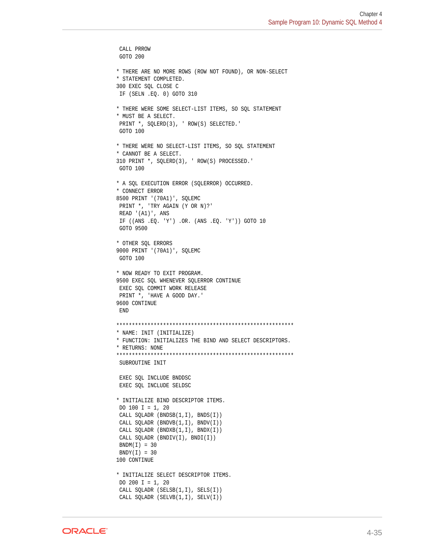```
 CALL PRROW
  GOTO 200
* THERE ARE NO MORE ROWS (ROW NOT FOUND), OR NON-SELECT
* STATEMENT COMPLETED.
300 EXEC SQL CLOSE C
 IF (SELN .EQ. 0) GOTO 310
* THERE WERE SOME SELECT-LIST ITEMS, SO SQL STATEMENT
* MUST BE A SELECT.
 PRINT *, SQLERD(3), ' ROW(S) SELECTED.'
  GOTO 100
* THERE WERE NO SELECT-LIST ITEMS, SO SQL STATEMENT
* CANNOT BE A SELECT.
310 PRINT *, SQLERD(3), ' ROW(S) PROCESSED.'
 GOTO 100
* A SQL EXECUTION ERROR (SQLERROR) OCCURRED.
* CONNECT ERROR
8500 PRINT '(70A1)', SQLEMC
 PRINT *, 'TRY AGAIN (Y OR N)?'
 READ '(A1)', ANS
  IF ((ANS .EQ. 'Y') .OR. (ANS .EQ. 'Y')) GOTO 10
 GOTO 9500
* OTHER SQL ERRORS
9000 PRINT '(70A1)', SQLEMC
 GOTO 100
* NOW READY TO EXIT PROGRAM.
9500 EXEC SQL WHENEVER SQLERROR CONTINUE
 EXEC SQL COMMIT WORK RELEASE
  PRINT *, 'HAVE A GOOD DAY.'
9600 CONTINUE
  END
*********************************************************
* NAME: INIT (INITIALIZE)
* FUNCTION: INITIALIZES THE BIND AND SELECT DESCRIPTORS.
* RETURNS: NONE
*********************************************************
 SUBROUTINE INIT
 EXEC SQL INCLUDE BNDDSC
  EXEC SQL INCLUDE SELDSC
* INITIALIZE BIND DESCRIPTOR ITEMS.
 DO 100 I = 1, 20
  CALL SQLADR (BNDSB(1,I), BNDS(I))
  CALL SQLADR (BNDVB(1,I), BNDV(I))
  CALL SQLADR (BNDXB(1,I), BNDX(I))
  CALL SQLADR (BNDIV(I), BNDI(I))
 BNDM(I) = 30BNDY(I) = 30100 CONTINUE
* INITIALIZE SELECT DESCRIPTOR ITEMS.
  DO 200 I = 1, 20
  CALL SQLADR (SELSB(1,I), SELS(I))
  CALL SQLADR (SELVB(1,I), SELV(I))
```
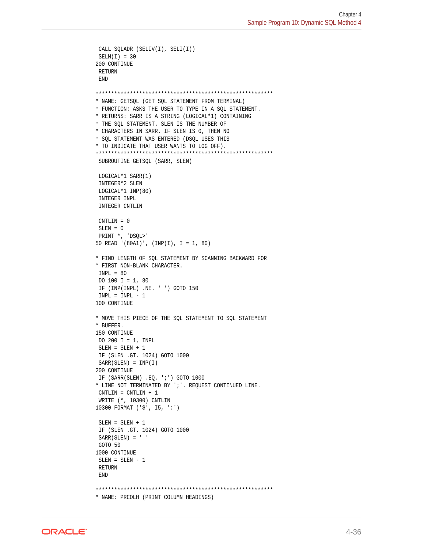```
 CALL SQLADR (SELIV(I), SELI(I))
SELM(I) = 30200 CONTINUE
 RETURN
  END
*********************************************************
* NAME: GETSQL (GET SQL STATEMENT FROM TERMINAL)
* FUNCTION: ASKS THE USER TO TYPE IN A SQL STATEMENT.
* RETURNS: SARR IS A STRING (LOGICAL*1) CONTAINING
* THE SQL STATEMENT. SLEN IS THE NUMBER OF
* CHARACTERS IN SARR. IF SLEN IS 0, THEN NO
* SQL STATEMENT WAS ENTERED (DSQL USES THIS
* TO INDICATE THAT USER WANTS TO LOG OFF).
*********************************************************
 SUBROUTINE GETSQL (SARR, SLEN)
 LOGICAL*1 SARR(1)
 INTEGER*2 SLEN
 LOGICAL*1 INP(80)
 INTEGER INPL
 INTEGER CNTLIN
 CNTLIN = 0
SLEN = 0 PRINT *, 'DSQL>'
50 READ '(80A1)', (INP(I), I = 1, 80)
* FIND LENGTH OF SQL STATEMENT BY SCANNING BACKWARD FOR
* FIRST NON-BLANK CHARACTER.
 INPL = 80 DO 100 I = 1, 80
 IF (INP(INPL) .NE. ' ') GOTO 150
 INPL = INPL - 1100 CONTINUE
* MOVE THIS PIECE OF THE SQL STATEMENT TO SQL STATEMENT
* BUFFER.
150 CONTINUE
 DO 200 I = 1, INPL
SLEN = SLEN + 1 IF (SLEN .GT. 1024) GOTO 1000
SARR(SLEN) = INFO(I)200 CONTINUE
 IF (SARR(SLEN) .EQ. ';') GOTO 1000
* LINE NOT TERMINATED BY ';'. REQUEST CONTINUED LINE.
 CNTLIN = CNTLIN + 1
 WRITE (*, 10300) CNTLIN
10300 FORMAT ('$', I5, ':')
 SLEN = SLEN + 1 IF (SLEN .GT. 1024) GOTO 1000
SARR(SLEN) = ' ' GOTO 50
1000 CONTINUE
 SLEN = SLEN - 1 RETURN
 END
*********************************************************
* NAME: PRCOLH (PRINT COLUMN HEADINGS)
```
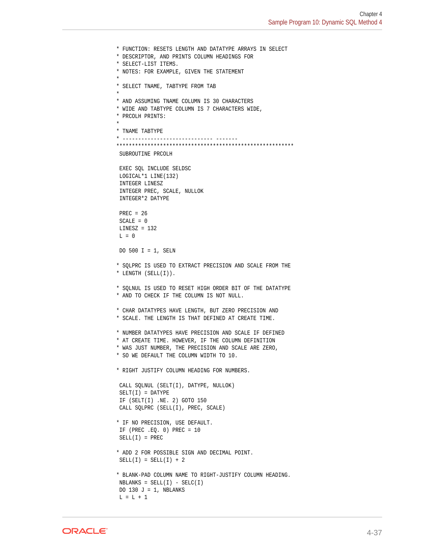```
* FUNCTION: RESETS LENGTH AND DATATYPE ARRAYS IN SELECT
* DESCRIPTOR, AND PRINTS COLUMN HEADINGS FOR
* SELECT-LIST ITEMS.
* NOTES: FOR EXAMPLE, GIVEN THE STATEMENT
*
* SELECT TNAME, TABTYPE FROM TAB
*
* AND ASSUMING TNAME COLUMN IS 30 CHARACTERS
* WIDE AND TABTYPE COLUMN IS 7 CHARACTERS WIDE,
* PRCOLH PRINTS:
*
* TNAME TABTYPE
* ----------------------------- -------
*********************************************************
  SUBROUTINE PRCOLH
 EXEC SQL INCLUDE SELDSC
 LOGICAL*1 LINE(132)
  INTEGER LINESZ
  INTEGER PREC, SCALE, NULLOK
  INTEGER*2 DATYPE
PREC = 26SCALE = 0LINESZ = 132L = 0 DO 500 I = 1, SELN
* SQLPRC IS USED TO EXTRACT PRECISION AND SCALE FROM THE
* LENGTH (SELL(I)).
* SQLNUL IS USED TO RESET HIGH ORDER BIT OF THE DATATYPE
* AND TO CHECK IF THE COLUMN IS NOT NULL.
* CHAR DATATYPES HAVE LENGTH, BUT ZERO PRECISION AND
* SCALE. THE LENGTH IS THAT DEFINED AT CREATE TIME.
* NUMBER DATATYPES HAVE PRECISION AND SCALE IF DEFINED
* AT CREATE TIME. HOWEVER, IF THE COLUMN DEFINITION
* WAS JUST NUMBER, THE PRECISION AND SCALE ARE ZERO,
* SO WE DEFAULT THE COLUMN WIDTH TO 10.
* RIGHT JUSTIFY COLUMN HEADING FOR NUMBERS.
  CALL SQLNUL (SELT(I), DATYPE, NULLOK)
 SELT(I) = DATYPE IF (SELT(I) .NE. 2) GOTO 150
  CALL SQLPRC (SELL(I), PREC, SCALE)
* IF NO PRECISION, USE DEFAULT.
  IF (PREC .EQ. 0) PREC = 10
 SELL(I) = PREC* ADD 2 FOR POSSIBLE SIGN AND DECIMAL POINT.
 SELL(I) = SELL(I) + 2* BLANK-PAD COLUMN NAME TO RIGHT-JUSTIFY COLUMN HEADING.
NBLANKS = SELL(I) - SELC(I)DO 130 J = 1, NBLANKS
L = L + 1
```
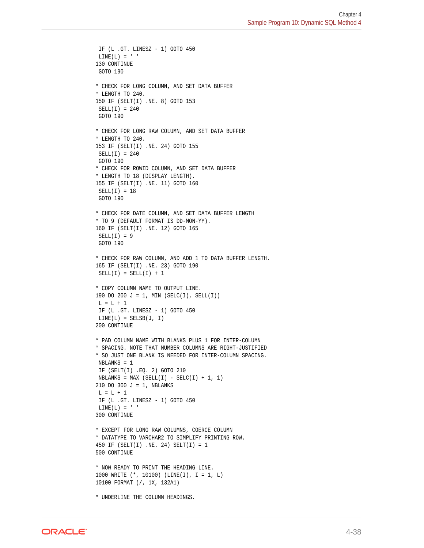```
 IF (L .GT. LINESZ - 1) GOTO 450
LINE(L) = ' '130 CONTINUE
 GOTO 190
* CHECK FOR LONG COLUMN, AND SET DATA BUFFER
* LENGTH TO 240.
150 IF (SELT(I) .NE. 8) GOTO 153
SELL(I) = 240 GOTO 190
* CHECK FOR LONG RAW COLUMN, AND SET DATA BUFFER
* LENGTH TO 240.
153 IF (SELT(I) .NE. 24) GOTO 155
 SELL(I) = 240 GOTO 190
* CHECK FOR ROWID COLUMN, AND SET DATA BUFFER
* LENGTH TO 18 (DISPLAY LENGTH).
155 IF (SELT(I) .NE. 11) GOTO 160
SELL(I) = 18 GOTO 190
* CHECK FOR DATE COLUMN, AND SET DATA BUFFER LENGTH
* TO 9 (DEFAULT FORMAT IS DD-MON-YY).
160 IF (SELT(I) .NE. 12) GOTO 165
SELL(I) = 9 GOTO 190
* CHECK FOR RAW COLUMN, AND ADD 1 TO DATA BUFFER LENGTH.
165 IF (SELT(I) .NE. 23) GOTO 190
SELL(I) = SELL(I) + 1* COPY COLUMN NAME TO OUTPUT LINE.
190 DO 200 J = 1, MIN (SELC(I), SELL(I))
L = L + 1 IF (L .GT. LINESZ - 1) GOTO 450
LINE(L) = SELSB(J, I)200 CONTINUE
* PAD COLUMN NAME WITH BLANKS PLUS 1 FOR INTER-COLUMN
* SPACING. NOTE THAT NUMBER COLUMNS ARE RIGHT-JUSTIFIED
* SO JUST ONE BLANK IS NEEDED FOR INTER-COLUMN SPACING.
 NBLANKS = 1
 IF (SELT(I) .EQ. 2) GOTO 210
NBLANKS = MAX (SELL(I) - SELC(I) + 1, 1)210 DO 300 J = 1, NBLANKS
L = L + 1 IF (L .GT. LINESZ - 1) GOTO 450
LINE(L) = '300 CONTINUE
* EXCEPT FOR LONG RAW COLUMNS, COERCE COLUMN
* DATATYPE TO VARCHAR2 TO SIMPLIFY PRINTING ROW.
450 IF (SELT(I) .NE. 24) SELT(I) = 1
500 CONTINUE
* NOW READY TO PRINT THE HEADING LINE.
1000 WRITE (*, 10100) (LINE(I), I = 1, L)
10100 FORMAT (/, 1X, 132A1)
* UNDERLINE THE COLUMN HEADINGS.
```
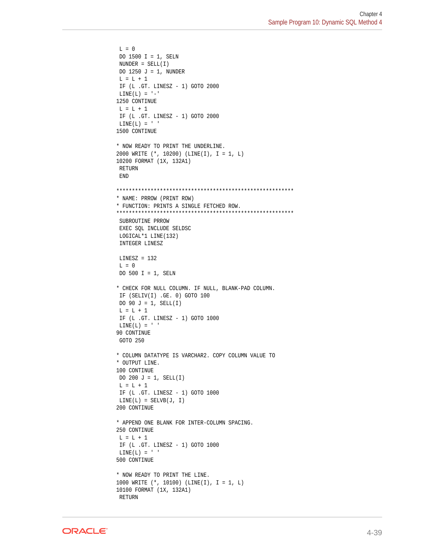```
L = 0 DO 1500 I = 1, SELN
NUMDER = SELL(I)DO 1250 J = 1, NUNDER
L = L + 1 IF (L .GT. LINESZ - 1) GOTO 2000
LINE(L) = '-'1250 CONTINUE
L = L + 1 IF (L .GT. LINESZ - 1) GOTO 2000
LINE(L) = ' '1500 CONTINUE
* NOW READY TO PRINT THE UNDERLINE.
2000 WRITE (*, 10200) (LINE(I), I = 1, L)
10200 FORMAT (1X, 132A1)
 RETURN
 END
*********************************************************
* NAME: PRROW (PRINT ROW)
* FUNCTION: PRINTS A SINGLE FETCHED ROW.
*********************************************************
 SUBROUTINE PRROW
 EXEC SQL INCLUDE SELDSC
 LOGICAL*1 LINE(132)
 INTEGER LINESZ
LINESZ = 132L = 0 DO 500 I = 1, SELN
* CHECK FOR NULL COLUMN. IF NULL, BLANK-PAD COLUMN.
  IF (SELIV(I) .GE. 0) GOTO 100
 DO 90 J = 1, SELL(I)L = L + 1 IF (L .GT. LINESZ - 1) GOTO 1000
LINE(L) = ' '90 CONTINUE
 GOTO 250
* COLUMN DATATYPE IS VARCHAR2. COPY COLUMN VALUE TO
* OUTPUT LINE.
100 CONTINUE
DO 200 J = 1, SELL(I)L = L + 1 IF (L .GT. LINESZ - 1) GOTO 1000
LINE(L) = SELVB(J, I)200 CONTINUE
* APPEND ONE BLANK FOR INTER-COLUMN SPACING.
250 CONTINUE
\mathbf{L} = \mathbf{L} + 1 IF (L .GT. LINESZ - 1) GOTO 1000
LINE(L) = ' '500 CONTINUE
* NOW READY TO PRINT THE LINE.
1000 WRITE (*, 10100) (LINE(I), I = 1, L)
10100 FORMAT (1X, 132A1)
 RETURN
```
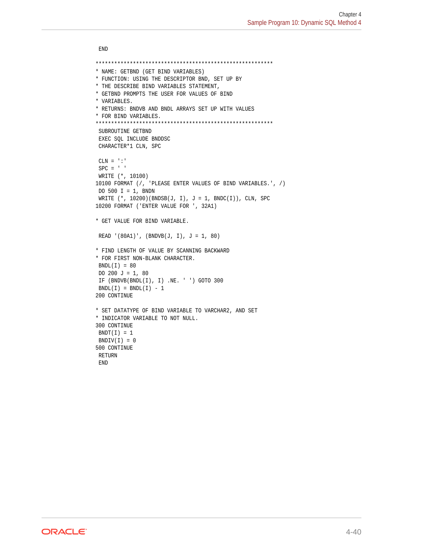```
 END
*********************************************************
* NAME: GETBND (GET BIND VARIABLES)
* FUNCTION: USING THE DESCRIPTOR BND, SET UP BY
* THE DESCRIBE BIND VARIABLES STATEMENT,
* GETBND PROMPTS THE USER FOR VALUES OF BIND
* VARIABLES.
* RETURNS: BNDVB AND BNDL ARRAYS SET UP WITH VALUES
* FOR BIND VARIABLES.
*********************************************************
  SUBROUTINE GETBND
 EXEC SQL INCLUDE BNDDSC
 CHARACTER*1 CLN, SPC
CLN = ':
SPC = ' WRITE (*, 10100)
10100 FORMAT (/, 'PLEASE ENTER VALUES OF BIND VARIABLES.', /)
DO 500 I = 1, BNDN
WRITE (*, 10200)(BNDSB(J, I), J = 1, BNDC(I)), CLN, SPEC10200 FORMAT ('ENTER VALUE FOR ', 32A1)
* GET VALUE FOR BIND VARIABLE.
READ '(80A1)', (BNDVB(J, I), J = 1, 80)
* FIND LENGTH OF VALUE BY SCANNING BACKWARD
* FOR FIRST NON-BLANK CHARACTER.
BNDL(I) = 80DO 200 J = 1, 80 IF (BNDVB(BNDL(I), I) .NE. ' ') GOTO 300
BNDL(I) = BNDL(I) - 1200 CONTINUE
* SET DATATYPE OF BIND VARIABLE TO VARCHAR2, AND SET
* INDICATOR VARIABLE TO NOT NULL.
300 CONTINUE
BNDT(I) = 1BNDIV(I) = 0500 CONTINUE
 RETURN
 END
```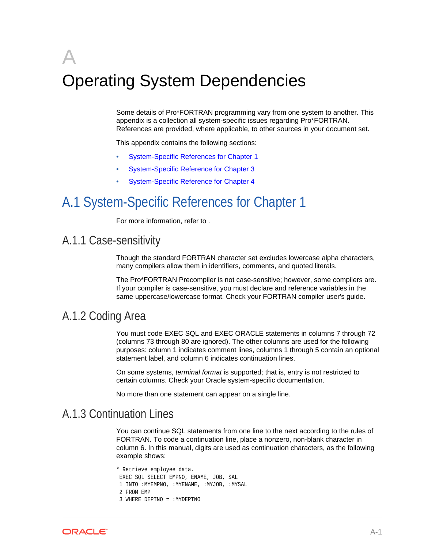# A Operating System Dependencies

Some details of Pro\*FORTRAN programming vary from one system to another. This appendix is a collection all system-specific issues regarding Pro\*FORTRAN. References are provided, where applicable, to other sources in your document set.

This appendix contains the following sections:

- System-Specific References for Chapter 1
- [System-Specific Reference for Chapter 3](#page-118-0)
- [System-Specific Reference for Chapter 4](#page-118-0)

# A.1 System-Specific References for Chapter 1

For more information, refer to .

A.1.1 Case-sensitivity

Though the standard FORTRAN character set excludes lowercase alpha characters, many compilers allow them in identifiers, comments, and quoted literals.

The Pro\*FORTRAN Precompiler is not case-sensitive; however, some compilers are. If your compiler is case-sensitive, you must declare and reference variables in the same uppercase/lowercase format. Check your FORTRAN compiler user's guide.

#### A.1.2 Coding Area

You must code EXEC SQL and EXEC ORACLE statements in columns 7 through 72 (columns 73 through 80 are ignored). The other columns are used for the following purposes: column 1 indicates comment lines, columns 1 through 5 contain an optional statement label, and column 6 indicates continuation lines.

On some systems, *terminal format* is supported; that is, entry is not restricted to certain columns. Check your Oracle system-specific documentation.

No more than one statement can appear on a single line.

## A.1.3 Continuation Lines

You can continue SQL statements from one line to the next according to the rules of FORTRAN. To code a continuation line, place a nonzero, non-blank character in column 6. In this manual, digits are used as continuation characters, as the following example shows:

\* Retrieve employee data. EXEC SQL SELECT EMPNO, ENAME, JOB, SAL 1 INTO :MYEMPNO, :MYENAME, :MYJOB, :MYSAL 2 FROM EMP 3 WHERE DEPTNO = :MYDEPTNO

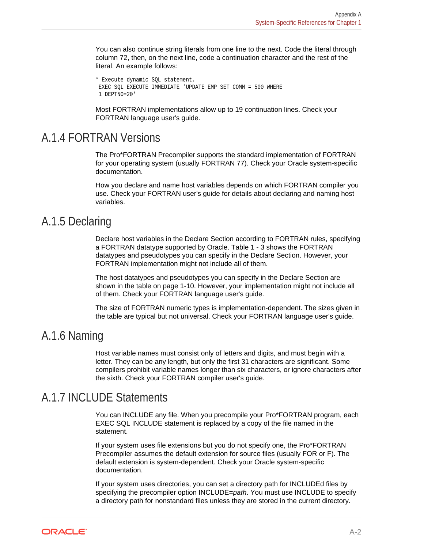You can also continue string literals from one line to the next. Code the literal through column 72, then, on the next line, code a continuation character and the rest of the literal. An example follows:

```
* Execute dynamic SQL statement.
 EXEC SQL EXECUTE IMMEDIATE 'UPDATE EMP SET COMM = 500 WHERE
 1 DEPTNO=20'
```
Most FORTRAN implementations allow up to 19 continuation lines. Check your FORTRAN language user's guide.

#### A.1.4 FORTRAN Versions

The Pro\*FORTRAN Precompiler supports the standard implementation of FORTRAN for your operating system (usually FORTRAN 77). Check your Oracle system-specific documentation.

How you declare and name host variables depends on which FORTRAN compiler you use. Check your FORTRAN user's guide for details about declaring and naming host variables.

#### A.1.5 Declaring

Declare host variables in the Declare Section according to FORTRAN rules, specifying a FORTRAN datatype supported by Oracle. Table 1 - 3 shows the FORTRAN datatypes and pseudotypes you can specify in the Declare Section. However, your FORTRAN implementation might not include all of them.

The host datatypes and pseudotypes you can specify in the Declare Section are shown in the table on page 1-10. However, your implementation might not include all of them. Check your FORTRAN language user's guide.

The size of FORTRAN numeric types is implementation-dependent. The sizes given in the table are typical but not universal. Check your FORTRAN language user's guide.

#### A.1.6 Naming

Host variable names must consist only of letters and digits, and must begin with a letter. They can be any length, but only the first 31 characters are significant. Some compilers prohibit variable names longer than six characters, or ignore characters after the sixth. Check your FORTRAN compiler user's guide.

# A.1.7 INCLUDE Statements

You can INCLUDE any file. When you precompile your Pro\*FORTRAN program, each EXEC SQL INCLUDE statement is replaced by a copy of the file named in the statement.

If your system uses file extensions but you do not specify one, the Pro\*FORTRAN Precompiler assumes the default extension for source files (usually FOR or F). The default extension is system-dependent. Check your Oracle system-specific documentation.

If your system uses directories, you can set a directory path for INCLUDEd files by specifying the precompiler option INCLUDE=*path*. You must use INCLUDE to specify a directory path for nonstandard files unless they are stored in the current directory.

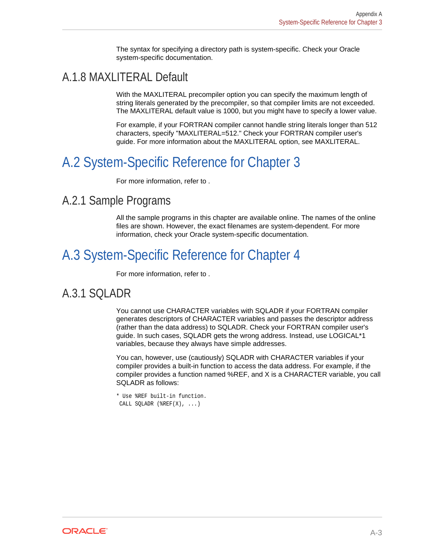The syntax for specifying a directory path is system-specific. Check your Oracle system-specific documentation.

## <span id="page-118-0"></span>A.1.8 MAXLITERAL Default

With the MAXLITERAL precompiler option you can specify the maximum length of string literals generated by the precompiler, so that compiler limits are not exceeded. The MAXLITERAL default value is 1000, but you might have to specify a lower value.

For example, if your FORTRAN compiler cannot handle string literals longer than 512 characters, specify "MAXLITERAL=512." Check your FORTRAN compiler user's guide. For more information about the MAXLITERAL option, see MAXLITERAL.

# A.2 System-Specific Reference for Chapter 3

For more information, refer to .

#### A.2.1 Sample Programs

All the sample programs in this chapter are available online. The names of the online files are shown. However, the exact filenames are system-dependent. For more information, check your Oracle system-specific documentation.

# A.3 System-Specific Reference for Chapter 4

For more information, refer to .

# A.3.1 SQLADR

You cannot use CHARACTER variables with SQLADR if your FORTRAN compiler generates descriptors of CHARACTER variables and passes the descriptor address (rather than the data address) to SQLADR. Check your FORTRAN compiler user's guide. In such cases, SQLADR gets the wrong address. Instead, use LOGICAL\*1 variables, because they always have simple addresses.

You can, however, use (cautiously) SQLADR with CHARACTER variables if your compiler provides a built-in function to access the data address. For example, if the compiler provides a function named %REF, and X is a CHARACTER variable, you call SQLADR as follows:

```
* Use %REF built-in function.
CALL SQLADR (\text{RREF}(X), \ldots)
```